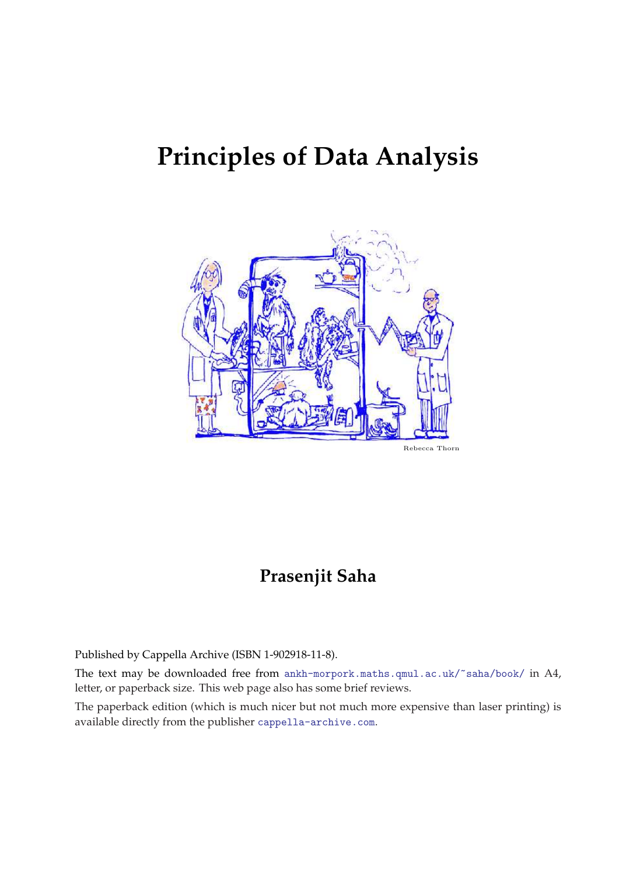# **Principles of Data Analysis**



### **Prasenjit Saha**

Published by Cappella Archive (ISBN 1-902918-11-8).

The text may be downloaded free from [ankh-morpork.maths.qmul.ac.uk/~saha/book/](http://ankh-morpork.maths.qmul.ac.uk/~saha/book/) in A4, letter, or paperback size. This web page also has some brief reviews.

The paperback edition (which is much nicer but not much more expensive than laser printing) is available directly from the publisher [cappella-archive.com](http://cappella-archive.com).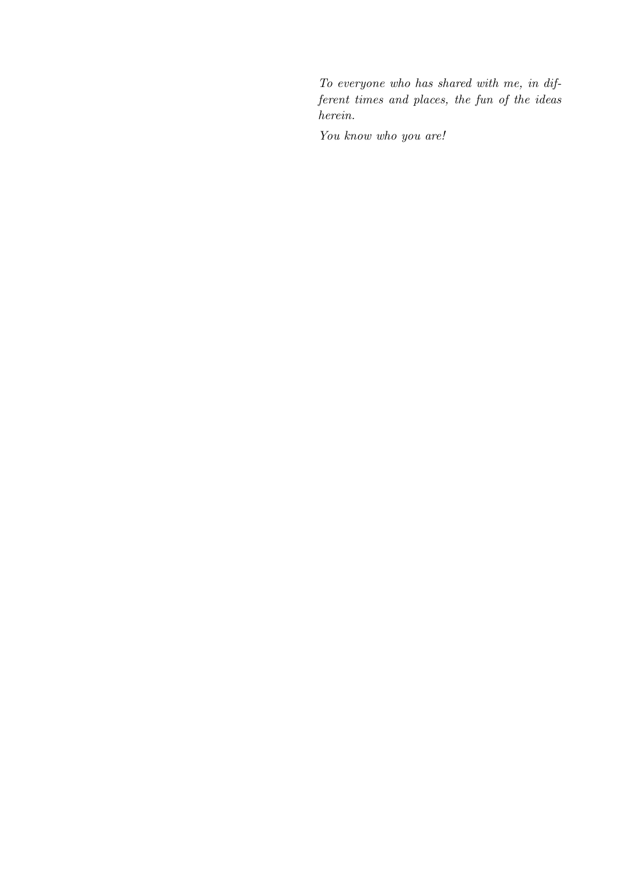To everyone who has shared with me, in different times and places, the fun of the ideas herein.

You know who you are!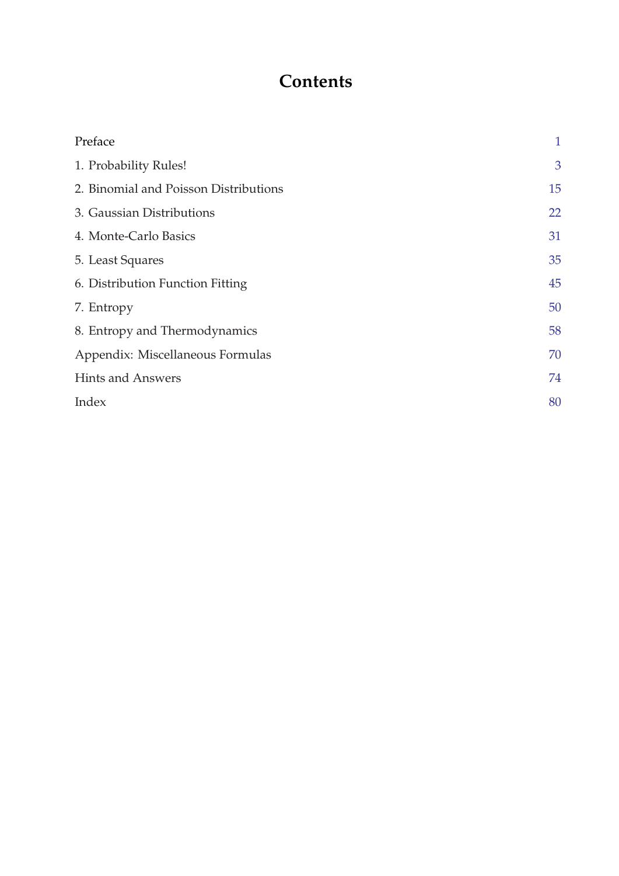## **Contents**

| Preface                               | 1  |
|---------------------------------------|----|
| 1. Probability Rules!                 | 3  |
| 2. Binomial and Poisson Distributions | 15 |
| 3. Gaussian Distributions             | 22 |
| 4. Monte-Carlo Basics                 | 31 |
| 5. Least Squares                      | 35 |
| 6. Distribution Function Fitting      | 45 |
| 7. Entropy                            | 50 |
| 8. Entropy and Thermodynamics         | 58 |
| Appendix: Miscellaneous Formulas      | 70 |
| <b>Hints and Answers</b>              | 74 |
| Index                                 | 80 |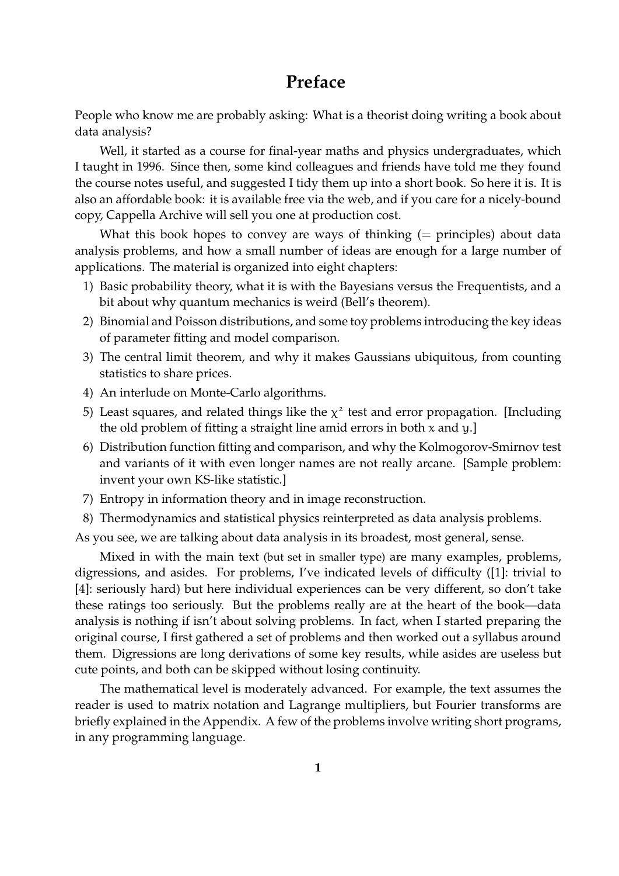### <span id="page-4-0"></span>**Preface**

People who know me are probably asking: What is a theorist doing writing a book about data analysis?

Well, it started as a course for final-year maths and physics undergraduates, which I taught in 1996. Since then, some kind colleagues and friends have told me they found the course notes useful, and suggested I tidy them up into a short book. So here it is. It is also an affordable book: it is available free via the web, and if you care for a nicely-bound copy, Cappella Archive will sell you one at production cost.

What this book hopes to convey are ways of thinking  $(=$  principles) about data analysis problems, and how a small number of ideas are enough for a large number of applications. The material is organized into eight chapters:

- 1) Basic probability theory, what it is with the Bayesians versus the Frequentists, and a bit about why quantum mechanics is weird (Bell's theorem).
- 2) Binomial and Poisson distributions, and some toy problems introducing the key ideas of parameter fitting and model comparison.
- 3) The central limit theorem, and why it makes Gaussians ubiquitous, from counting statistics to share prices.
- 4) An interlude on Monte-Carlo algorithms.
- 5) Least squares, and related things like the  $\chi^2$  test and error propagation. [Including the old problem of fitting a straight line amid errors in both x and y.]
- 6) Distribution function fitting and comparison, and why the Kolmogorov-Smirnov test and variants of it with even longer names are not really arcane. [Sample problem: invent your own KS-like statistic.]
- 7) Entropy in information theory and in image reconstruction.
- 8) Thermodynamics and statistical physics reinterpreted as data analysis problems.

As you see, we are talking about data analysis in its broadest, most general, sense.

Mixed in with the main text (but set in smaller type) are many examples, problems, digressions, and asides. For problems, I've indicated levels of difficulty ([1]: trivial to [4]: seriously hard) but here individual experiences can be very different, so don't take these ratings too seriously. But the problems really are at the heart of the book—data analysis is nothing if isn't about solving problems. In fact, when I started preparing the original course, I first gathered a set of problems and then worked out a syllabus around them. Digressions are long derivations of some key results, while asides are useless but cute points, and both can be skipped without losing continuity.

The mathematical level is moderately advanced. For example, the text assumes the reader is used to matrix notation and Lagrange multipliers, but Fourier transforms are briefly explained in the Appendix. A few of the problems involve writing short programs, in any programming language.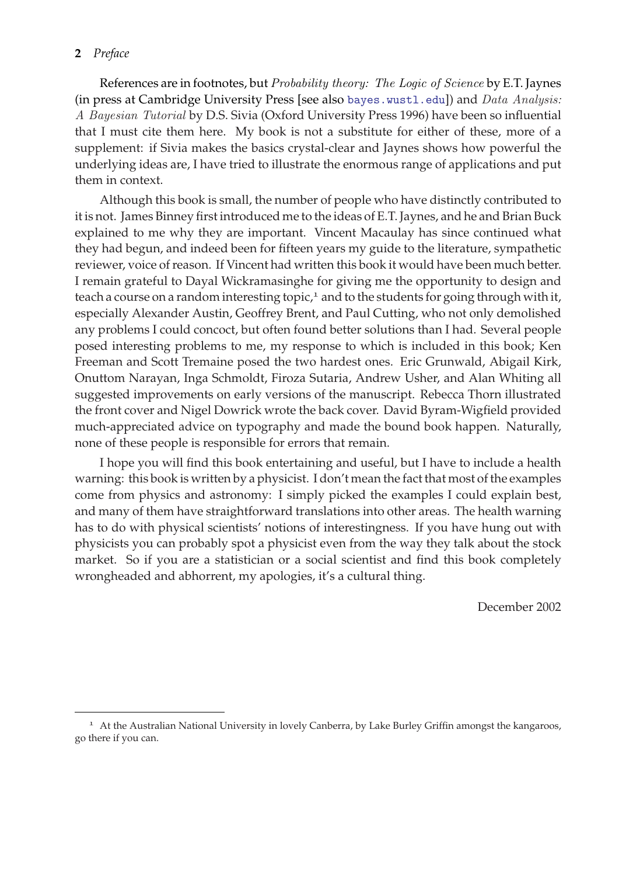#### **2** *Preface*

References are in footnotes, but Probability theory: The Logic of Science by E.T. Jaynes (in press at Cambridge University Press [see also [bayes.wustl.edu](http://bayes.wustl.edu)]) and Data Analysis: A Bayesian Tutorial by D.S. Sivia (Oxford University Press 1996) have been so influential that I must cite them here. My book is not a substitute for either of these, more of a supplement: if Sivia makes the basics crystal-clear and Jaynes shows how powerful the underlying ideas are, I have tried to illustrate the enormous range of applications and put them in context.

Although this book is small, the number of people who have distinctly contributed to it is not. James Binney first introduced me to the ideas of E.T. Jaynes, and he and Brian Buck explained to me why they are important. Vincent Macaulay has since continued what they had begun, and indeed been for fifteen years my guide to the literature, sympathetic reviewer, voice of reason. If Vincent had written this book it would have been much better. I remain grateful to Dayal Wickramasinghe for giving me the opportunity to design and teach a course on a random interesting topic,<sup>1</sup> and to the students for going through with it, especially Alexander Austin, Geoffrey Brent, and Paul Cutting, who not only demolished any problems I could concoct, but often found better solutions than I had. Several people posed interesting problems to me, my response to which is included in this book; Ken Freeman and Scott Tremaine posed the two hardest ones. Eric Grunwald, Abigail Kirk, Onuttom Narayan, Inga Schmoldt, Firoza Sutaria, Andrew Usher, and Alan Whiting all suggested improvements on early versions of the manuscript. Rebecca Thorn illustrated the front cover and Nigel Dowrick wrote the back cover. David Byram-Wigfield provided much-appreciated advice on typography and made the bound book happen. Naturally, none of these people is responsible for errors that remain.

I hope you will find this book entertaining and useful, but I have to include a health warning: this book is written by a physicist. I don't mean the fact that most of the examples come from physics and astronomy: I simply picked the examples I could explain best, and many of them have straightforward translations into other areas. The health warning has to do with physical scientists' notions of interestingness. If you have hung out with physicists you can probably spot a physicist even from the way they talk about the stock market. So if you are a statistician or a social scientist and find this book completely wrongheaded and abhorrent, my apologies, it's a cultural thing.

December 2002

 $<sup>1</sup>$  At the Australian National University in lovely Canberra, by Lake Burley Griffin amongst the kangaroos,</sup> go there if you can.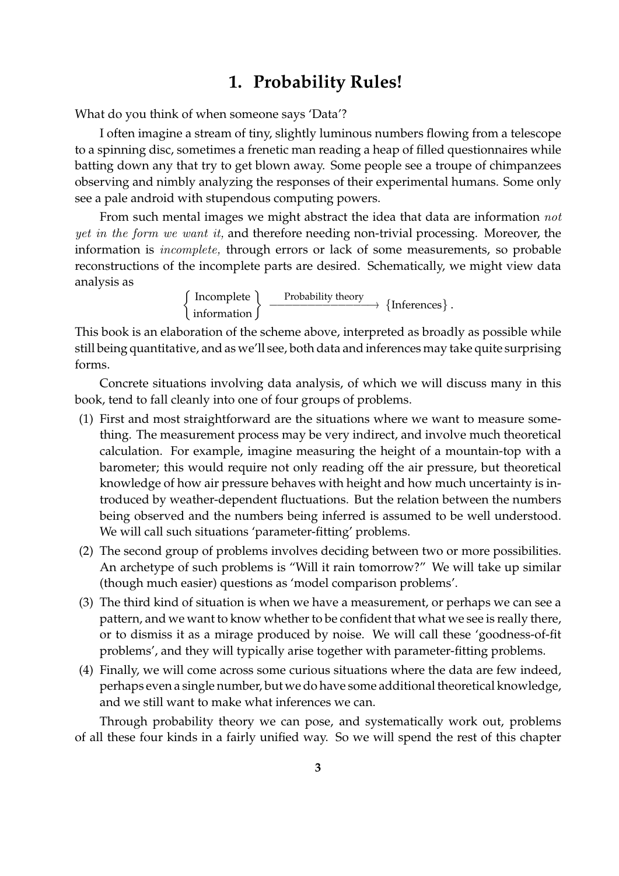### <span id="page-6-0"></span>**1. Probability Rules!**

What do you think of when someone says 'Data'?

I often imagine a stream of tiny, slightly luminous numbers flowing from a telescope to a spinning disc, sometimes a frenetic man reading a heap of filled questionnaires while batting down any that try to get blown away. Some people see a troupe of chimpanzees observing and nimbly analyzing the responses of their experimental humans. Some only see a pale android with stupendous computing powers.

From such mental images we might abstract the idea that data are information not yet in the form we want it, and therefore needing non-trivial processing. Moreover, the information is incomplete, through errors or lack of some measurements, so probable reconstructions of the incomplete parts are desired. Schematically, we might view data analysis as

 $\left\{\n \begin{array}{c}\n \text{Incomplete }\\ \text{information }\n \end{array}\n\right\}\n \xrightarrow{\text{Probability theory}}\n \left\{\n \text{Inferences}\n \right\}\n .$ 

This book is an elaboration of the scheme above, interpreted as broadly as possible while still being quantitative, and as we'll see, both data and inferences may take quite surprising forms.

Concrete situations involving data analysis, of which we will discuss many in this book, tend to fall cleanly into one of four groups of problems.

- (1) First and most straightforward are the situations where we want to measure something. The measurement process may be very indirect, and involve much theoretical calculation. For example, imagine measuring the height of a mountain-top with a barometer; this would require not only reading off the air pressure, but theoretical knowledge of how air pressure behaves with height and how much uncertainty is introduced by weather-dependent fluctuations. But the relation between the numbers being observed and the numbers being inferred is assumed to be well understood. We will call such situations 'parameter-fitting' problems.
- (2) The second group of problems involves deciding between two or more possibilities. An archetype of such problems is "Will it rain tomorrow?" We will take up similar (though much easier) questions as 'model comparison problems'.
- (3) The third kind of situation is when we have a measurement, or perhaps we can see a pattern, and we want to know whether to be confident that what we see is really there, or to dismiss it as a mirage produced by noise. We will call these 'goodness-of-fit problems', and they will typically arise together with parameter-fitting problems.
- (4) Finally, we will come across some curious situations where the data are few indeed, perhaps even a single number, but we do have some additional theoretical knowledge, and we still want to make what inferences we can.

Through probability theory we can pose, and systematically work out, problems of all these four kinds in a fairly unified way. So we will spend the rest of this chapter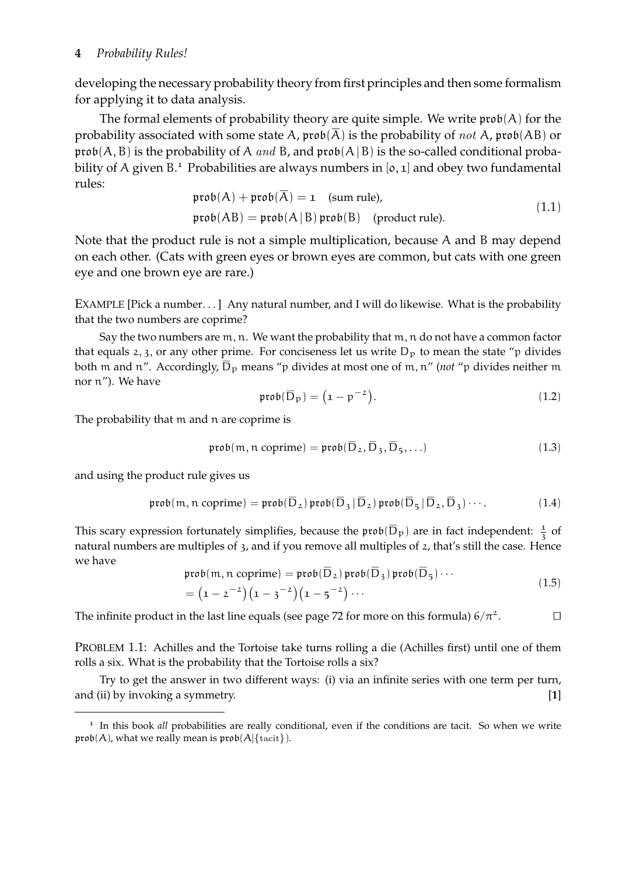#### **4** *Probability Rules!*

developing the necessary probability theory from first principles and then some formalism for applying it to data analysis.

The formal elements of probability theory are quite simple. We write  $\mathfrak{prob}(A)$  for the probability associated with some state  $A$ ,  $prob(\overline{A})$  is the probability of not  $A$ ,  $prob(AB)$  or prob(A, B) is the probability of A and B, and prob(A|B) is the so-called conditional probability of A given B.<sup>1</sup> Probabilities are always numbers in [0, 1] and obey two fundamental rules:

$$
\text{prob}(A) + \text{prob}(\overline{A}) = 1 \quad \text{(sum rule)},
$$
  
\n
$$
\text{prob}(AB) = \text{prob}(A|B) \text{prob}(B) \quad \text{(product rule)}.
$$
 (1.1)

Note that the product rule is not a simple multiplication, because A and B may depend on each other. (Cats with green eyes or brown eyes are common, but cats with one green eye and one brown eye are rare.)

EXAMPLE [Pick a number...] Any natural number, and I will do likewise. What is the probability that the two numbers are coprime?

Say the two numbers are  $m, n$ . We want the probability that  $m, n$  do not have a common factor that equals 2, 3, or any other prime. For conciseness let us write  $D_p$  to mean the state "p divides" both m and n". Accordingly,  $\overline{D}_p$  means "p divides at most one of m, n" (*not* "p divides neither m nor n"). We have

$$
\mathfrak{prob}(\overline{\mathsf{D}}_{p}) = \left(1 - p^{-2}\right). \tag{1.2}
$$

The probability that m and n are coprime is

$$
\mathfrak{prob}(m, n \text{ coprime}) = \mathfrak{prob}(\overline{D}_2, \overline{D}_3, \overline{D}_5, \ldots)
$$
\n(1.3)

and using the product rule gives us

$$
\mathfrak{prob}(m, n \text{ coprime}) = \mathfrak{prob}(\overline{D}_2) \mathfrak{prob}(\overline{D}_3 | \overline{D}_2) \mathfrak{prob}(\overline{D}_5 | \overline{D}_2, \overline{D}_3) \cdots.
$$
 (1.4)

This scary expression fortunately simplifies, because the pro $\mathfrak{b}(\overline{D}_{p})$  are in fact independent:  $\frac{1}{3}$  of natural numbers are multiples of 3, and if you remove all multiples of 2, that's still the case. Hence we have

$$
\text{prob}(m, n \text{ coprime}) = \text{prob}(\overline{D}_2) \text{prob}(\overline{D}_3) \text{prob}(\overline{D}_5) \cdots
$$
  
=  $(1 - 2^{-2})(1 - 3^{-2})(1 - 5^{-2}) \cdots$  (1.5)

The infinite product in the last line equals (see page 72 for more on this formula)  $6/\pi^2$ .  $\Box$ 

PROBLEM 1.1: Achilles and the Tortoise take turns rolling a die (Achilles first) until one of them rolls a six. What is the probability that the Tortoise rolls a six?

Try to get the answer in two different ways: (i) via an infinite series with one term per turn, and (ii) by invoking a symmetry. [**1**]

<sup>&</sup>lt;sup>1</sup> In this book *all* probabilities are really conditional, even if the conditions are tacit. So when we write  $\mathfrak{prob}(A)$ , what we really mean is  $\mathfrak{prob}(A|\{\text{tacit}\}).$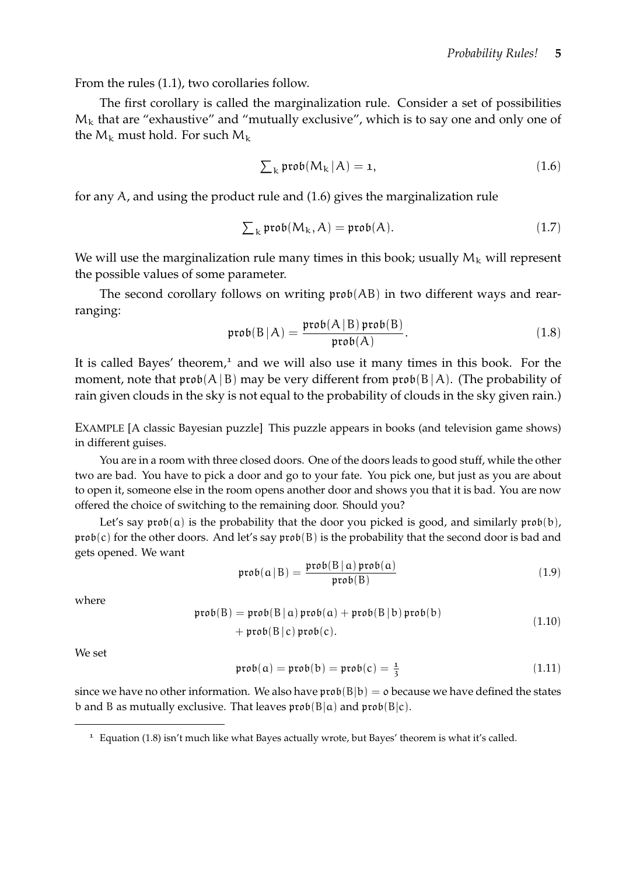From the rules (1.1), two corollaries follow.

The first corollary is called the marginalization rule. Consider a set of possibilities  $M_k$  that are "exhaustive" and "mutually exclusive", which is to say one and only one of the  $M_k$  must hold. For such  $M_k$ 

$$
\sum_{k} \text{prob}(M_k | A) = 1,\tag{1.6}
$$

for any A, and using the product rule and (1.6) gives the marginalization rule

$$
\sum_{k} \mathfrak{prob}(M_k, A) = \mathfrak{prob}(A). \qquad (1.7)
$$

We will use the marginalization rule many times in this book; usually  $M_k$  will represent the possible values of some parameter.

The second corollary follows on writing prob(AB) in two different ways and rearranging:

$$
\mathfrak{prob}(B|A) = \frac{\mathfrak{prob}(A|B)\mathfrak{prob}(B)}{\mathfrak{prob}(A)}.
$$
\n(1.8)

It is called Bayes' theorem,<sup>1</sup> and we will also use it many times in this book. For the moment, note that  $\mathfrak{prob}(A|B)$  may be very different from  $\mathfrak{prob}(B|A)$ . (The probability of rain given clouds in the sky is not equal to the probability of clouds in the sky given rain.)

EXAMPLE [A classic Bayesian puzzle] This puzzle appears in books (and television game shows) in different guises.

You are in a room with three closed doors. One of the doors leads to good stuff, while the other two are bad. You have to pick a door and go to your fate. You pick one, but just as you are about to open it, someone else in the room opens another door and shows you that it is bad. You are now offered the choice of switching to the remaining door. Should you?

Let's say  $prob(a)$  is the probability that the door you picked is good, and similarly  $prob(b)$ ,  $\mathfrak{prob}(c)$  for the other doors. And let's say  $\mathfrak{prob}(B)$  is the probability that the second door is bad and gets opened. We want

$$
\text{prob}(a|B) = \frac{\text{prob}(B|a)\,\text{prob}(a)}{\text{prob}(B)}
$$
(1.9)

where

$$
\text{prob}(B) = \text{prob}(B | a) \text{prob}(a) + \text{prob}(B | b) \text{prob}(b) + \text{prob}(B | c) \text{prob}(c).
$$
\n(1.10)

We set

$$
\mathfrak{prob}(a) = \mathfrak{prob}(b) = \mathfrak{prob}(c) = \frac{1}{3} \tag{1.11}
$$

since we have no other information. We also have  $\mathfrak{prob}(B|b) = o$  because we have defined the states b and B as mutually exclusive. That leaves  $\mathfrak{prob}(B|a)$  and  $\mathfrak{prob}(B|c)$ .

 $1$  Equation (1.8) isn't much like what Bayes actually wrote, but Bayes' theorem is what it's called.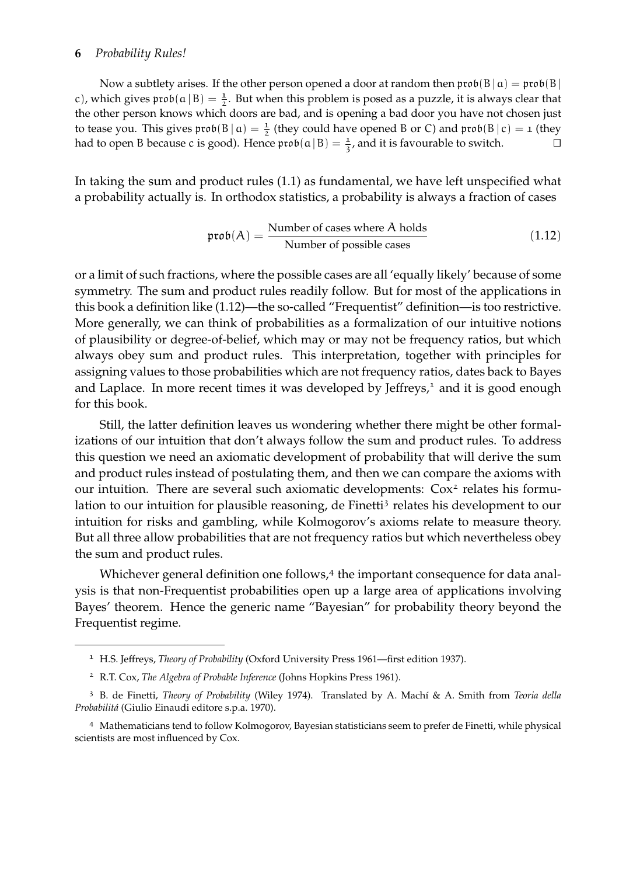#### **6** *Probability Rules!*

Now a subtlety arises. If the other person opened a door at random then  $\text{prob}(B|a) = \text{prob}(B|a)$ c), which gives  $\mathfrak{prob}(a|B) = \frac{1}{2}$ . But when this problem is posed as a puzzle, it is always clear that the other person knows which doors are bad, and is opening a bad door you have not chosen just to tease you. This gives  $\mathfrak{prob}(B | a) = \frac{1}{2}$  (they could have opened B or C) and  $\mathfrak{prob}(B | c) = 1$  (they had to open B because c is good). Hence  $\mathfrak{prob}(\mathfrak{a} | \mathfrak{B}) = \frac{1}{3}$ , and it is favourable to switch.

In taking the sum and product rules (1.1) as fundamental, we have left unspecified what a probability actually is. In orthodox statistics, a probability is always a fraction of cases

$$
\text{prob}(A) = \frac{\text{Number of cases where } A \text{ holds}}{\text{Number of possible cases}} \tag{1.12}
$$

or a limit of such fractions, where the possible cases are all 'equally likely' because of some symmetry. The sum and product rules readily follow. But for most of the applications in this book a definition like (1.12)—the so-called "Frequentist" definition—is too restrictive. More generally, we can think of probabilities as a formalization of our intuitive notions of plausibility or degree-of-belief, which may or may not be frequency ratios, but which always obey sum and product rules. This interpretation, together with principles for assigning values to those probabilities which are not frequency ratios, dates back to Bayes and Laplace. In more recent times it was developed by Jeffreys,<sup>1</sup> and it is good enough for this book.

Still, the latter definition leaves us wondering whether there might be other formalizations of our intuition that don't always follow the sum and product rules. To address this question we need an axiomatic development of probability that will derive the sum and product rules instead of postulating them, and then we can compare the axioms with our intuition. There are several such axiomatic developments: Cox<sup>2</sup> relates his formulation to our intuition for plausible reasoning, de Finetti<sup>3</sup> relates his development to our intuition for risks and gambling, while Kolmogorov's axioms relate to measure theory. But all three allow probabilities that are not frequency ratios but which nevertheless obey the sum and product rules.

Whichever general definition one follows,<sup>4</sup> the important consequence for data analysis is that non-Frequentist probabilities open up a large area of applications involving Bayes' theorem. Hence the generic name "Bayesian" for probability theory beyond the Frequentist regime.

<sup>&</sup>lt;sup>1</sup> H.S. Jeffreys, *Theory of Probability* (Oxford University Press 1961—first edition 1937).

<sup>2</sup> R.T. Cox, *The Algebra of Probable Inference* (Johns Hopkins Press 1961).

<sup>3</sup> B. de Finetti, *Theory of Probability* (Wiley 1974). Translated by A. Mach´ı & A. Smith from *Teoria della Probabilita´* (Giulio Einaudi editore s.p.a. 1970).

<sup>4</sup> Mathematicians tend to follow Kolmogorov, Bayesian statisticians seem to prefer de Finetti, while physical scientists are most influenced by Cox.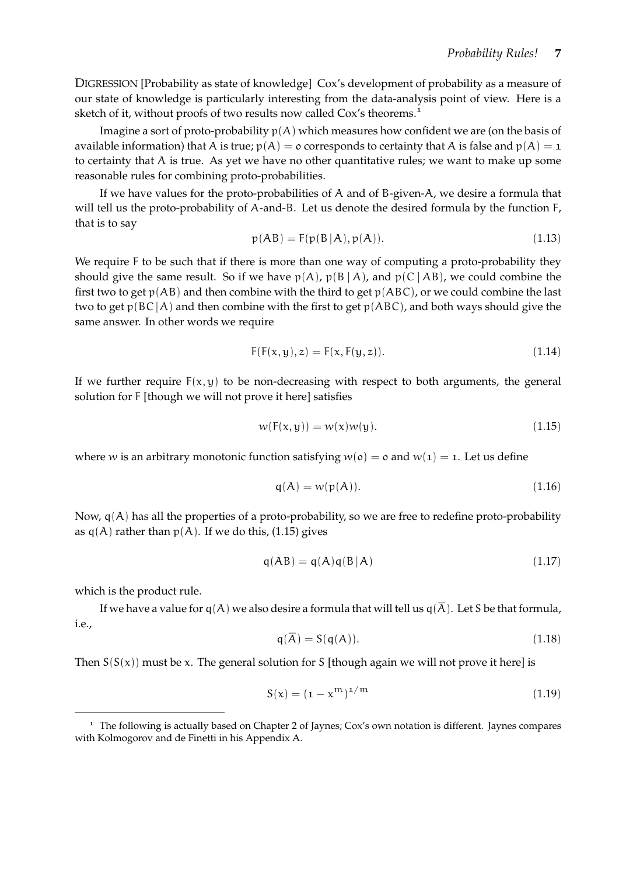DIGRESSION [Probability as state of knowledge] Cox's development of probability as a measure of our state of knowledge is particularly interesting from the data-analysis point of view. Here is a sketch of it, without proofs of two results now called Cox's theorems.<sup>1</sup>

Imagine a sort of proto-probability  $p(A)$  which measures how confident we are (on the basis of available information) that A is true;  $p(A) = o$  corresponds to certainty that A is false and  $p(A) = 1$ to certainty that A is true. As yet we have no other quantitative rules; we want to make up some reasonable rules for combining proto-probabilities.

If we have values for the proto-probabilities of A and of B-given-A, we desire a formula that will tell us the proto-probability of A-and-B. Let us denote the desired formula by the function F, that is to say

$$
p(AB) = F(p(B|A), p(A)).
$$
\n(1.13)

We require F to be such that if there is more than one way of computing a proto-probability they should give the same result. So if we have  $p(A)$ ,  $p(B | A)$ , and  $p(C | AB)$ , we could combine the first two to get  $p(AB)$  and then combine with the third to get  $p(ABC)$ , or we could combine the last two to get  $p(BC|A)$  and then combine with the first to get  $p(ABC)$ , and both ways should give the same answer. In other words we require

$$
F(F(x, y), z) = F(x, F(y, z)).
$$
\n(1.14)

If we further require  $F(x, y)$  to be non-decreasing with respect to both arguments, the general solution for F [though we will not prove it here] satisfies

$$
w(F(x, y)) = w(x)w(y).
$$
\n(1.15)

where w is an arbitrary monotonic function satisfying  $w(o) = o$  and  $w(1) = 1$ . Let us define

$$
q(A) = w(p(A)). \tag{1.16}
$$

Now,  $q(A)$  has all the properties of a proto-probability, so we are free to redefine proto-probability as  $q(A)$  rather than  $p(A)$ . If we do this, (1.15) gives

$$
q(AB) = q(A)q(B|A)
$$
\n(1.17)

which is the product rule.

If we have a value for  $q(A)$  we also desire a formula that will tell us  $q(\overline{A})$ . Let S be that formula, i.e.,

$$
q(\overline{A}) = S(q(A)). \tag{1.18}
$$

Then  $S(S(x))$  must be x. The general solution for S [though again we will not prove it here] is

$$
S(x) = (1 - x^m)^{1/m}
$$
 (1.19)

 $1$  The following is actually based on Chapter 2 of Jaynes; Cox's own notation is different. Jaynes compares with Kolmogorov and de Finetti in his Appendix A.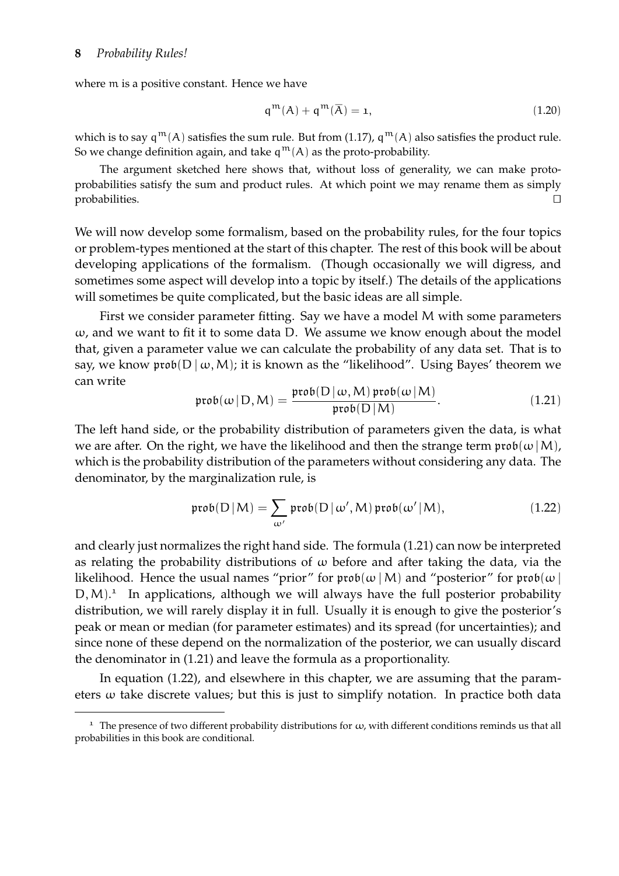#### **8** *Probability Rules!*

where m is a positive constant. Hence we have

$$
q^{\mathfrak{m}}(A) + q^{\mathfrak{m}}(\overline{A}) = 1, \qquad (1.20)
$$

which is to say  $\mathfrak{q}^{\mathfrak{m}}(A)$  satisfies the sum rule. But from (1.17),  $\mathfrak{q}^{\mathfrak{m}}(A)$  also satisfies the product rule. So we change definition again, and take  $\mathfrak{q}^{\mathfrak{m}}( \mathsf{A})$  as the proto-probability.

The argument sketched here shows that, without loss of generality, we can make protoprobabilities satisfy the sum and product rules. At which point we may rename them as simply  $\Box$ 

We will now develop some formalism, based on the probability rules, for the four topics or problem-types mentioned at the start of this chapter. The rest of this book will be about developing applications of the formalism. (Though occasionally we will digress, and sometimes some aspect will develop into a topic by itself.) The details of the applications will sometimes be quite complicated, but the basic ideas are all simple.

First we consider parameter fitting. Say we have a model M with some parameters  $\omega$ , and we want to fit it to some data D. We assume we know enough about the model that, given a parameter value we can calculate the probability of any data set. That is to say, we know  $\mathfrak{prob}(D \mid \omega, M)$ ; it is known as the "likelihood". Using Bayes' theorem we can write

$$
\mathfrak{prob}(\omega | D, M) = \frac{\mathfrak{prob}(D | \omega, M) \mathfrak{prob}(\omega | M)}{\mathfrak{prob}(D | M)}.
$$
\n(1.21)

The left hand side, or the probability distribution of parameters given the data, is what we are after. On the right, we have the likelihood and then the strange term  $\mathfrak{prob}(\omega|M)$ , which is the probability distribution of the parameters without considering any data. The denominator, by the marginalization rule, is

$$
\mathfrak{prob}(D|M) = \sum_{\omega'} \mathfrak{prob}(D|\omega', M) \mathfrak{prob}(\omega'|M), \qquad (1.22)
$$

and clearly just normalizes the right hand side. The formula (1.21) can now be interpreted as relating the probability distributions of  $\omega$  before and after taking the data, via the likelihood. Hence the usual names "prior" for  $\mathfrak{prob}(\omega | M)$  and "posterior" for  $\mathfrak{prob}(\omega | N)$ D, M).<sup>1</sup> In applications, although we will always have the full posterior probability distribution, we will rarely display it in full. Usually it is enough to give the posterior's peak or mean or median (for parameter estimates) and its spread (for uncertainties); and since none of these depend on the normalization of the posterior, we can usually discard the denominator in (1.21) and leave the formula as a proportionality.

In equation (1.22), and elsewhere in this chapter, we are assuming that the parameters  $\omega$  take discrete values; but this is just to simplify notation. In practice both data

<sup>&</sup>lt;sup>1</sup> The presence of two different probability distributions for  $\omega$ , with different conditions reminds us that all probabilities in this book are conditional.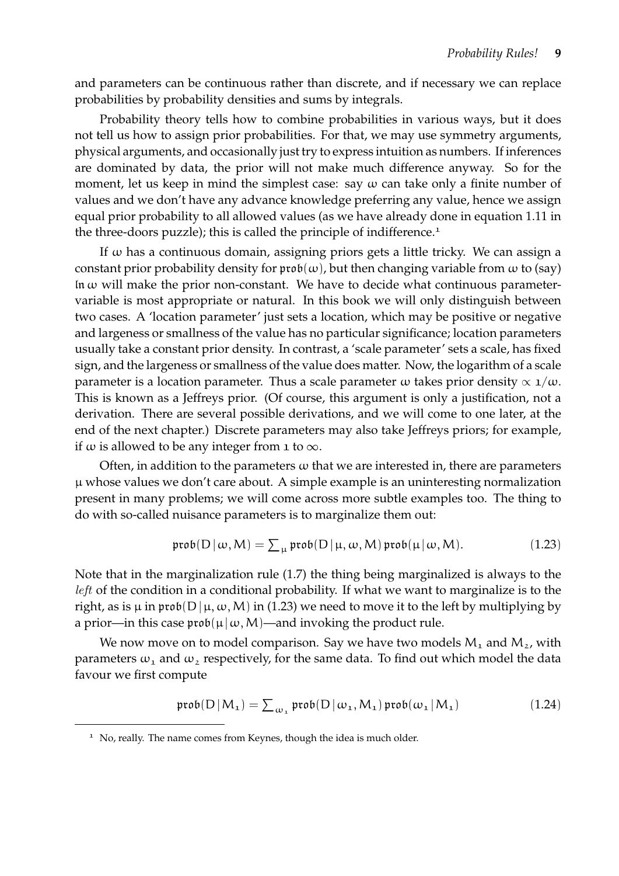and parameters can be continuous rather than discrete, and if necessary we can replace probabilities by probability densities and sums by integrals.

Probability theory tells how to combine probabilities in various ways, but it does not tell us how to assign prior probabilities. For that, we may use symmetry arguments, physical arguments, and occasionally just try to express intuition as numbers. If inferences are dominated by data, the prior will not make much difference anyway. So for the moment, let us keep in mind the simplest case: say  $\omega$  can take only a finite number of values and we don't have any advance knowledge preferring any value, hence we assign equal prior probability to all allowed values (as we have already done in equation 1.11 in the three-doors puzzle); this is called the principle of indifference. $<sup>1</sup>$ </sup>

If  $\omega$  has a continuous domain, assigning priors gets a little tricky. We can assign a constant prior probability density for  $prob(\omega)$ , but then changing variable from  $\omega$  to (say) In  $\omega$  will make the prior non-constant. We have to decide what continuous parametervariable is most appropriate or natural. In this book we will only distinguish between two cases. A 'location parameter' just sets a location, which may be positive or negative and largeness or smallness of the value has no particular significance; location parameters usually take a constant prior density. In contrast, a 'scale parameter' sets a scale, has fixed sign, and the largeness or smallness of the value does matter. Now, the logarithm of a scale parameter is a location parameter. Thus a scale parameter  $\omega$  takes prior density  $\propto 1/\omega$ . This is known as a Jeffreys prior. (Of course, this argument is only a justification, not a derivation. There are several possible derivations, and we will come to one later, at the end of the next chapter.) Discrete parameters may also take Jeffreys priors; for example, if  $\omega$  is allowed to be any integer from 1 to  $\infty$ .

Often, in addition to the parameters  $\omega$  that we are interested in, there are parameters µ whose values we don't care about. A simple example is an uninteresting normalization present in many problems; we will come across more subtle examples too. The thing to do with so-called nuisance parameters is to marginalize them out:

$$
\mathfrak{prob}(D \mid \omega, M) = \sum_{\mu} \mathfrak{prob}(D \mid \mu, \omega, M) \mathfrak{prob}(\mu \mid \omega, M). \tag{1.23}
$$

Note that in the marginalization rule (1.7) the thing being marginalized is always to the left of the condition in a conditional probability. If what we want to marginalize is to the right, as is  $\mu$  in  $\mathfrak{prob}(D|\mu, \omega, M)$  in (1.23) we need to move it to the left by multiplying by a prior—in this case  $\mathfrak{prob}(\mu|\omega,M)$ —and invoking the product rule.

We now move on to model comparison. Say we have two models  $M_1$  and  $M_2$ , with parameters  $\omega_1$  and  $\omega_2$  respectively, for the same data. To find out which model the data favour we first compute

$$
\mathfrak{prob}(D \,|\, M_1) = \sum_{\omega_1} \mathfrak{prob}(D \,|\, \omega_1, M_1) \mathfrak{prob}(\omega_1 \,|\, M_1) \tag{1.24}
$$

 $1$  No, really. The name comes from Keynes, though the idea is much older.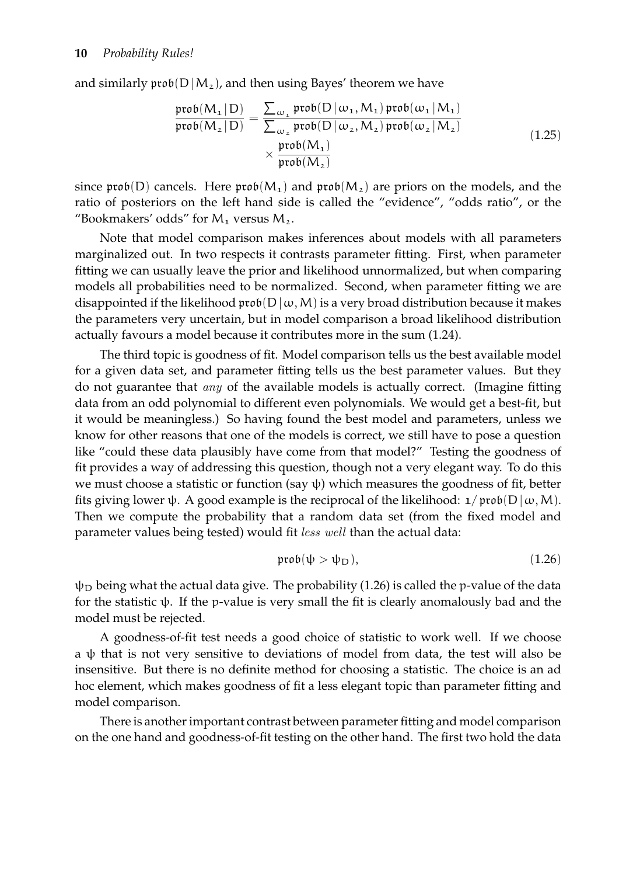and similarly  $\mathfrak{prob}(D|M_2)$ , and then using Bayes' theorem we have

$$
\frac{\text{prob}(M_1 | D)}{\text{prob}(M_2 | D)} = \frac{\sum_{\omega_1} \text{prob}(D | \omega_1, M_1) \text{prob}(\omega_1 | M_1)}{\sum_{\omega_2} \text{prob}(D | \omega_2, M_2) \text{prob}(\omega_2 | M_2)} \times \frac{\text{prob}(M_1)}{\text{prob}(M_2)} \tag{1.25}
$$

since prob(D) cancels. Here  $prob(M_1)$  and  $prob(M_2)$  are priors on the models, and the ratio of posteriors on the left hand side is called the "evidence", "odds ratio", or the "Bookmakers' odds" for  $M_1$  versus  $M_2$ .

Note that model comparison makes inferences about models with all parameters marginalized out. In two respects it contrasts parameter fitting. First, when parameter fitting we can usually leave the prior and likelihood unnormalized, but when comparing models all probabilities need to be normalized. Second, when parameter fitting we are disappointed if the likelihood  $\mathfrak{prob}(D|\omega,M)$  is a very broad distribution because it makes the parameters very uncertain, but in model comparison a broad likelihood distribution actually favours a model because it contributes more in the sum (1.24).

The third topic is goodness of fit. Model comparison tells us the best available model for a given data set, and parameter fitting tells us the best parameter values. But they do not guarantee that any of the available models is actually correct. (Imagine fitting data from an odd polynomial to different even polynomials. We would get a best-fit, but it would be meaningless.) So having found the best model and parameters, unless we know for other reasons that one of the models is correct, we still have to pose a question like "could these data plausibly have come from that model?" Testing the goodness of fit provides a way of addressing this question, though not a very elegant way. To do this we must choose a statistic or function (say ψ) which measures the goodness of fit, better fits giving lower ψ. A good example is the reciprocal of the likelihood:  $1/\text{prob}(D|\omega,M)$ . Then we compute the probability that a random data set (from the fixed model and parameter values being tested) would fit less well than the actual data:

$$
\mathfrak{prob}(\psi > \psi_D),\tag{1.26}
$$

 $\psi_D$  being what the actual data give. The probability (1.26) is called the p-value of the data for the statistic ψ. If the p-value is very small the fit is clearly anomalously bad and the model must be rejected.

A goodness-of-fit test needs a good choice of statistic to work well. If we choose a ψ that is not very sensitive to deviations of model from data, the test will also be insensitive. But there is no definite method for choosing a statistic. The choice is an ad hoc element, which makes goodness of fit a less elegant topic than parameter fitting and model comparison.

There is another important contrast between parameter fitting and model comparison on the one hand and goodness-of-fit testing on the other hand. The first two hold the data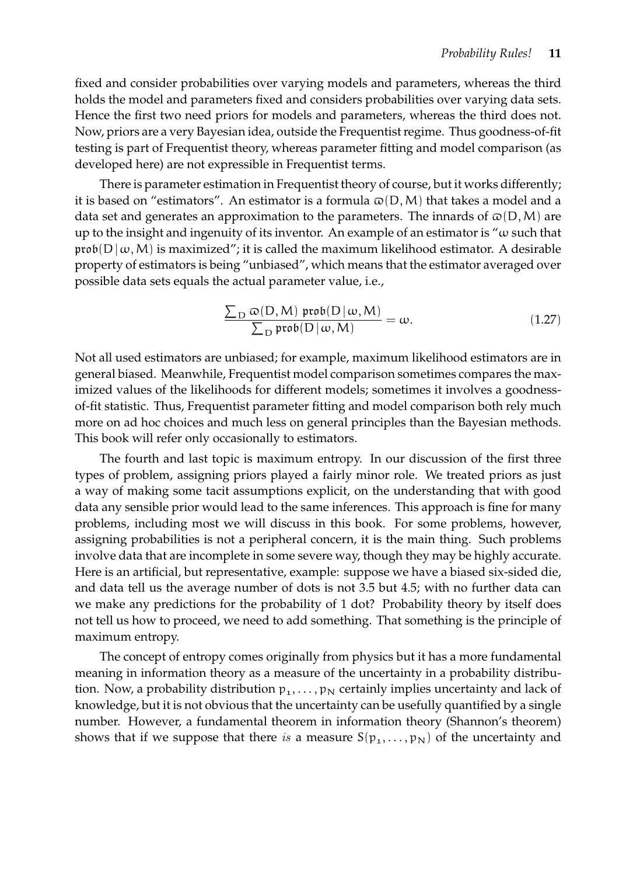fixed and consider probabilities over varying models and parameters, whereas the third holds the model and parameters fixed and considers probabilities over varying data sets. Hence the first two need priors for models and parameters, whereas the third does not. Now, priors are a very Bayesian idea, outside the Frequentist regime. Thus goodness-of-fit testing is part of Frequentist theory, whereas parameter fitting and model comparison (as developed here) are not expressible in Frequentist terms.

There is parameter estimation in Frequentist theory of course, but it works differently; it is based on "estimators". An estimator is a formula  $\varpi(D,M)$  that takes a model and a data set and generates an approximation to the parameters. The innards of  $\varpi(D,M)$  are up to the insight and ingenuity of its inventor. An example of an estimator is " $\omega$  such that  $\mathfrak{prob}(D|\omega,M)$  is maximized"; it is called the maximum likelihood estimator. A desirable property of estimators is being "unbiased", which means that the estimator averaged over possible data sets equals the actual parameter value, i.e.,

$$
\frac{\sum_{D} \omega(D, M) \text{ prob}(D | \omega, M)}{\sum_{D} \text{prob}(D | \omega, M)} = \omega.
$$
 (1.27)

Not all used estimators are unbiased; for example, maximum likelihood estimators are in general biased. Meanwhile, Frequentist model comparison sometimes compares the maximized values of the likelihoods for different models; sometimes it involves a goodnessof-fit statistic. Thus, Frequentist parameter fitting and model comparison both rely much more on ad hoc choices and much less on general principles than the Bayesian methods. This book will refer only occasionally to estimators.

The fourth and last topic is maximum entropy. In our discussion of the first three types of problem, assigning priors played a fairly minor role. We treated priors as just a way of making some tacit assumptions explicit, on the understanding that with good data any sensible prior would lead to the same inferences. This approach is fine for many problems, including most we will discuss in this book. For some problems, however, assigning probabilities is not a peripheral concern, it is the main thing. Such problems involve data that are incomplete in some severe way, though they may be highly accurate. Here is an artificial, but representative, example: suppose we have a biased six-sided die, and data tell us the average number of dots is not 3.5 but 4.5; with no further data can we make any predictions for the probability of 1 dot? Probability theory by itself does not tell us how to proceed, we need to add something. That something is the principle of maximum entropy.

The concept of entropy comes originally from physics but it has a more fundamental meaning in information theory as a measure of the uncertainty in a probability distribution. Now, a probability distribution  $p_1, \ldots, p_N$  certainly implies uncertainty and lack of knowledge, but it is not obvious that the uncertainty can be usefully quantified by a single number. However, a fundamental theorem in information theory (Shannon's theorem) shows that if we suppose that there is a measure  $S(p_1, \ldots, p_N)$  of the uncertainty and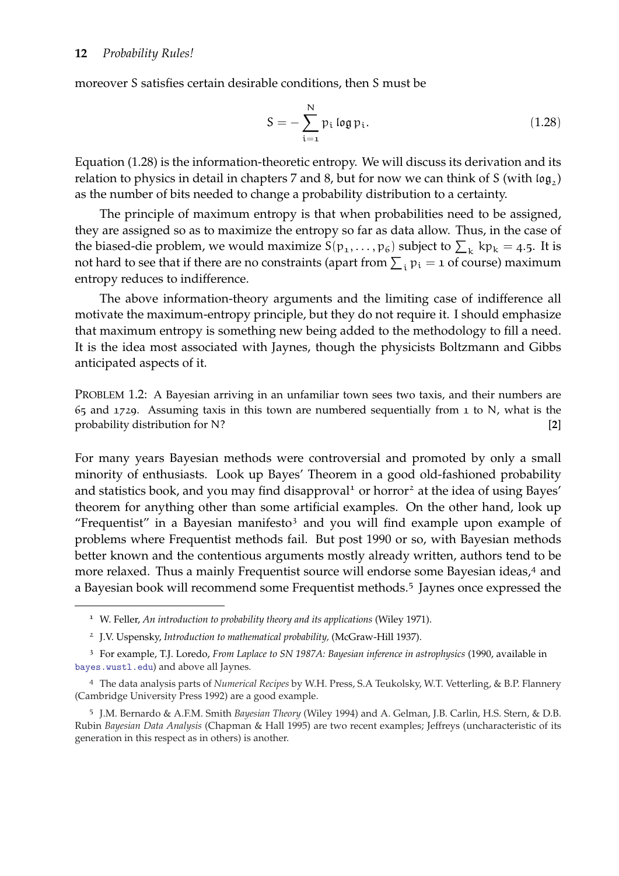moreover S satisfies certain desirable conditions, then S must be

$$
S = -\sum_{i=1}^{N} p_i \log p_i.
$$
 (1.28)

Equation (1.28) is the information-theoretic entropy. We will discuss its derivation and its relation to physics in detail in chapters 7 and 8, but for now we can think of S (with  $\mathfrak{log}_2$ ) as the number of bits needed to change a probability distribution to a certainty.

The principle of maximum entropy is that when probabilities need to be assigned, they are assigned so as to maximize the entropy so far as data allow. Thus, in the case of the biased-die problem, we would maximize  $S(p_1, \ldots, p_6)$  subject to  $\sum_k k p_k = 4.5$ . It is not hard to see that if there are no constraints (apart from  $\sum_i \mathfrak{p}_i = \mathfrak{1}$  of course) maximum entropy reduces to indifference.

The above information-theory arguments and the limiting case of indifference all motivate the maximum-entropy principle, but they do not require it. I should emphasize that maximum entropy is something new being added to the methodology to fill a need. It is the idea most associated with Jaynes, though the physicists Boltzmann and Gibbs anticipated aspects of it.

PROBLEM 1.2: A Bayesian arriving in an unfamiliar town sees two taxis, and their numbers are 65 and 1729. Assuming taxis in this town are numbered sequentially from 1 to N, what is the probability distribution for N? [**2**]

For many years Bayesian methods were controversial and promoted by only a small minority of enthusiasts. Look up Bayes' Theorem in a good old-fashioned probability and statistics book, and you may find disapproval<sup>1</sup> or horror<sup>2</sup> at the idea of using Bayes' theorem for anything other than some artificial examples. On the other hand, look up "Frequentist" in a Bayesian manifesto<sup>3</sup> and you will find example upon example of problems where Frequentist methods fail. But post 1990 or so, with Bayesian methods better known and the contentious arguments mostly already written, authors tend to be more relaxed. Thus a mainly Frequentist source will endorse some Bayesian ideas,<sup>4</sup> and a Bayesian book will recommend some Frequentist methods.<sup>5</sup> Jaynes once expressed the

<sup>&</sup>lt;sup>1</sup> W. Feller, *An introduction to probability theory and its applications* (Wiley 1971).

<sup>2</sup> J.V. Uspensky, *Introduction to mathematical probability,* (McGraw-Hill 1937).

<sup>3</sup> For example, T.J. Loredo, *From Laplace to SN 1987A: Bayesian inference in astrophysics* (1990, available in [bayes.wustl.edu](http://bayes.wustl.edu)) and above all Jaynes.

<sup>4</sup> The data analysis parts of *Numerical Recipes* by W.H. Press, S.A Teukolsky, W.T. Vetterling, & B.P. Flannery (Cambridge University Press 1992) are a good example.

<sup>5</sup> J.M. Bernardo & A.F.M. Smith *Bayesian Theory* (Wiley 1994) and A. Gelman, J.B. Carlin, H.S. Stern, & D.B. Rubin *Bayesian Data Analysis* (Chapman & Hall 1995) are two recent examples; Jeffreys (uncharacteristic of its generation in this respect as in others) is another.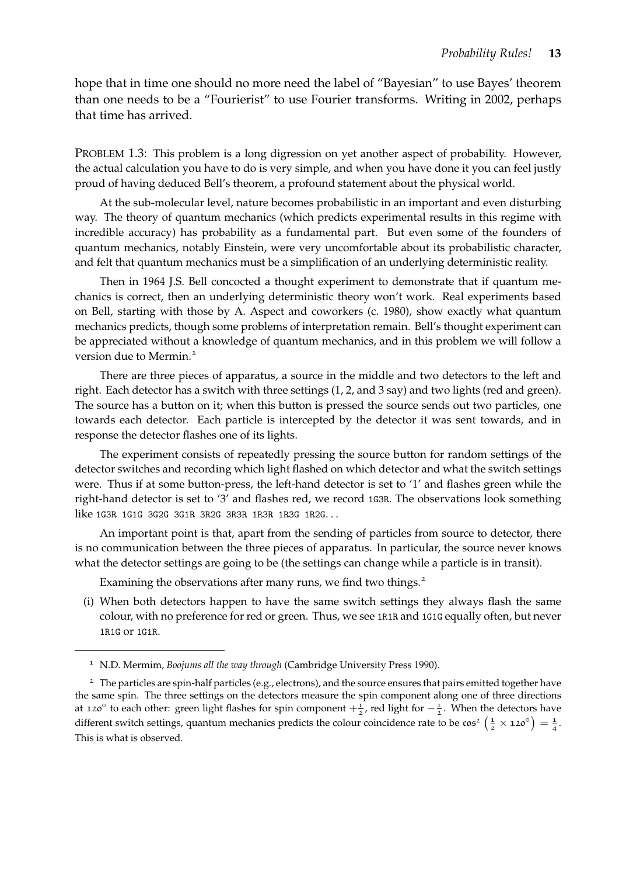hope that in time one should no more need the label of "Bayesian" to use Bayes' theorem than one needs to be a "Fourierist" to use Fourier transforms. Writing in 2002, perhaps that time has arrived.

PROBLEM 1.3: This problem is a long digression on yet another aspect of probability. However, the actual calculation you have to do is very simple, and when you have done it you can feel justly proud of having deduced Bell's theorem, a profound statement about the physical world.

At the sub-molecular level, nature becomes probabilistic in an important and even disturbing way. The theory of quantum mechanics (which predicts experimental results in this regime with incredible accuracy) has probability as a fundamental part. But even some of the founders of quantum mechanics, notably Einstein, were very uncomfortable about its probabilistic character, and felt that quantum mechanics must be a simplification of an underlying deterministic reality.

Then in 1964 J.S. Bell concocted a thought experiment to demonstrate that if quantum mechanics is correct, then an underlying deterministic theory won't work. Real experiments based on Bell, starting with those by A. Aspect and coworkers (c. 1980), show exactly what quantum mechanics predicts, though some problems of interpretation remain. Bell's thought experiment can be appreciated without a knowledge of quantum mechanics, and in this problem we will follow a version due to Mermin. $<sup>1</sup>$ </sup>

There are three pieces of apparatus, a source in the middle and two detectors to the left and right. Each detector has a switch with three settings (1, 2, and 3 say) and two lights (red and green). The source has a button on it; when this button is pressed the source sends out two particles, one towards each detector. Each particle is intercepted by the detector it was sent towards, and in response the detector flashes one of its lights.

The experiment consists of repeatedly pressing the source button for random settings of the detector switches and recording which light flashed on which detector and what the switch settings were. Thus if at some button-press, the left-hand detector is set to '1' and flashes green while the right-hand detector is set to '3' and flashes red, we record 1G3R. The observations look something like 1G3R 1G1G 3G2G 3G1R 3R2G 3R3R 1R3R 1R3G 1R2G. . .

An important point is that, apart from the sending of particles from source to detector, there is no communication between the three pieces of apparatus. In particular, the source never knows what the detector settings are going to be (the settings can change while a particle is in transit).

Examining the observations after many runs, we find two things.<sup>2</sup>

(i) When both detectors happen to have the same switch settings they always flash the same colour, with no preference for red or green. Thus, we see 1R1R and 1G1G equally often, but never 1R1G or 1G1R.

<sup>&</sup>lt;sup>1</sup> N.D. Mermim, *Boojums all the way through* (Cambridge University Press 1990).

<sup>&</sup>lt;sup>2</sup> The particles are spin-half particles (e.g., electrons), and the source ensures that pairs emitted together have the same spin. The three settings on the detectors measure the spin component along one of three directions at 120<sup>°</sup> to each other: green light flashes for spin component  $+\frac{1}{2}$ , red light for  $-\frac{1}{2}$ . When the detectors have different switch settings, quantum mechanics predicts the colour coincidence rate to be  $cos^2(\frac{1}{2} \times 120^\circ) = \frac{1}{4}$ . This is what is observed.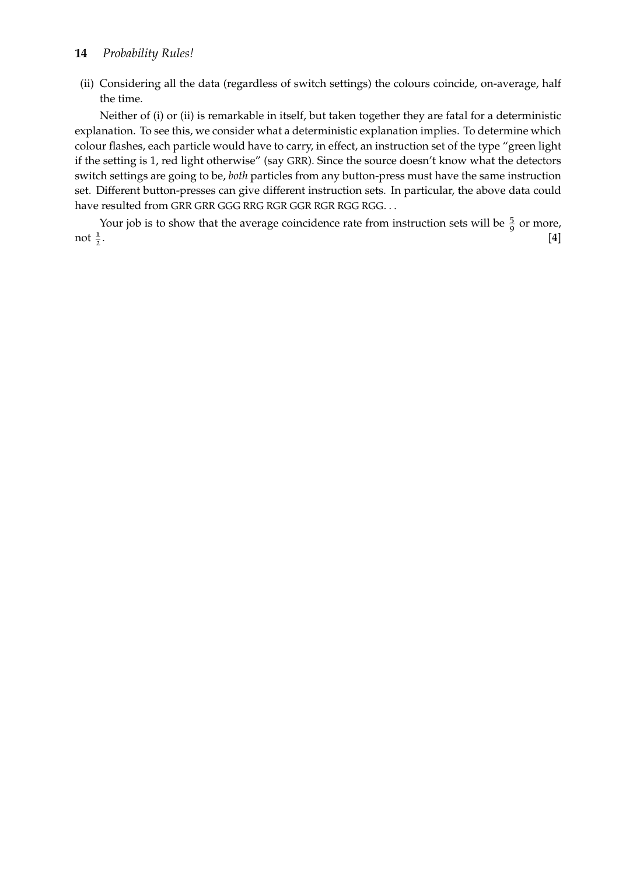#### **14** *Probability Rules!*

(ii) Considering all the data (regardless of switch settings) the colours coincide, on-average, half the time.

Neither of (i) or (ii) is remarkable in itself, but taken together they are fatal for a deterministic explanation. To see this, we consider what a deterministic explanation implies. To determine which colour flashes, each particle would have to carry, in effect, an instruction set of the type "green light if the setting is 1, red light otherwise" (say GRR). Since the source doesn't know what the detectors switch settings are going to be, *both* particles from any button-press must have the same instruction set. Different button-presses can give different instruction sets. In particular, the above data could have resulted from GRR GRR GGG RRG RGR GGR RGR RGG RGG...

Your job is to show that the average coincidence rate from instruction sets will be  $\frac{5}{9}$  or more, not  $\frac{1}{2}$ . [**4**]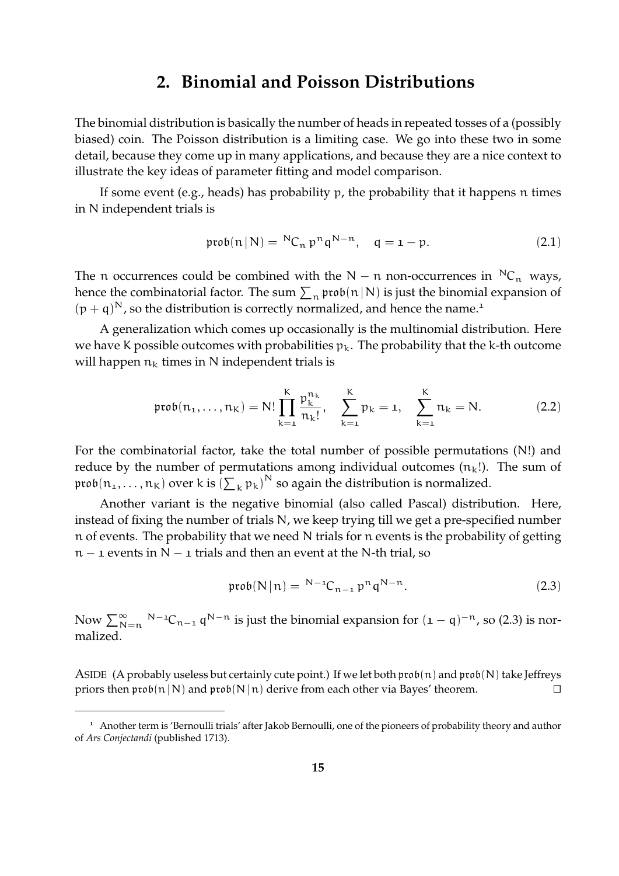### <span id="page-18-0"></span>**2. Binomial and Poisson Distributions**

The binomial distribution is basically the number of heads in repeated tosses of a (possibly biased) coin. The Poisson distribution is a limiting case. We go into these two in some detail, because they come up in many applications, and because they are a nice context to illustrate the key ideas of parameter fitting and model comparison.

If some event (e.g., heads) has probability p, the probability that it happens n times in N independent trials is

$$
\mathfrak{prob}(n|N) = {}^{N}C_n p^n q^{N-n}, \quad q = 1 - p. \tag{2.1}
$$

The n occurrences could be combined with the N – n non-occurrences in  ${}^NC_n$  ways, hence the combinatorial factor. The sum  $\sum_{n}$  prob $(n|N)$  is just the binomial expansion of  $(p+q)^N$ , so the distribution is correctly normalized, and hence the name.<sup>1</sup>

A generalization which comes up occasionally is the multinomial distribution. Here we have K possible outcomes with probabilities  $p_k$ . The probability that the k-th outcome will happen  $n_k$  times in N independent trials is

$$
\mathfrak{prob}(n_1, \dots, n_K) = N! \prod_{k=1}^{K} \frac{p_k^{n_k}}{n_k!}, \quad \sum_{k=1}^{K} p_k = 1, \quad \sum_{k=1}^{K} n_k = N. \tag{2.2}
$$

For the combinatorial factor, take the total number of possible permutations (N!) and reduce by the number of permutations among individual outcomes  $(n_k!)$ . The sum of  $\mathfrak{prob}(n_1,\ldots,n_K)$  over k is  $\widetilde{\left( \sum_k p_k\right)^N}$  so again the distribution is normalized.

Another variant is the negative binomial (also called Pascal) distribution. Here, instead of fixing the number of trials N, we keep trying till we get a pre-specified number n of events. The probability that we need N trials for n events is the probability of getting  $n - 1$  events in N  $- 1$  trials and then an event at the N-th trial, so

$$
\mathfrak{prob}(N|n) = {}^{N-1}C_{n-1} p^n q^{N-n}.
$$
 (2.3)

Now  $\sum_{N=n}^{\infty}$   $\frac{N-1}{n-1}$  q $\frac{N-n}{n}$  is just the binomial expansion for  $(1 - q)^{-n}$ , so (2.3) is normalized.

ASIDE (A probably useless but certainly cute point.) If we let both  $\mathfrak{prob}(n)$  and  $\mathfrak{prob}(N)$  take Jeffreys priors then  $\mathfrak{prob}(n|N)$  and  $\mathfrak{prob}(N|n)$  derive from each other via Bayes' theorem.

<sup>&</sup>lt;sup>1</sup> Another term is 'Bernoulli trials' after Jakob Bernoulli, one of the pioneers of probability theory and author of *Ars Conjectandi* (published 1713).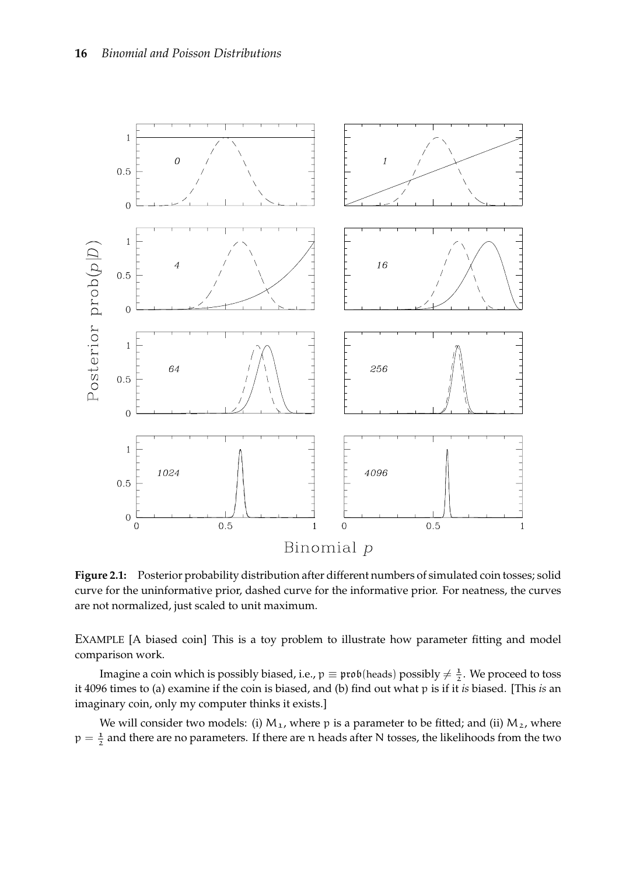

**Figure 2.1:** Posterior probability distribution after different numbers of simulated coin tosses; solid curve for the uninformative prior, dashed curve for the informative prior. For neatness, the curves are not normalized, just scaled to unit maximum.

EXAMPLE [A biased coin] This is a toy problem to illustrate how parameter fitting and model comparison work.

Imagine a coin which is possibly biased, i.e.,  $p \equiv \text{prob}(\text{heads})$  possibly  $\neq \frac{1}{2}$  $\frac{1}{2}$ . We proceed to toss it 4096 times to (a) examine if the coin is biased, and (b) find out what p is if it *is* biased. [This *is* an imaginary coin, only my computer thinks it exists.]

We will consider two models: (i)  $M_1$ , where p is a parameter to be fitted; and (ii)  $M_2$ , where  $p = \frac{1}{2}$  $\frac{1}{2}$  and there are no parameters. If there are n heads after N tosses, the likelihoods from the two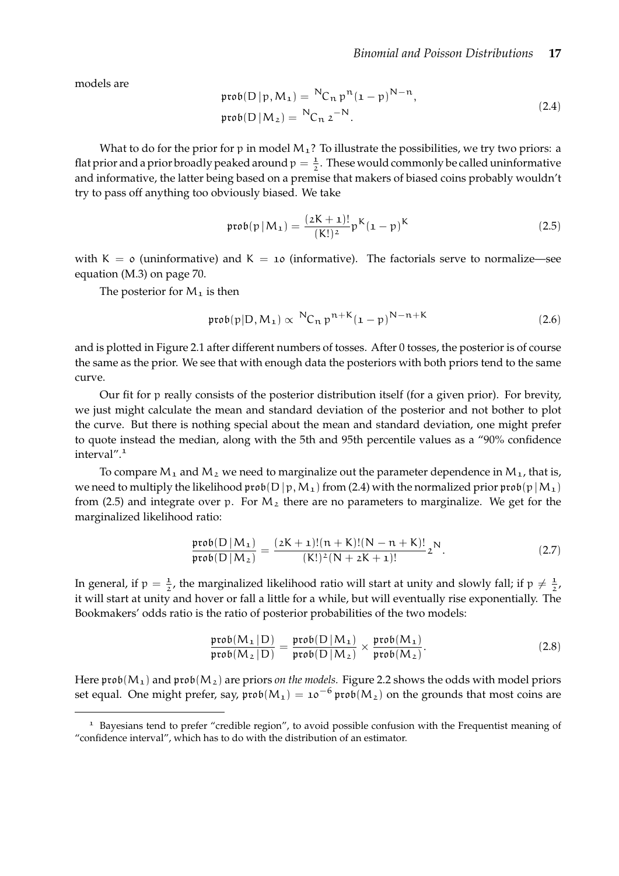models are

$$
\text{prob}(D | p, M_1) = {}^{N}C_n p^n (1 - p)^{N - n},
$$
  
\n
$$
\text{prob}(D | M_2) = {}^{N}C_n z^{-N}.
$$
 (2.4)

What to do for the prior for p in model  $M_1$ ? To illustrate the possibilities, we try two priors: a flat prior and a prior broadly peaked around  $p = \frac{1}{2}$  $\frac{1}{2}$ . These would commonly be called uninformative and informative, the latter being based on a premise that makers of biased coins probably wouldn't try to pass off anything too obviously biased. We take

$$
\mathfrak{prob}(p \, | \, M_1) = \frac{(2K+1)!}{(K!)^2} p^K (1-p)^K \tag{2.5}
$$

with  $K = o$  (uninformative) and  $K = 10$  (informative). The factorials serve to normalize—see equation (M.3) on page 70.

The posterior for  $M_1$  is then

$$
\mathfrak{prob}(p|D, M_1) \propto {}^{N}C_n p^{n+K} (1-p)^{N-n+K} \tag{2.6}
$$

and is plotted in Figure 2.1 after different numbers of tosses. After 0 tosses, the posterior is of course the same as the prior. We see that with enough data the posteriors with both priors tend to the same curve.

Our fit for p really consists of the posterior distribution itself (for a given prior). For brevity, we just might calculate the mean and standard deviation of the posterior and not bother to plot the curve. But there is nothing special about the mean and standard deviation, one might prefer to quote instead the median, along with the 5th and 95th percentile values as a "90% confidence interval".<sup>1</sup>

To compare  $M_1$  and  $M_2$  we need to marginalize out the parameter dependence in  $M_1$ , that is, we need to multiply the likelihood  $\mathfrak{prob}(D|p,M_1)$  from (2.4) with the normalized prior  $\mathfrak{prob}(p|M_1)$ from (2.5) and integrate over p. For  $M_2$  there are no parameters to marginalize. We get for the marginalized likelihood ratio:

$$
\frac{\text{prob}(D \mid M_1)}{\text{prob}(D \mid M_2)} = \frac{(2K+1)!(n+K)!(N-n+K)!}{(K!)^2(N+2K+1)!} 2^N.
$$
\n(2.7)

In general, if  $p = \frac{1}{2}$  $\frac{1}{2}$ , the marginalized likelihood ratio will start at unity and slowly fall; if  $p \neq \frac{1}{2}$  $\frac{1}{2}$ it will start at unity and hover or fall a little for a while, but will eventually rise exponentially. The Bookmakers' odds ratio is the ratio of posterior probabilities of the two models:

$$
\frac{\text{prob}(M_1|D)}{\text{prob}(M_2|D)} = \frac{\text{prob}(D|M_1)}{\text{prob}(D|M_2)} \times \frac{\text{prob}(M_1)}{\text{prob}(M_2)}.
$$
\n(2.8)

Here  $\mathfrak{prob}(M_1)$  and  $\mathfrak{prob}(M_2)$  are priors *on the models*. Figure 2.2 shows the odds with model priors set equal. One might prefer, say,  $\mathfrak{prob}(M_1) = \mathfrak{10}^{-6} \mathfrak{prob}(M_2)$  on the grounds that most coins are

<sup>&</sup>lt;sup>1</sup> Bayesians tend to prefer "credible region", to avoid possible confusion with the Frequentist meaning of "confidence interval", which has to do with the distribution of an estimator.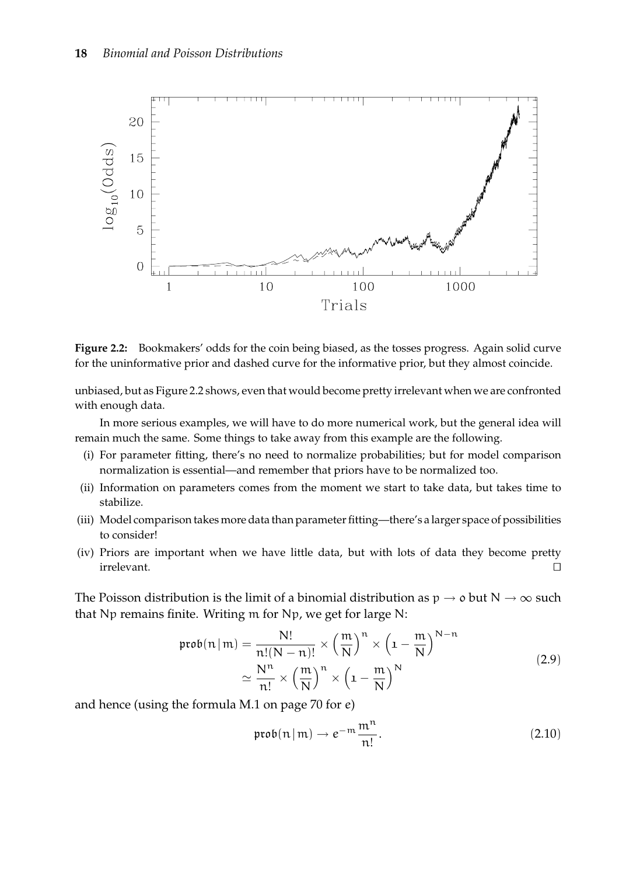

**Figure 2.2:** Bookmakers' odds for the coin being biased, as the tosses progress. Again solid curve for the uninformative prior and dashed curve for the informative prior, but they almost coincide.

unbiased, but as Figure 2.2 shows, even that would become pretty irrelevant when we are confronted with enough data.

In more serious examples, we will have to do more numerical work, but the general idea will remain much the same. Some things to take away from this example are the following.

- (i) For parameter fitting, there's no need to normalize probabilities; but for model comparison normalization is essential—and remember that priors have to be normalized too.
- (ii) Information on parameters comes from the moment we start to take data, but takes time to stabilize.
- (iii) Model comparison takes more data than parameter fitting—there's a larger space of possibilities to consider!
- (iv) Priors are important when we have little data, but with lots of data they become pretty  $\Box$ irrelevant.  $\Box$

The Poisson distribution is the limit of a binomial distribution as  $p \to o$  but  $N \to \infty$  such that Np remains finite. Writing m for Np, we get for large N:

$$
\text{prob}(n|m) = \frac{N!}{n!(N-n)!} \times \left(\frac{m}{N}\right)^n \times \left(1 - \frac{m}{N}\right)^{N-n} \approx \frac{N^n}{n!} \times \left(\frac{m}{N}\right)^n \times \left(1 - \frac{m}{N}\right)^N \tag{2.9}
$$

and hence (using the formula M.1 on page 70 for e)

$$
\mathfrak{prob}(n|m) \to e^{-m} \frac{m^n}{n!}.
$$
\n(2.10)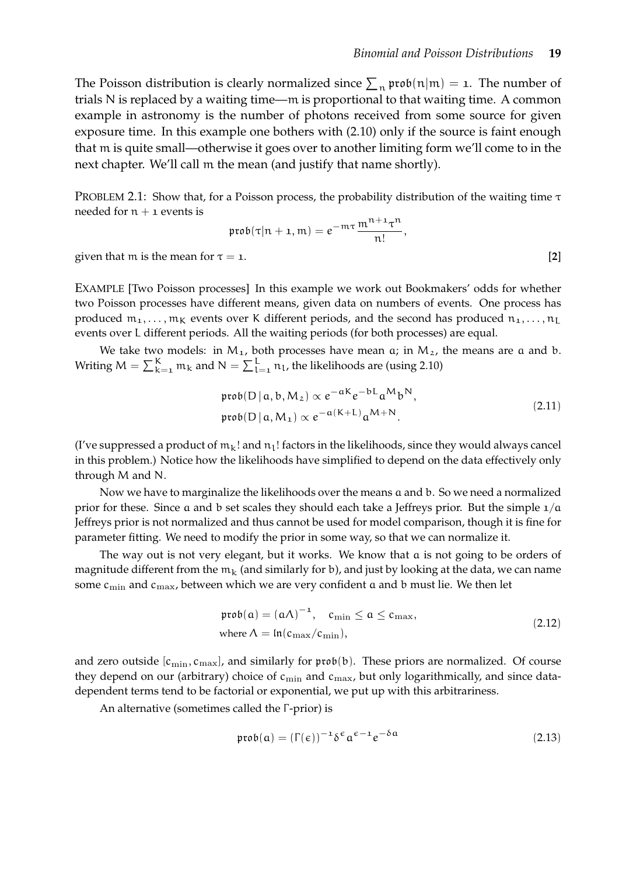The Poisson distribution is clearly normalized since  $\sum_{n}$   $\mathfrak{prob}(n|m) = 1$ . The number of trials N is replaced by a waiting time—m is proportional to that waiting time. A common example in astronomy is the number of photons received from some source for given exposure time. In this example one bothers with (2.10) only if the source is faint enough that m is quite small—otherwise it goes over to another limiting form we'll come to in the next chapter. We'll call m the mean (and justify that name shortly).

PROBLEM 2.1: Show that, for a Poisson process, the probability distribution of the waiting time τ needed for  $n + 1$  events is

$$
\mathfrak{prob}(\tau|n+1,m)=e^{-m\tau}\frac{m^{n+1}\tau^n}{n!},
$$
 given that *m* is the mean for  $\tau = 1$ . [2]

EXAMPLE [Two Poisson processes] In this example we work out Bookmakers' odds for whether two Poisson processes have different means, given data on numbers of events. One process has produced  $m_1, \ldots, m_K$  events over K different periods, and the second has produced  $n_1, \ldots, n_L$ events over L different periods. All the waiting periods (for both processes) are equal.

We take two models: in  $M_1$ , both processes have mean  $a$ ; in  $M_2$ , the means are  $a$  and  $b$ . Writing  $M = \sum_{k=1}^{K} m_k$  and  $N = \sum_{l=1}^{L} n_l$ , the likelihoods are (using 2.10)

$$
\mathfrak{prob}(D | a, b, M_2) \propto e^{-aK} e^{-bL} a^{M} b^{N},
$$
  
\n
$$
\mathfrak{prob}(D | a, M_1) \propto e^{-a(K+L)} a^{M+N}.
$$
\n(2.11)

(I've suppressed a product of  $m_k!$  and  $n_l!$  factors in the likelihoods, since they would always cancel in this problem.) Notice how the likelihoods have simplified to depend on the data effectively only through M and N.

Now we have to marginalize the likelihoods over the means a and b. So we need a normalized prior for these. Since a and b set scales they should each take a Jeffreys prior. But the simple  $1/a$ Jeffreys prior is not normalized and thus cannot be used for model comparison, though it is fine for parameter fitting. We need to modify the prior in some way, so that we can normalize it.

The way out is not very elegant, but it works. We know that a is not going to be orders of magnitude different from the  $m_k$  (and similarly for b), and just by looking at the data, we can name some  $c_{\min}$  and  $c_{\max}$ , between which we are very confident a and b must lie. We then let

$$
\begin{aligned} \mathfrak{prob}(a) &= (a\Lambda)^{-1}, \quad c_{\min} \le a \le c_{\max}, \\ \text{where } \Lambda &= \ln(c_{\max}/c_{\min}), \end{aligned} \tag{2.12}
$$

and zero outside  $[c<sub>min</sub>, c<sub>max</sub>]$ , and similarly for  $prob(b)$ . These priors are normalized. Of course they depend on our (arbitrary) choice of  $c_{\min}$  and  $c_{\max}$ , but only logarithmically, and since datadependent terms tend to be factorial or exponential, we put up with this arbitrariness.

An alternative (sometimes called the Γ -prior) is

$$
\mathfrak{prob}(a) = (\Gamma(\epsilon))^{-1} \delta^{\epsilon} a^{\epsilon - 1} e^{-\delta a} \tag{2.13}
$$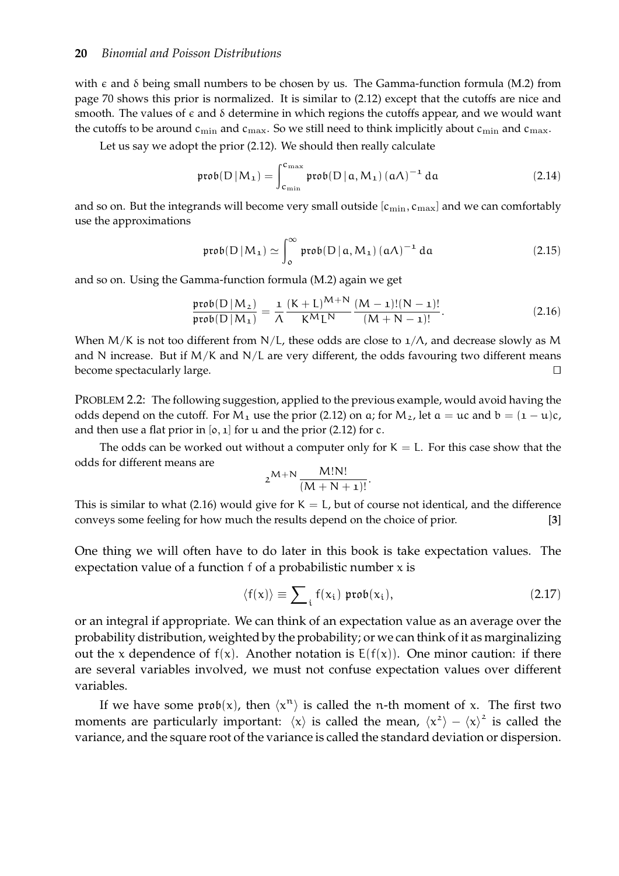with  $\epsilon$  and  $\delta$  being small numbers to be chosen by us. The Gamma-function formula (M.2) from page 70 shows this prior is normalized. It is similar to (2.12) except that the cutoffs are nice and smooth. The values of  $\epsilon$  and  $\delta$  determine in which regions the cutoffs appear, and we would want the cutoffs to be around  $c_{\min}$  and  $c_{\max}$ . So we still need to think implicitly about  $c_{\min}$  and  $c_{\max}$ .

Let us say we adopt the prior (2.12). We should then really calculate

$$
\mathfrak{prob}(D \,|\, M_1) = \int_{c_{\min}}^{c_{\max}} \mathfrak{prob}(D \,|\, a, M_1) \, (a \Lambda)^{-1} \, da \tag{2.14}
$$

and so on. But the integrands will become very small outside  $[c_{\min}, c_{\max}]$  and we can comfortably use the approximations

$$
\mathfrak{prob}(D \, | \, M_1) \simeq \int_0^\infty \mathfrak{prob}(D \, | \, a, M_1) \left(a \Lambda\right)^{-1} da \tag{2.15}
$$

and so on. Using the Gamma-function formula (M.2) again we get

$$
\frac{\text{prob}(D \mid M_2)}{\text{prob}(D \mid M_1)} = \frac{1}{\Lambda} \frac{(K+L)^{M+N}}{K^M L^N} \frac{(M-1)!(N-1)!}{(M+N-1)!}.
$$
\n(2.16)

When  $M/K$  is not too different from  $N/L$ , these odds are close to  $1/\Lambda$ , and decrease slowly as M and N increase. But if  $M/K$  and  $N/L$  are very different, the odds favouring two different means become spectacularly large.  $\Box$ 

PROBLEM 2.2: The following suggestion, applied to the previous example, would avoid having the odds depend on the cutoff. For  $M_1$  use the prior (2.12) on a; for  $M_2$ , let a = uc and b =  $(1 - u)c$ , and then use a flat prior in  $[0, 1]$  for u and the prior (2.12) for c.

The odds can be worked out without a computer only for  $K = L$ . For this case show that the odds for different means are

$$
2^{M+N} \frac{M!N!}{(M+N+1)!}.
$$

This is similar to what (2.16) would give for  $K = L$ , but of course not identical, and the difference conveys some feeling for how much the results depend on the choice of prior. [**3**]

One thing we will often have to do later in this book is take expectation values. The expectation value of a function  $f$  of a probabilistic number  $x$  is

$$
\langle f(x) \rangle \equiv \sum_{i} f(x_i) \text{ prob}(x_i), \qquad (2.17)
$$

or an integral if appropriate. We can think of an expectation value as an average over the probability distribution, weighted by the probability; or we can think of it as marginalizing out the x dependence of  $f(x)$ . Another notation is  $E(f(x))$ . One minor caution: if there are several variables involved, we must not confuse expectation values over different variables.

If we have some  $prob(x)$ , then  $\langle x^n \rangle$  is called the n-th moment of x. The first two moments are particularly important:  $\langle x \rangle$  is called the mean,  $\langle x^2 \rangle - \langle x \rangle^2$  is called the variance, and the square root of the variance is called the standard deviation or dispersion.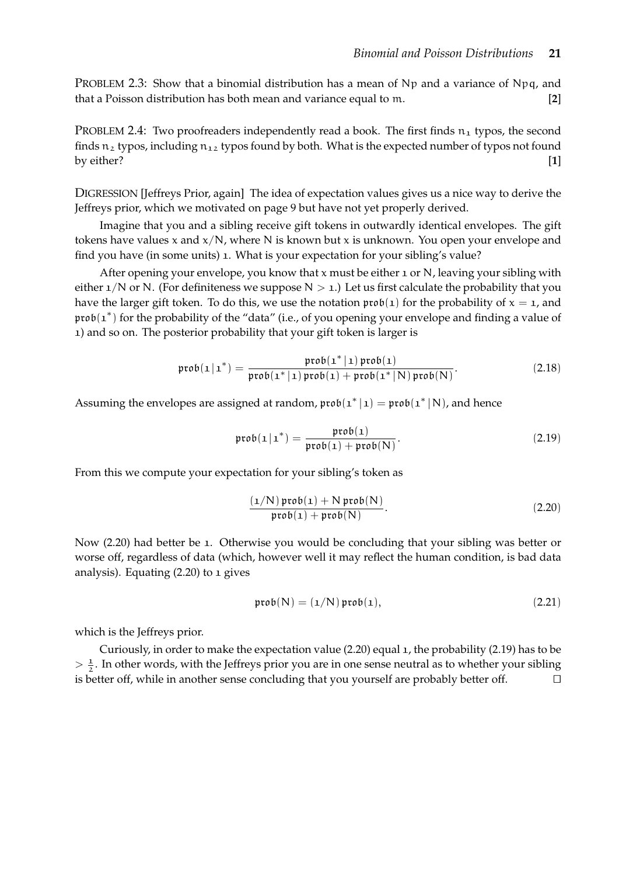PROBLEM 2.3: Show that a binomial distribution has a mean of Np and a variance of Npq, and that a Poisson distribution has both mean and variance equal to m. [**2**]

PROBLEM 2.4: Two proofreaders independently read a book. The first finds  $n_1$  typos, the second finds  $n_2$  typos, including  $n_{12}$  typos found by both. What is the expected number of typos not found by either? [**1**]

DIGRESSION [Jeffreys Prior, again] The idea of expectation values gives us a nice way to derive the Jeffreys prior, which we motivated on page 9 but have not yet properly derived.

Imagine that you and a sibling receive gift tokens in outwardly identical envelopes. The gift tokens have values x and  $x/N$ , where N is known but x is unknown. You open your envelope and find you have (in some units) 1. What is your expectation for your sibling's value?

After opening your envelope, you know that x must be either  $1$  or N, leaving your sibling with either  $1/N$  or N. (For definiteness we suppose N  $> 1$ .) Let us first calculate the probability that you have the larger gift token. To do this, we use the notation  $\mathfrak{prob}(1)$  for the probability of  $x = 1$ , and prob(1<sup>\*</sup>) for the probability of the "data" (i.e., of you opening your envelope and finding a value of 1) and so on. The posterior probability that your gift token is larger is

$$
\mathfrak{prob}(\mathbf{1} | \mathbf{1}^*) = \frac{\mathfrak{prob}(\mathbf{1}^* | \mathbf{1}) \mathfrak{prob}(\mathbf{1})}{\mathfrak{prob}(\mathbf{1}^* | \mathbf{1}) \mathfrak{prob}(\mathbf{1}) + \mathfrak{prob}(\mathbf{1}^* | N) \mathfrak{prob}(N)}.
$$
\n(2.18)

Assuming the envelopes are assigned at random,  $\mathfrak{prob}(\mathbf{1}^* | \mathbf{1}) = \mathfrak{prob}(\mathbf{1}^* | \mathbf{N})$ , and hence

$$
\mathfrak{prob}(\mathbf{1}|\mathbf{1}^*) = \frac{\mathfrak{prob}(\mathbf{1})}{\mathfrak{prob}(\mathbf{1}) + \mathfrak{prob}(N)}.
$$
\n(2.19)

From this we compute your expectation for your sibling's token as

$$
\frac{(\mathbf{1}/\mathbf{N})\operatorname{prob}(\mathbf{1}) + \mathbf{N}\operatorname{prob}(\mathbf{N})}{\operatorname{prob}(\mathbf{1}) + \operatorname{prob}(\mathbf{N})}.
$$
\n(2.20)

Now (2.20) had better be 1. Otherwise you would be concluding that your sibling was better or worse off, regardless of data (which, however well it may reflect the human condition, is bad data analysis). Equating  $(2.20)$  to 1 gives

$$
\mathfrak{prob}(N) = (1/N)\,\mathfrak{prob}(1),\tag{2.21}
$$

which is the Jeffreys prior.

Curiously, in order to make the expectation value (2.20) equal 1, the probability (2.19) has to be  $> \frac{1}{2}$  $\frac{1}{2}$ . In other words, with the Jeffreys prior you are in one sense neutral as to whether your sibling is better off, while in another sense concluding that you yourself are probably better off.  $\Box$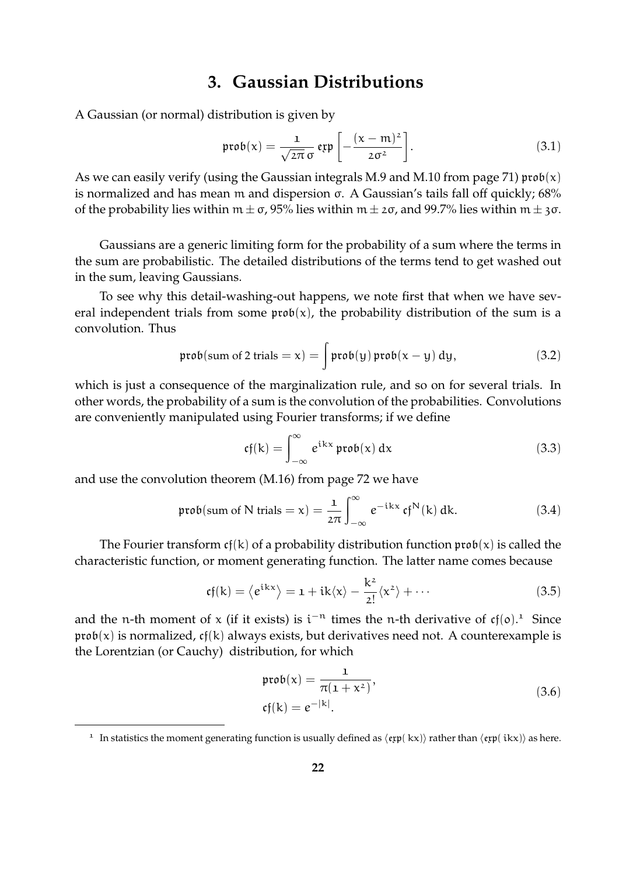### **3. Gaussian Distributions**

A Gaussian (or normal) distribution is given by

<span id="page-25-0"></span>
$$
\mathfrak{prob}(\mathbf{x}) = \frac{1}{\sqrt{2\pi}\,\sigma} \exp\left[-\frac{(\mathbf{x} - \mathbf{m})^2}{2\sigma^2}\right].\tag{3.1}
$$

As we can easily verify (using the Gaussian integrals M.9 and M.10 from page 71)  $\mathfrak{prob}(x)$ is normalized and has mean m and dispersion  $\sigma$ . A Gaussian's tails fall off quickly; 68% of the probability lies within  $m \pm \sigma$ , 95% lies within  $m \pm 2\sigma$ , and 99.7% lies within  $m \pm 3\sigma$ .

Gaussians are a generic limiting form for the probability of a sum where the terms in the sum are probabilistic. The detailed distributions of the terms tend to get washed out in the sum, leaving Gaussians.

To see why this detail-washing-out happens, we note first that when we have several independent trials from some  $prob(x)$ , the probability distribution of the sum is a convolution. Thus

$$
\mathfrak{prob}(\text{sum of 2 trials} = x) = \int \mathfrak{prob}(y) \, \mathfrak{prob}(x - y) \, dy,\tag{3.2}
$$

which is just a consequence of the marginalization rule, and so on for several trials. In other words, the probability of a sum is the convolution of the probabilities. Convolutions are conveniently manipulated using Fourier transforms; if we define

$$
cf(k) = \int_{-\infty}^{\infty} e^{ikx} \operatorname{prob}(x) dx
$$
 (3.3)

and use the convolution theorem (M.16) from page 72 we have

$$
\text{prob}(\text{sum of N trials} = x) = \frac{1}{2\pi} \int_{-\infty}^{\infty} e^{-ikx} \, \mathfrak{c} \mathfrak{f}^N(k) \, dk. \tag{3.4}
$$

The Fourier transform  $cf(k)$  of a probability distribution function  $\text{prob}(x)$  is called the characteristic function, or moment generating function. The latter name comes because

$$
cf(k) = \langle e^{ikx} \rangle = 1 + ik\langle x \rangle - \frac{k^2}{2!} \langle x^2 \rangle + \cdots
$$
 (3.5)

and the n-th moment of x (if it exists) is  $i^{-n}$  times the n-th derivative of  $cf(0)^{n}$ . Since  $\mathfrak{prob}(x)$  is normalized,  $\mathfrak{cf}(k)$  always exists, but derivatives need not. A counterexample is the Lorentzian (or Cauchy) distribution, for which

$$
\begin{aligned} \n\mathfrak{prob}(x) &= \frac{1}{\pi(1 + x^2)}, \\ \n\mathfrak{c}\mathfrak{f}(k) &= e^{-|k|}. \n\end{aligned} \tag{3.6}
$$

<sup>&</sup>lt;sup>1</sup> In statistics the moment generating function is usually defined as  $\langle \exp(kx) \rangle$  rather than  $\langle \exp(kx) \rangle$  as here.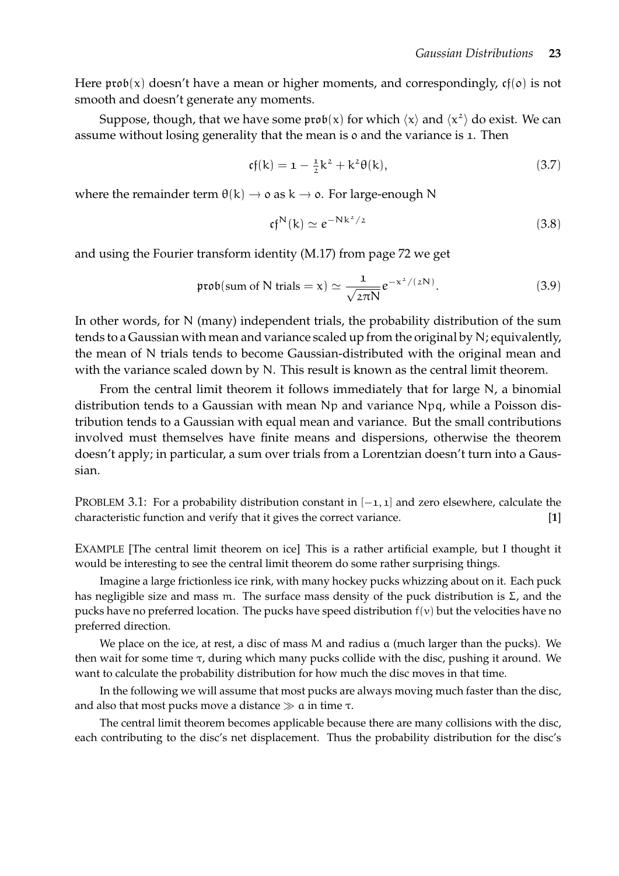Here  $\text{prob}(x)$  doesn't have a mean or higher moments, and correspondingly,  $cf(o)$  is not smooth and doesn't generate any moments.

Suppose, though, that we have some  $\mathfrak{prob}(x)$  for which  $\langle x \rangle$  and  $\langle x^2 \rangle$  do exist. We can assume without losing generality that the mean is 0 and the variance is 1. Then

$$
cf(k) = 1 - \frac{1}{2}k^2 + k^2\theta(k),
$$
\n(3.7)

where the remainder term  $\theta(k) \rightarrow o$  as  $k \rightarrow o$ . For large-enough N

$$
cf^N(k) \simeq e^{-Nk^2/2} \tag{3.8}
$$

and using the Fourier transform identity (M.17) from page 72 we get

$$
\text{prob}(\text{sum of N trials} = \mathbf{x}) \simeq \frac{1}{\sqrt{2\pi N}} e^{-\mathbf{x}^2/(2N)}.
$$
 (3.9)

In other words, for N (many) independent trials, the probability distribution of the sum tends to a Gaussian with mean and variance scaled up from the original by N; equivalently, the mean of N trials tends to become Gaussian-distributed with the original mean and with the variance scaled down by N. This result is known as the central limit theorem.

From the central limit theorem it follows immediately that for large N, a binomial distribution tends to a Gaussian with mean Np and variance Npq, while a Poisson distribution tends to a Gaussian with equal mean and variance. But the small contributions involved must themselves have finite means and dispersions, otherwise the theorem doesn't apply; in particular, a sum over trials from a Lorentzian doesn't turn into a Gaussian.

PROBLEM 3.1: For a probability distribution constant in  $[-1, 1]$  and zero elsewhere, calculate the characteristic function and verify that it gives the correct variance. [**1**]

EXAMPLE [The central limit theorem on ice] This is a rather artificial example, but I thought it would be interesting to see the central limit theorem do some rather surprising things.

Imagine a large frictionless ice rink, with many hockey pucks whizzing about on it. Each puck has negligible size and mass m. The surface mass density of the puck distribution is  $Σ$ , and the pucks have no preferred location. The pucks have speed distribution  $f(v)$  but the velocities have no preferred direction.

We place on the ice, at rest, a disc of mass M and radius a (much larger than the pucks). We then wait for some time  $\tau$ , during which many pucks collide with the disc, pushing it around. We want to calculate the probability distribution for how much the disc moves in that time.

In the following we will assume that most pucks are always moving much faster than the disc, and also that most pucks move a distance  $\gg$  a in time  $\tau$ .

The central limit theorem becomes applicable because there are many collisions with the disc, each contributing to the disc's net displacement. Thus the probability distribution for the disc's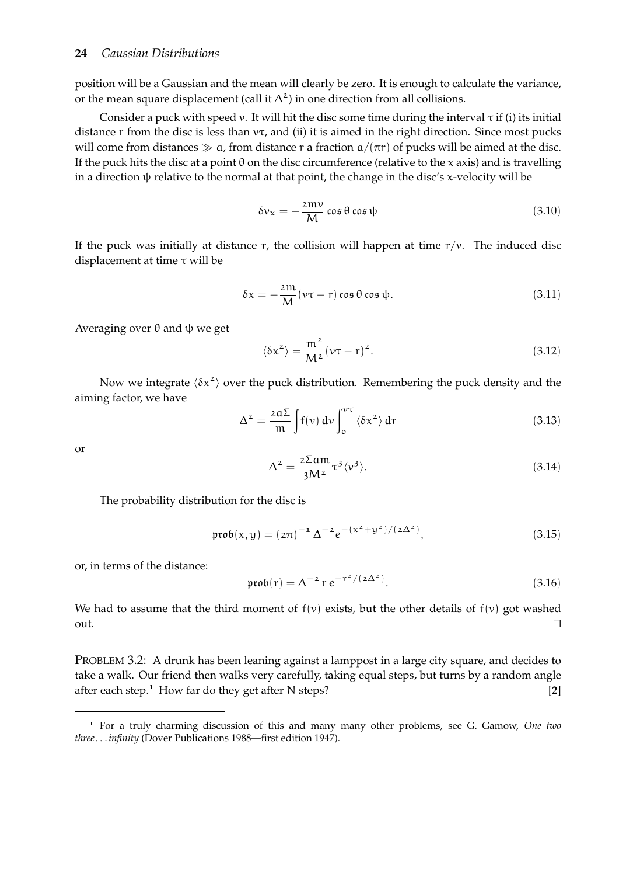position will be a Gaussian and the mean will clearly be zero. It is enough to calculate the variance, or the mean square displacement (call it  $\Delta^2$ ) in one direction from all collisions.

Consider a puck with speed v. It will hit the disc some time during the interval  $\tau$  if (i) its initial distance r from the disc is less than  $\nu\tau$ , and (ii) it is aimed in the right direction. Since most pucks will come from distances  $\gg$  α, from distance r a fraction  $\alpha/(\pi r)$  of pucks will be aimed at the disc. If the puck hits the disc at a point  $\theta$  on the disc circumference (relative to the x axis) and is travelling in a direction  $\psi$  relative to the normal at that point, the change in the disc's x-velocity will be

$$
\delta v_x = -\frac{2mv}{M}\cos\theta\cos\psi\tag{3.10}
$$

If the puck was initially at distance r, the collision will happen at time  $r/v$ . The induced disc displacement at time τ will be

$$
\delta x = -\frac{2m}{M}(v\tau - r)\cos\theta\cos\psi.
$$
 (3.11)

Averaging over  $θ$  and  $ψ$  we get

$$
\langle \delta x^2 \rangle = \frac{m^2}{M^2} (\nu \tau - r)^2.
$$
 (3.12)

Now we integrate  $\langle \delta x^2 \rangle$  over the puck distribution. Remembering the puck density and the aiming factor, we have

$$
\Delta^{2} = \frac{2a\Sigma}{m} \int f(v) dv \int_{0}^{v\tau} \langle \delta x^{2} \rangle dr
$$
 (3.13)

or

$$
\Delta^2 = \frac{2\Sigma \, \mathrm{am}}{3M^2} \tau^3 \langle v^3 \rangle. \tag{3.14}
$$

The probability distribution for the disc is

$$
\mathfrak{prob}(x, y) = (2\pi)^{-1} \Delta^{-2} e^{-(x^2 + y^2)/(2\Delta^2)}, \qquad (3.15)
$$

or, in terms of the distance:

$$
\text{prob}(r) = \Delta^{-2} r e^{-r^2/(2\Delta^2)}.
$$
 (3.16)

We had to assume that the third moment of  $f(v)$  exists, but the other details of  $f(v)$  got washed out.  $\Box$ 

PROBLEM 3.2: A drunk has been leaning against a lamppost in a large city square, and decides to take a walk. Our friend then walks very carefully, taking equal steps, but turns by a random angle after each step.<sup>1</sup> How far do they get after N steps? [2]

<sup>1</sup> For a truly charming discussion of this and many many other problems, see G. Gamow, *One two three*. . . *infinity* (Dover Publications 1988—first edition 1947).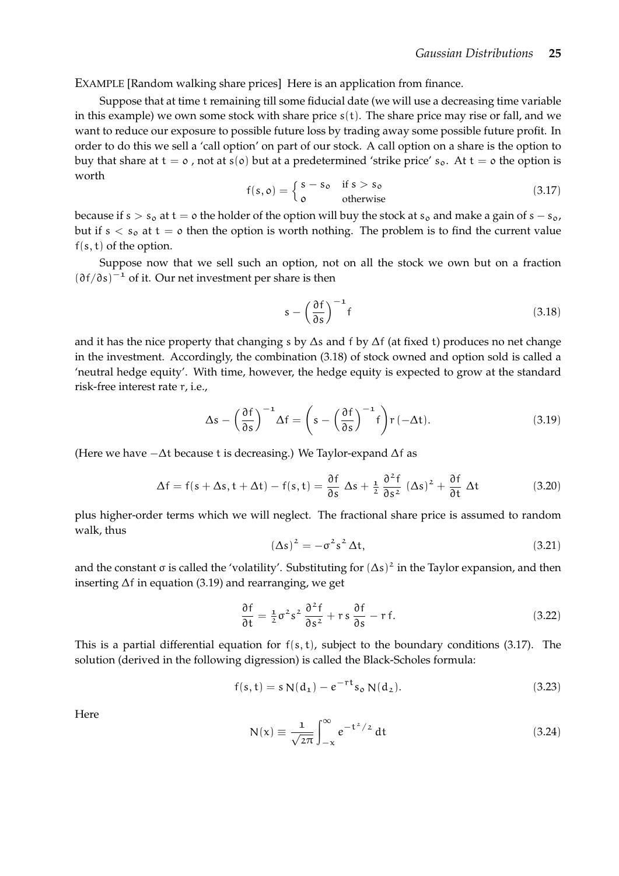EXAMPLE [Random walking share prices] Here is an application from finance.

Suppose that at time t remaining till some fiducial date (we will use a decreasing time variable in this example) we own some stock with share price  $s(t)$ . The share price may rise or fall, and we want to reduce our exposure to possible future loss by trading away some possible future profit. In order to do this we sell a 'call option' on part of our stock. A call option on a share is the option to buy that share at  $t = o$ , not at  $s(o)$  but at a predetermined 'strike price'  $s_o$ . At  $t = o$  the option is worth

$$
f(s, o) = \begin{cases} s - s_o & \text{if } s > s_o \\ o & \text{otherwise} \end{cases}
$$
 (3.17)

because if  $s > s_0$  at  $t = o$  the holder of the option will buy the stock at  $s_0$  and make a gain of  $s - s_0$ , but if  $s < s_0$  at  $t = o$  then the option is worth nothing. The problem is to find the current value  $f(s, t)$  of the option.

Suppose now that we sell such an option, not on all the stock we own but on a fraction (∂f/∂s) −1 of it. Our net investment per share is then

$$
s - \left(\frac{\partial f}{\partial s}\right)^{-1} f \tag{3.18}
$$

and it has the nice property that changing s by ∆s and f by ∆f (at fixed t) produces no net change in the investment. Accordingly, the combination (3.18) of stock owned and option sold is called a 'neutral hedge equity'. With time, however, the hedge equity is expected to grow at the standard risk-free interest rate r, i.e.,

$$
\Delta s - \left(\frac{\partial f}{\partial s}\right)^{-1} \Delta f = \left(s - \left(\frac{\partial f}{\partial s}\right)^{-1} f\right) r \left(-\Delta t\right). \tag{3.19}
$$

(Here we have  $-\Delta t$  because t is decreasing.) We Taylor-expand  $\Delta f$  as

$$
\Delta f = f(s + \Delta s, t + \Delta t) - f(s, t) = \frac{\partial f}{\partial s} \Delta s + \frac{1}{2} \frac{\partial^2 f}{\partial s^2} (\Delta s)^2 + \frac{\partial f}{\partial t} \Delta t
$$
 (3.20)

plus higher-order terms which we will neglect. The fractional share price is assumed to random walk, thus

$$
(\Delta s)^2 = -\sigma^2 s^2 \Delta t,\tag{3.21}
$$

and the constant  $\sigma$  is called the 'volatility'. Substituting for  $(\Delta s)^2$  in the Taylor expansion, and then inserting ∆f in equation (3.19) and rearranging, we get

$$
\frac{\partial f}{\partial t} = \frac{1}{2}\sigma^2 s^2 \frac{\partial^2 f}{\partial s^2} + r s \frac{\partial f}{\partial s} - r f.
$$
 (3.22)

This is a partial differential equation for  $f(s, t)$ , subject to the boundary conditions (3.17). The solution (derived in the following digression) is called the Black-Scholes formula:

$$
f(s, t) = s N(d_1) - e^{-rt} s_0 N(d_2).
$$
 (3.23)

Here

$$
N(x) \equiv \frac{1}{\sqrt{2\pi}} \int_{-\infty}^{\infty} e^{-t^2/2} dt
$$
 (3.24)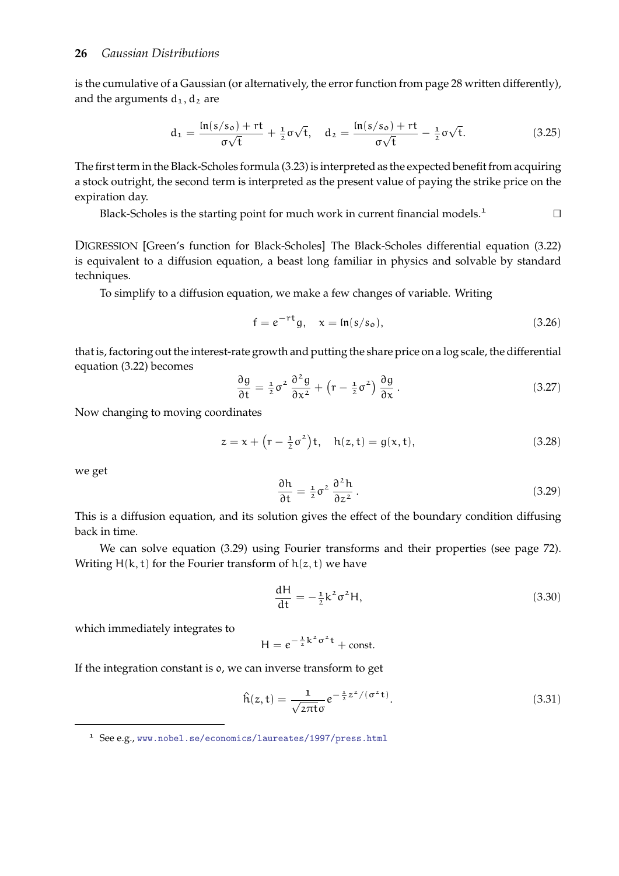is the cumulative of a Gaussian (or alternatively, the error function from page 28 written differently), and the arguments  $d_1$ ,  $d_2$  are

$$
d_1 = \frac{\ln(s/s_0) + rt}{\sigma\sqrt{t}} + \frac{1}{2}\sigma\sqrt{t}, \quad d_2 = \frac{\ln(s/s_0) + rt}{\sigma\sqrt{t}} - \frac{1}{2}\sigma\sqrt{t}.
$$
 (3.25)

The first term in the Black-Scholes formula (3.23) is interpreted as the expected benefit from acquiring a stock outright, the second term is interpreted as the present value of paying the strike price on the expiration day.

Black-Scholes is the starting point for much work in current financial models.<sup>1</sup>  $\Box$ 

DIGRESSION [Green's function for Black-Scholes] The Black-Scholes differential equation (3.22) is equivalent to a diffusion equation, a beast long familiar in physics and solvable by standard techniques.

To simplify to a diffusion equation, we make a few changes of variable. Writing

$$
f = e^{-rt}g, \quad x = \ln(s/s_0), \tag{3.26}
$$

that is, factoring out the interest-rate growth and putting the share price on a log scale, the differential equation (3.22) becomes

$$
\frac{\partial g}{\partial t} = \frac{1}{2}\sigma^2 \frac{\partial^2 g}{\partial x^2} + \left(r - \frac{1}{2}\sigma^2\right) \frac{\partial g}{\partial x}.
$$
 (3.27)

Now changing to moving coordinates

$$
z = x + (r - \frac{1}{2}\sigma^2)t, \quad h(z, t) = g(x, t), \tag{3.28}
$$

we get

$$
\frac{\partial h}{\partial t} = \frac{1}{2} \sigma^2 \frac{\partial^2 h}{\partial z^2}.
$$
\n(3.29)

This is a diffusion equation, and its solution gives the effect of the boundary condition diffusing back in time.

We can solve equation (3.29) using Fourier transforms and their properties (see page 72). Writing  $H(k, t)$  for the Fourier transform of  $h(z, t)$  we have

$$
\frac{dH}{dt} = -\frac{1}{2}k^2\sigma^2 H,
$$
\n(3.30)

which immediately integrates to

$$
H = e^{-\frac{1}{2}k^2\sigma^2t} + const.
$$

If the integration constant is 0, we can inverse transform to get

$$
\hat{h}(z,t) = \frac{1}{\sqrt{2\pi t}\sigma} e^{-\frac{1}{2}z^2/(\sigma^2 t)}.
$$
\n(3.31)

<sup>1</sup> See e.g., [www.nobel.se/economics/laureates/1997/press.html](http://www.nobel.se/economics/laureates/1997/press.html)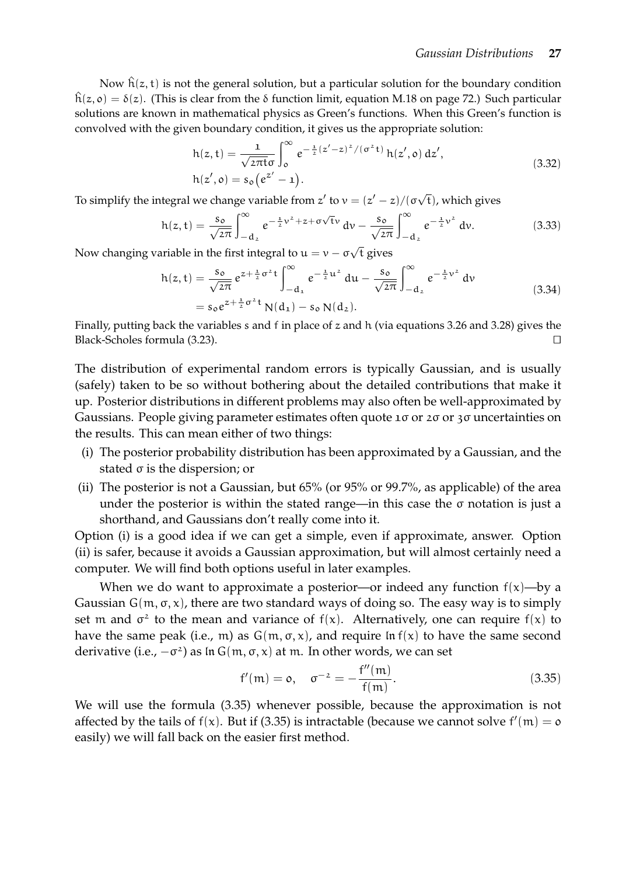Now  $\hat{h}(z, t)$  is not the general solution, but a particular solution for the boundary condition  $\hat{h}(z, 0) = \delta(z)$ . (This is clear from the δ function limit, equation M.18 on page 72.) Such particular solutions are known in mathematical physics as Green's functions. When this Green's function is convolved with the given boundary condition, it gives us the appropriate solution:

$$
h(z, t) = \frac{1}{\sqrt{2\pi t}\sigma} \int_0^\infty e^{-\frac{1}{2}(z'-z)^2/(\sigma^2 t)} h(z', 0) dz',
$$
  
\n
$$
h(z', 0) = s_0 (e^{z'} - 1).
$$
\n(3.32)

To simplify the integral we change variable from z' to  $v = (z' - z)/(\sigma \sqrt{\sigma})$ t), which gives

$$
h(z, t) = \frac{s_0}{\sqrt{2\pi}} \int_{-d_2}^{\infty} e^{-\frac{1}{2}v^2 + z + \sigma\sqrt{t}v} dv - \frac{s_0}{\sqrt{2\pi}} \int_{-d_2}^{\infty} e^{-\frac{1}{2}v^2} dv.
$$
 (3.33)

Now changing variable in the first integral to  $\mathfrak{u} = \mathfrak{v} - \mathfrak{\sigma}$ t gives

$$
h(z, t) = \frac{s_0}{\sqrt{2\pi}} e^{z + \frac{1}{2}\sigma^2 t} \int_{-d_1}^{\infty} e^{-\frac{1}{2}u^2} du - \frac{s_0}{\sqrt{2\pi}} \int_{-d_2}^{\infty} e^{-\frac{1}{2}v^2} dv
$$
  
=  $s_0 e^{z + \frac{1}{2}\sigma^2 t} N(d_1) - s_0 N(d_2).$  (3.34)

Finally, putting back the variables s and f in place of z and h (via equations 3.26 and 3.28) gives the Black-Scholes formula  $(3.23)$ .

The distribution of experimental random errors is typically Gaussian, and is usually (safely) taken to be so without bothering about the detailed contributions that make it up. Posterior distributions in different problems may also often be well-approximated by Gaussians. People giving parameter estimates often quote 1σ or 2σ or 3σ uncertainties on the results. This can mean either of two things:

- (i) The posterior probability distribution has been approximated by a Gaussian, and the stated σ is the dispersion; or
- (ii) The posterior is not a Gaussian, but 65% (or 95% or 99.7%, as applicable) of the area under the posterior is within the stated range—in this case the  $\sigma$  notation is just a shorthand, and Gaussians don't really come into it.

Option (i) is a good idea if we can get a simple, even if approximate, answer. Option (ii) is safer, because it avoids a Gaussian approximation, but will almost certainly need a computer. We will find both options useful in later examples.

When we do want to approximate a posterior—or indeed any function  $f(x)$ —by a Gaussian  $G(m, \sigma, x)$ , there are two standard ways of doing so. The easy way is to simply set m and  $\sigma^2$  to the mean and variance of  $f(x)$ . Alternatively, one can require  $f(x)$  to have the same peak (i.e., m) as  $G(m, \sigma, x)$ , and require ln  $f(x)$  to have the same second derivative (i.e.,  $-\sigma^2$ ) as ln G(m,  $\sigma$ , x) at m. In other words, we can set

$$
f'(m) = o, \quad \sigma^{-2} = -\frac{f''(m)}{f(m)}.
$$
 (3.35)

We will use the formula (3.35) whenever possible, because the approximation is not affected by the tails of  $f(x)$ . But if (3.35) is intractable (because we cannot solve  $f'(m) = o$ easily) we will fall back on the easier first method.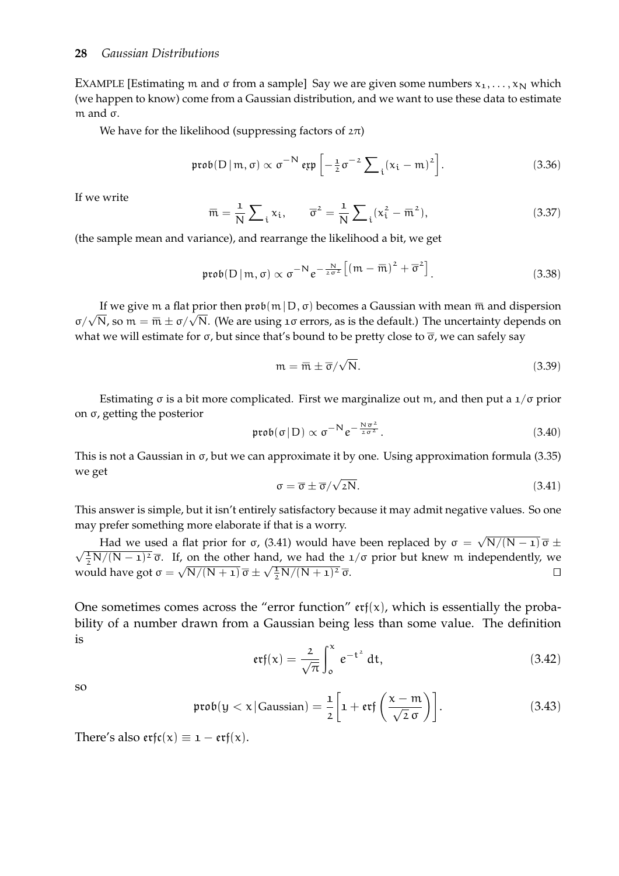EXAMPLE [Estimating m and  $\sigma$  from a sample] Say we are given some numbers  $x_1, \ldots, x_N$  which (we happen to know) come from a Gaussian distribution, and we want to use these data to estimate m and σ.

We have for the likelihood (suppressing factors of  $2\pi$ )

$$
\text{prob}(D \mid m, \sigma) \propto \sigma^{-N} \exp \left[ -\frac{1}{2} \sigma^{-2} \sum_{i} (x_i - m)^2 \right]. \tag{3.36}
$$

If we write

$$
\overline{\mathfrak{m}} = \frac{1}{N} \sum_{i} x_i, \qquad \overline{\sigma}^2 = \frac{1}{N} \sum_{i} (x_i^2 - \overline{\mathfrak{m}}^2), \tag{3.37}
$$

(the sample mean and variance), and rearrange the likelihood a bit, we get

$$
\mathfrak{prob}(D \mid \mathfrak{m}, \sigma) \propto \sigma^{-N} e^{-\frac{N}{2\sigma^2} \left[ (\mathfrak{m} - \overline{\mathfrak{m}})^2 + \overline{\sigma}^2 \right]}.
$$
 (3.38)

If we give m a flat prior then  $prob(m|D, \sigma)$  becomes a Gaussian with mean  $\overline{m}$  and dispersion  $σ/√N$ , so m =  $\overline{m}$  ±  $σ/√N$ . (We are using 1σ errors, as is the default.) The uncertainty depends on what we will estimate for  $\sigma$ , but since that's bound to be pretty close to  $\overline{\sigma}$ , we can safely say

$$
m = \overline{m} \pm \overline{\sigma}/\sqrt{N}.
$$
 (3.39)

Estimating  $\sigma$  is a bit more complicated. First we marginalize out m, and then put a  $1/\sigma$  prior on σ, getting the posterior

$$
\mathfrak{prob}(\sigma|D) \propto \sigma^{-N} e^{-\frac{N\overline{\sigma}^2}{2\sigma^2}}.
$$
\n(3.40)

This is not a Gaussian in σ, but we can approximate it by one. Using approximation formula (3.35) we get

$$
\sigma = \overline{\sigma} \pm \overline{\sigma}/\sqrt{2N}.
$$
 (3.41)

This answer is simple, but it isn't entirely satisfactory because it may admit negative values. So one may prefer something more elaborate if that is a worry.

Had we used a flat prior for  $\sigma$ , (3.41) would have been replaced by  $\sigma =$  $\sqrt{\mathrm{N}/(\mathrm{N}-1)}\,\overline{\sigma}$  ± That we used a hat prior for 0, (5.41) would have been replaced by  $\sigma = \sqrt{N/(N-1)} \sigma \pm \sqrt{\frac{1}{2}N/(N-1)^2} \overline{\sigma}$ . If, on the other hand, we had the 1/ $\sigma$  prior but knew m independently, we  $\sqrt{\frac{1}{2}}$ N/(N = 1) o. II, on the other hand, we had the 1/0 prior but knew in multiplendently, we would have got  $\sigma = \sqrt{N/(N+1)} \overline{\sigma} \pm \sqrt{\frac{1}{2}N/(N+1)^2} \overline{\sigma}$ .

One sometimes comes across the "error function"  $erf(x)$ , which is essentially the probability of a number drawn from a Gaussian being less than some value. The definition is

$$
\operatorname{erf}(x) = \frac{2}{\sqrt{\pi}} \int_0^x e^{-t^2} dt,
$$
\n(3.42)

so

$$
\text{prob}(y < x \mid \text{Gaussian}) = \frac{1}{2} \left[ 1 + \text{erf}\left(\frac{x-m}{\sqrt{2} \sigma}\right) \right]. \tag{3.43}
$$

There's also  $\text{erfc}(x) \equiv 1 - \text{erf}(x)$ .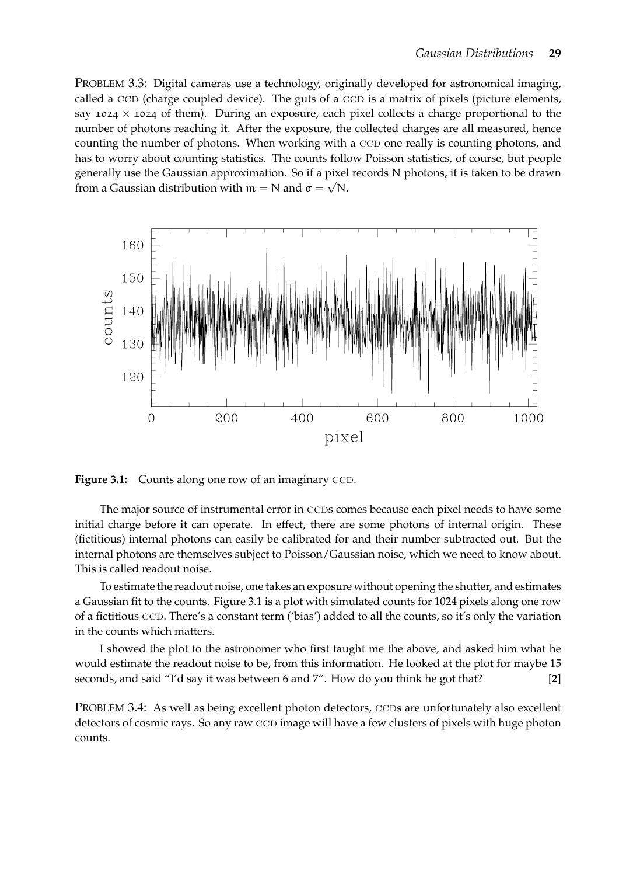PROBLEM 3.3: Digital cameras use a technology, originally developed for astronomical imaging, called a CCD (charge coupled device). The guts of a CCD is a matrix of pixels (picture elements, say  $1024 \times 1024$  of them). During an exposure, each pixel collects a charge proportional to the number of photons reaching it. After the exposure, the collected charges are all measured, hence counting the number of photons. When working with a CCD one really is counting photons, and has to worry about counting statistics. The counts follow Poisson statistics, of course, but people generally use the Gaussian approximation. So if a pixel records N photons, it is taken to be drawn from a Gaussian distribution with  $\mathfrak{m}=\mathsf{N}$  and  $\mathfrak{\sigma}=\sqrt{\mathsf{N}}.$ 



Figure 3.1: Counts along one row of an imaginary CCD.

The major source of instrumental error in CCDs comes because each pixel needs to have some initial charge before it can operate. In effect, there are some photons of internal origin. These (fictitious) internal photons can easily be calibrated for and their number subtracted out. But the internal photons are themselves subject to Poisson/Gaussian noise, which we need to know about. This is called readout noise.

To estimate the readout noise, one takes an exposure without opening the shutter, and estimates a Gaussian fit to the counts. Figure 3.1 is a plot with simulated counts for 1024 pixels along one row of a fictitious CCD. There's a constant term ('bias') added to all the counts, so it's only the variation in the counts which matters.

I showed the plot to the astronomer who first taught me the above, and asked him what he would estimate the readout noise to be, from this information. He looked at the plot for maybe 15 seconds, and said "I'd say it was between 6 and 7". How do you think he got that? [**2**]

PROBLEM 3.4: As well as being excellent photon detectors, CCDs are unfortunately also excellent detectors of cosmic rays. So any raw CCD image will have a few clusters of pixels with huge photon counts.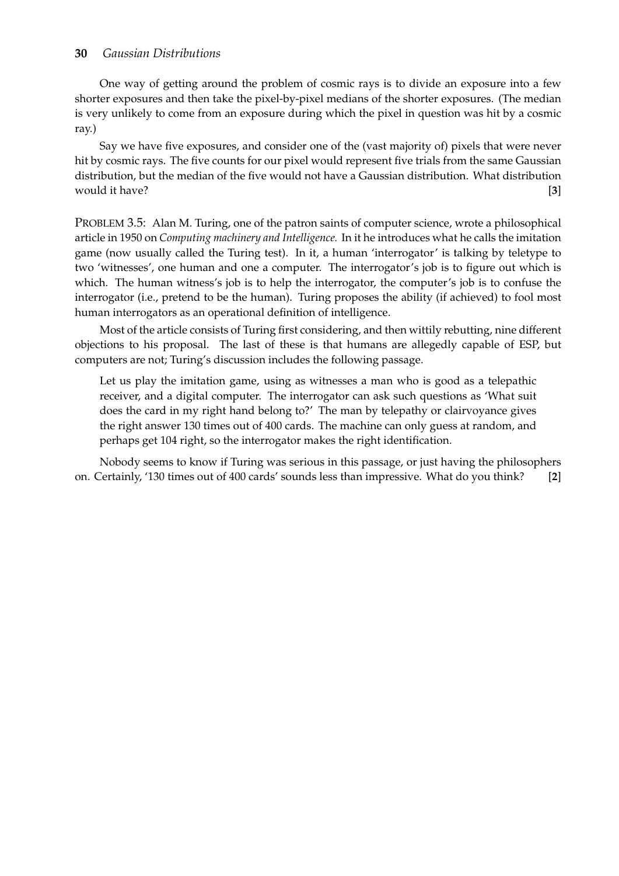#### **30** *Gaussian Distributions*

One way of getting around the problem of cosmic rays is to divide an exposure into a few shorter exposures and then take the pixel-by-pixel medians of the shorter exposures. (The median is very unlikely to come from an exposure during which the pixel in question was hit by a cosmic ray.)

Say we have five exposures, and consider one of the (vast majority of) pixels that were never hit by cosmic rays. The five counts for our pixel would represent five trials from the same Gaussian distribution, but the median of the five would not have a Gaussian distribution. What distribution would it have? [**3**]

PROBLEM 3.5: Alan M. Turing, one of the patron saints of computer science, wrote a philosophical article in 1950 on *Computing machinery and Intelligence.* In it he introduces what he calls the imitation game (now usually called the Turing test). In it, a human 'interrogator' is talking by teletype to two 'witnesses', one human and one a computer. The interrogator's job is to figure out which is which. The human witness's job is to help the interrogator, the computer's job is to confuse the interrogator (i.e., pretend to be the human). Turing proposes the ability (if achieved) to fool most human interrogators as an operational definition of intelligence.

Most of the article consists of Turing first considering, and then wittily rebutting, nine different objections to his proposal. The last of these is that humans are allegedly capable of ESP, but computers are not; Turing's discussion includes the following passage.

Let us play the imitation game, using as witnesses a man who is good as a telepathic receiver, and a digital computer. The interrogator can ask such questions as 'What suit does the card in my right hand belong to?' The man by telepathy or clairvoyance gives the right answer 130 times out of 400 cards. The machine can only guess at random, and perhaps get 104 right, so the interrogator makes the right identification.

Nobody seems to know if Turing was serious in this passage, or just having the philosophers on. Certainly, '130 times out of 400 cards' sounds less than impressive. What do you think? [**2**]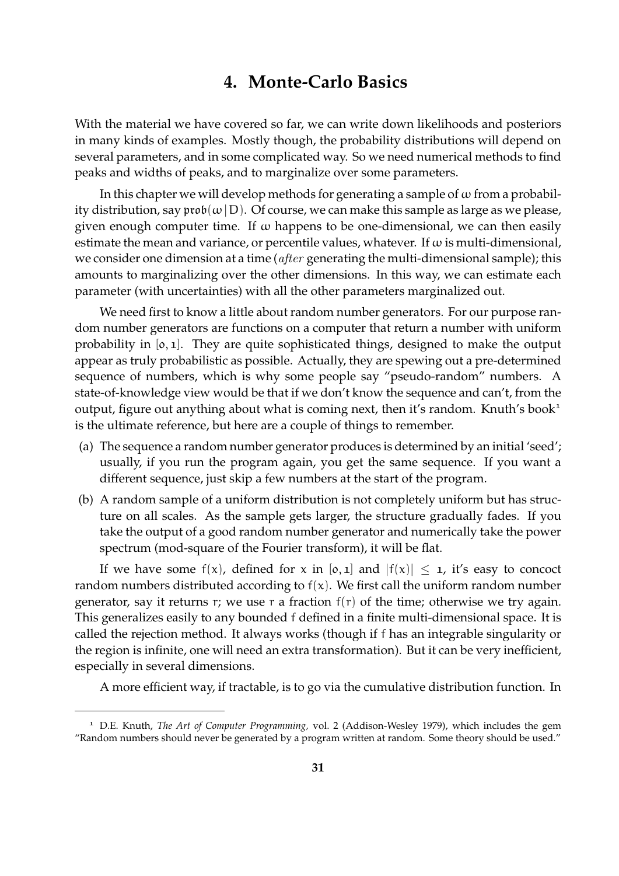### <span id="page-34-0"></span>**4. Monte-Carlo Basics**

With the material we have covered so far, we can write down likelihoods and posteriors in many kinds of examples. Mostly though, the probability distributions will depend on several parameters, and in some complicated way. So we need numerical methods to find peaks and widths of peaks, and to marginalize over some parameters.

In this chapter we will develop methods for generating a sample of  $\omega$  from a probability distribution, say  $\mathfrak{prob}(\omega|D)$ . Of course, we can make this sample as large as we please, given enough computer time. If  $\omega$  happens to be one-dimensional, we can then easily estimate the mean and variance, or percentile values, whatever. If  $\omega$  is multi-dimensional, we consider one dimension at a time (*after generating the multi-dimensional sample*); this amounts to marginalizing over the other dimensions. In this way, we can estimate each parameter (with uncertainties) with all the other parameters marginalized out.

We need first to know a little about random number generators. For our purpose random number generators are functions on a computer that return a number with uniform probability in [0, 1]. They are quite sophisticated things, designed to make the output appear as truly probabilistic as possible. Actually, they are spewing out a pre-determined sequence of numbers, which is why some people say "pseudo-random" numbers. A state-of-knowledge view would be that if we don't know the sequence and can't, from the output, figure out anything about what is coming next, then it's random. Knuth's book $1$ is the ultimate reference, but here are a couple of things to remember.

- (a) The sequence a random number generator produces is determined by an initial 'seed'; usually, if you run the program again, you get the same sequence. If you want a different sequence, just skip a few numbers at the start of the program.
- (b) A random sample of a uniform distribution is not completely uniform but has structure on all scales. As the sample gets larger, the structure gradually fades. If you take the output of a good random number generator and numerically take the power spectrum (mod-square of the Fourier transform), it will be flat.

If we have some  $f(x)$ , defined for x in [o, 1] and  $|f(x)| \leq 1$ , it's easy to concoct random numbers distributed according to  $f(x)$ . We first call the uniform random number generator, say it returns r; we use r a fraction  $f(r)$  of the time; otherwise we try again. This generalizes easily to any bounded f defined in a finite multi-dimensional space. It is called the rejection method. It always works (though if f has an integrable singularity or the region is infinite, one will need an extra transformation). But it can be very inefficient, especially in several dimensions.

A more efficient way, if tractable, is to go via the cumulative distribution function. In

<sup>1</sup> D.E. Knuth, *The Art of Computer Programming,* vol. 2 (Addison-Wesley 1979), which includes the gem "Random numbers should never be generated by a program written at random. Some theory should be used."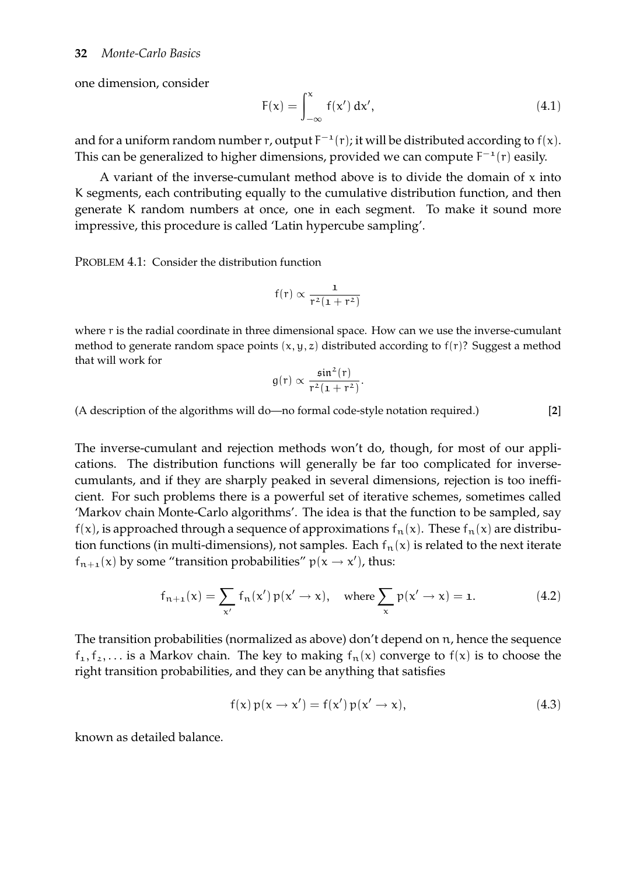one dimension, consider

$$
F(x) = \int_{-\infty}^{x} f(x') dx', \qquad (4.1)
$$

and for a uniform random number r, output  $F^{-1}(r)$ ; it will be distributed according to  $f(x)$ . This can be generalized to higher dimensions, provided we can compute  $F^{-1}(r)$  easily.

A variant of the inverse-cumulant method above is to divide the domain of  $x$  into K segments, each contributing equally to the cumulative distribution function, and then generate K random numbers at once, one in each segment. To make it sound more impressive, this procedure is called 'Latin hypercube sampling'.

PROBLEM 4.1: Consider the distribution function

$$
f(r) \propto \frac{1}{r^2(1+r^2)}
$$

where r is the radial coordinate in three dimensional space. How can we use the inverse-cumulant method to generate random space points  $(x, y, z)$  distributed according to  $f(r)$ ? Suggest a method that will work for

$$
g(r) \propto \frac{\sin^2(r)}{r^2(1+r^2)}.
$$

(A description of the algorithms will do—no formal code-style notation required.) [**2**]

The inverse-cumulant and rejection methods won't do, though, for most of our applications. The distribution functions will generally be far too complicated for inversecumulants, and if they are sharply peaked in several dimensions, rejection is too inefficient. For such problems there is a powerful set of iterative schemes, sometimes called 'Markov chain Monte-Carlo algorithms'. The idea is that the function to be sampled, say  $f(x)$ , is approached through a sequence of approximations  $f_n(x)$ . These  $f_n(x)$  are distribution functions (in multi-dimensions), not samples. Each  $f_n(x)$  is related to the next iterate  $f_{n+1}(x)$  by some "transition probabilities"  $p(x \rightarrow x')$ , thus:

$$
f_{n+1}(x) = \sum_{x'} f_n(x') p(x' \to x), \quad \text{where } \sum_{x} p(x' \to x) = 1. \tag{4.2}
$$

The transition probabilities (normalized as above) don't depend on n, hence the sequence  $f_1, f_2, \ldots$  is a Markov chain. The key to making  $f_n(x)$  converge to  $f(x)$  is to choose the right transition probabilities, and they can be anything that satisfies

$$
f(x) p(x \to x') = f(x') p(x' \to x), \qquad (4.3)
$$

known as detailed balance.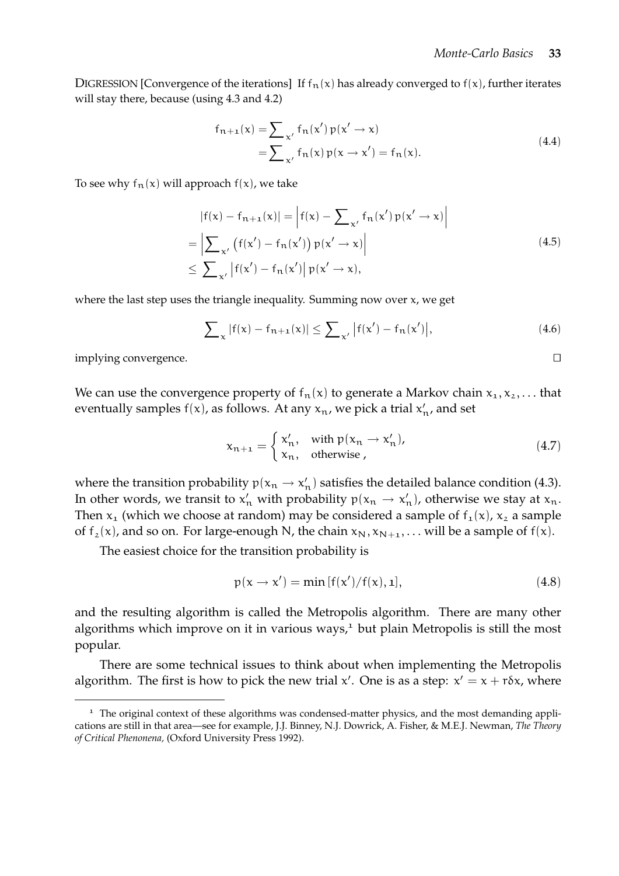DIGRESSION [Convergence of the iterations] If  $f_n(x)$  has already converged to  $f(x)$ , further iterates will stay there, because (using 4.3 and 4.2)

$$
f_{n+1}(x) = \sum_{x'} f_n(x') p(x' \to x)
$$
  
= 
$$
\sum_{x'} f_n(x) p(x \to x') = f_n(x).
$$
 (4.4)

To see why  $f_n(x)$  will approach  $f(x)$ , we take

$$
|f(x) - f_{n+1}(x)| = |f(x) - \sum_{x'} f_n(x') p(x' \rightarrow x)|
$$
  
\n
$$
= \left| \sum_{x'} (f(x') - f_n(x')) p(x' \rightarrow x) \right|
$$
  
\n
$$
\leq \sum_{x'} |f(x') - f_n(x')| p(x' \rightarrow x),
$$
\n(4.5)

where the last step uses the triangle inequality. Summing now over x, we get

$$
\sum_{x} |f(x) - f_{n+1}(x)| \le \sum_{x'} |f(x') - f_n(x')|, \qquad (4.6)
$$

implying convergence.  $\Box$ 

We can use the convergence property of  $f_n(x)$  to generate a Markov chain  $x_1, x_2, \ldots$  that eventually samples  $f(x)$ , as follows. At any  $x_n$ , we pick a trial  $x'_n$ , and set

$$
\mathbf{x}_{n+1} = \begin{cases} \mathbf{x}'_n, & \text{with } p(\mathbf{x}_n \to \mathbf{x}'_n), \\ \mathbf{x}_n, & \text{otherwise} \end{cases} \tag{4.7}
$$

where the transition probability  $p(x_n \to x'_n)$  satisfies the detailed balance condition (4.3). In other words, we transit to  $x'_n$  with probability  $p(x_n \to x'_n)$ , otherwise we stay at  $x_n$ . Then  $x_1$  (which we choose at random) may be considered a sample of  $f_1(x)$ ,  $x_2$  a sample of  $f_2(x)$ , and so on. For large-enough N, the chain  $x_N, x_{N+1}, \ldots$  will be a sample of  $f(x)$ .

The easiest choice for the transition probability is

$$
p(x \to x') = \min [f(x')/f(x), 1], \qquad (4.8)
$$

and the resulting algorithm is called the Metropolis algorithm. There are many other algorithms which improve on it in various ways,<sup>1</sup> but plain Metropolis is still the most popular.

There are some technical issues to think about when implementing the Metropolis algorithm. The first is how to pick the new trial  $x'$ . One is as a step:  $x' = x + r\delta x$ , where

<sup>&</sup>lt;sup>1</sup> The original context of these algorithms was condensed-matter physics, and the most demanding applications are still in that area—see for example, J.J. Binney, N.J. Dowrick, A. Fisher, & M.E.J. Newman, *The Theory of Critical Phenonena,* (Oxford University Press 1992).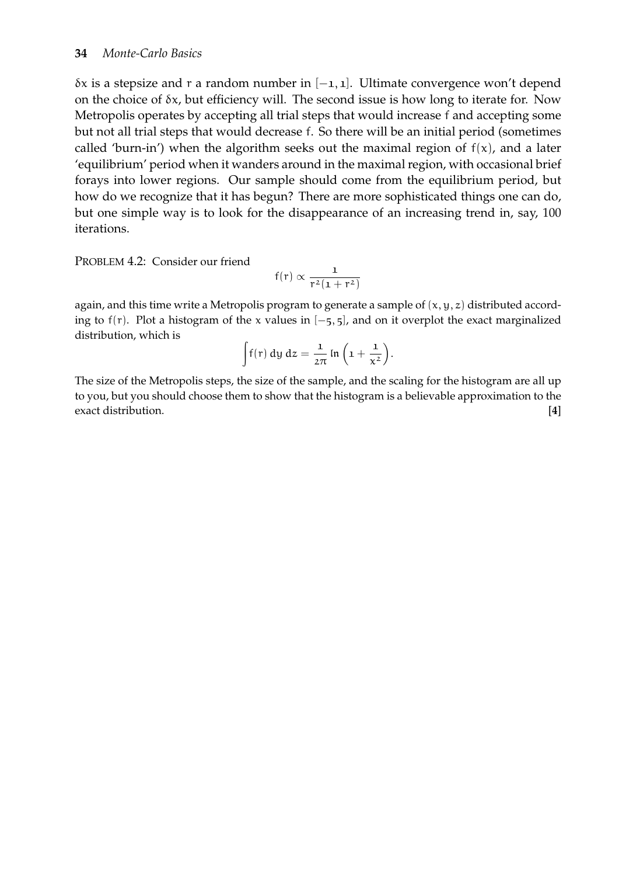δx is a stepsize and r a random number in [−1, 1]. Ultimate convergence won't depend on the choice of δx, but efficiency will. The second issue is how long to iterate for. Now Metropolis operates by accepting all trial steps that would increase f and accepting some but not all trial steps that would decrease f. So there will be an initial period (sometimes called 'burn-in') when the algorithm seeks out the maximal region of  $f(x)$ , and a later 'equilibrium' period when it wanders around in the maximal region, with occasional brief forays into lower regions. Our sample should come from the equilibrium period, but how do we recognize that it has begun? There are more sophisticated things one can do, but one simple way is to look for the disappearance of an increasing trend in, say, 100 iterations.

PROBLEM 4.2: Consider our friend

$$
f(r) \propto \frac{1}{r^2(1+r^2)}
$$

again, and this time write a Metropolis program to generate a sample of  $(x, y, z)$  distributed according to f(r). Plot a histogram of the x values in  $[-5, 5]$ , and on it overplot the exact marginalized distribution, which is

$$
\int f(r) \, dy \, dz = \frac{1}{2\pi} \ln \left( 1 + \frac{1}{x^2} \right).
$$

The size of the Metropolis steps, the size of the sample, and the scaling for the histogram are all up to you, but you should choose them to show that the histogram is a believable approximation to the exact distribution. [**4**]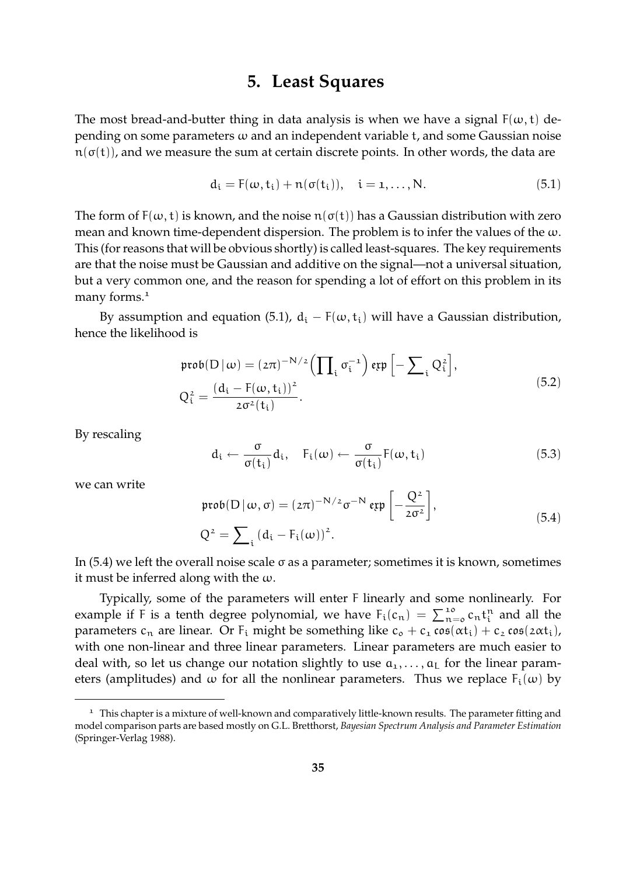### **5. Least Squares**

The most bread-and-butter thing in data analysis is when we have a signal  $F(\omega, t)$  depending on some parameters  $\omega$  and an independent variable t, and some Gaussian noise  $n(\sigma(t))$ , and we measure the sum at certain discrete points. In other words, the data are

$$
d_i = F(\omega, t_i) + n(\sigma(t_i)), \quad i = 1, \dots, N. \tag{5.1}
$$

The form of  $F(\omega, t)$  is known, and the noise  $n(\sigma(t))$  has a Gaussian distribution with zero mean and known time-dependent dispersion. The problem is to infer the values of the  $\omega$ . This (for reasons that will be obvious shortly) is called least-squares. The key requirements are that the noise must be Gaussian and additive on the signal—not a universal situation, but a very common one, and the reason for spending a lot of effort on this problem in its many forms.<sup>1</sup>

By assumption and equation (5.1),  $d_i - F(\omega, t_i)$  will have a Gaussian distribution, hence the likelihood is

$$
\text{prob}(D \mid \omega) = (2\pi)^{-N/2} \left( \prod_{i} \sigma_i^{-1} \right) \text{exp} \left[ -\sum_{i} Q_i^2 \right],
$$
  
\n
$$
Q_i^2 = \frac{\left( d_i - F(\omega, t_i) \right)^2}{2\sigma^2(t_i)}.
$$
\n(5.2)

By rescaling

$$
d_i \leftarrow \frac{\sigma}{\sigma(t_i)} d_i, \quad F_i(\omega) \leftarrow \frac{\sigma}{\sigma(t_i)} F(\omega, t_i)
$$
 (5.3)

we can write

$$
\text{prob}(D \mid \omega, \sigma) = (2\pi)^{-N/2} \sigma^{-N} \exp\left[-\frac{Q^2}{2\sigma^2}\right],
$$
  

$$
Q^2 = \sum_i \left(d_i - F_i(\omega)\right)^2.
$$
 (5.4)

In (5.4) we left the overall noise scale σ as a parameter; sometimes it is known, sometimes it must be inferred along with the  $\omega$ .

Typically, some of the parameters will enter F linearly and some nonlinearly. For example if F is a tenth degree polynomial, we have  $F_i(c_n) = \sum_{n=0}^{10} c_n t_i^n$  and all the parameters  $c_n$  are linear. Or  $F_i$  might be something like  $c_0 + c_1 \cos(\alpha t_i) + c_2 \cos(\alpha t_i)$ , with one non-linear and three linear parameters. Linear parameters are much easier to deal with, so let us change our notation slightly to use  $a_1, \ldots, a_L$  for the linear parameters (amplitudes) and  $\omega$  for all the nonlinear parameters. Thus we replace  $F_i(\omega)$  by

 $<sup>1</sup>$  This chapter is a mixture of well-known and comparatively little-known results. The parameter fitting and</sup> model comparison parts are based mostly on G.L. Bretthorst, *Bayesian Spectrum Analysis and Parameter Estimation* (Springer-Verlag 1988).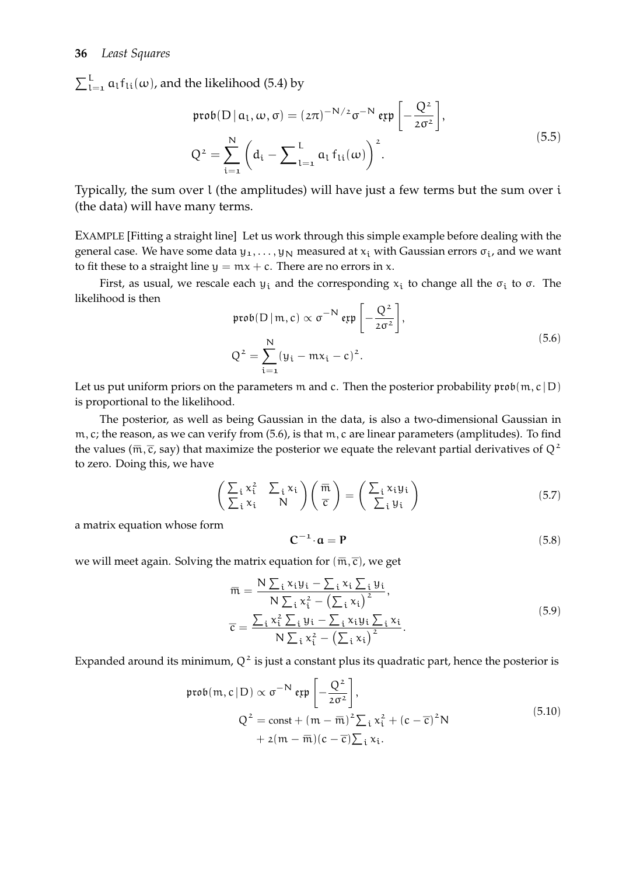$\sum_{l=1}^{L} a_l f_{li}(\omega)$ , and the likelihood (5.4) by

$$
\text{prob}(D | a_1, \omega, \sigma) = (2\pi)^{-N/2} \sigma^{-N} \exp \left[ -\frac{Q^2}{2\sigma^2} \right],
$$
  

$$
Q^2 = \sum_{i=1}^N \left( d_i - \sum_{l=1}^L a_l f_{li}(\omega) \right)^2.
$$
 (5.5)

Typically, the sum over l (the amplitudes) will have just a few terms but the sum over i (the data) will have many terms.

EXAMPLE [Fitting a straight line] Let us work through this simple example before dealing with the general case. We have some data  $y_1, \ldots, y_N$  measured at  $x_i$  with Gaussian errors  $\sigma_i$ , and we want to fit these to a straight line  $y = mx + c$ . There are no errors in x.

First, as usual, we rescale each  $y_i$  and the corresponding  $x_i$  to change all the  $\sigma_i$  to  $\sigma$ . The likelihood is then

$$
\text{prob}(D \mid m, c) \propto \sigma^{-N} \exp\left[-\frac{Q^2}{2\sigma^2}\right],
$$
  
\n
$$
Q^2 = \sum_{i=1}^{N} (y_i - mx_i - c)^2.
$$
\n(5.6)

Let us put uniform priors on the parameters m and c. Then the posterior probability  $\mathfrak{prob}(m, c|D)$ is proportional to the likelihood.

The posterior, as well as being Gaussian in the data, is also a two-dimensional Gaussian in m, c; the reason, as we can verify from (5.6), is that m, c are linear parameters (amplitudes). To find the values ( $\overline{m}, \overline{c}$ , say) that maximize the posterior we equate the relevant partial derivatives of Q<sup>2</sup> to zero. Doing this, we have

$$
\left(\begin{matrix}\sum_{i} x_{i}^{2} & \sum_{i} x_{i} \\ \sum_{i} x_{i} & N\end{matrix}\right) \left(\begin{matrix}\overline{\mathfrak{m}} \\ \overline{\mathfrak{c}}\end{matrix}\right) = \left(\begin{matrix}\sum_{i} x_{i} y_{i} \\ \sum_{i} y_{i}\end{matrix}\right) \tag{5.7}
$$

a matrix equation whose form

$$
C^{-1} \cdot \mathfrak{a} = P \tag{5.8}
$$

we will meet again. Solving the matrix equation for  $(\overline{m}, \overline{c})$ , we get

$$
\overline{m} = \frac{N \sum_{i} x_{i} y_{i} - \sum_{i} x_{i} \sum_{i} y_{i}}{N \sum_{i} x_{i}^{2} - (\sum_{i} x_{i})^{2}},
$$
\n
$$
\overline{c} = \frac{\sum_{i} x_{i}^{2} \sum_{i} y_{i} - \sum_{i} x_{i} y_{i} \sum_{i} x_{i}}{N \sum_{i} x_{i}^{2} - (\sum_{i} x_{i})^{2}}.
$$
\n(5.9)

Expanded around its minimum,  $Q^2$  is just a constant plus its quadratic part, hence the posterior is

$$
\text{prob}(m, c | D) \propto \sigma^{-N} \exp \left[ -\frac{Q^2}{2\sigma^2} \right],
$$
\n
$$
Q^2 = \text{const} + (m - \overline{m})^2 \sum_{i} x_i^2 + (c - \overline{c})^2 N
$$
\n
$$
+ 2(m - \overline{m})(c - \overline{c}) \sum_{i} x_i.
$$
\n(5.10)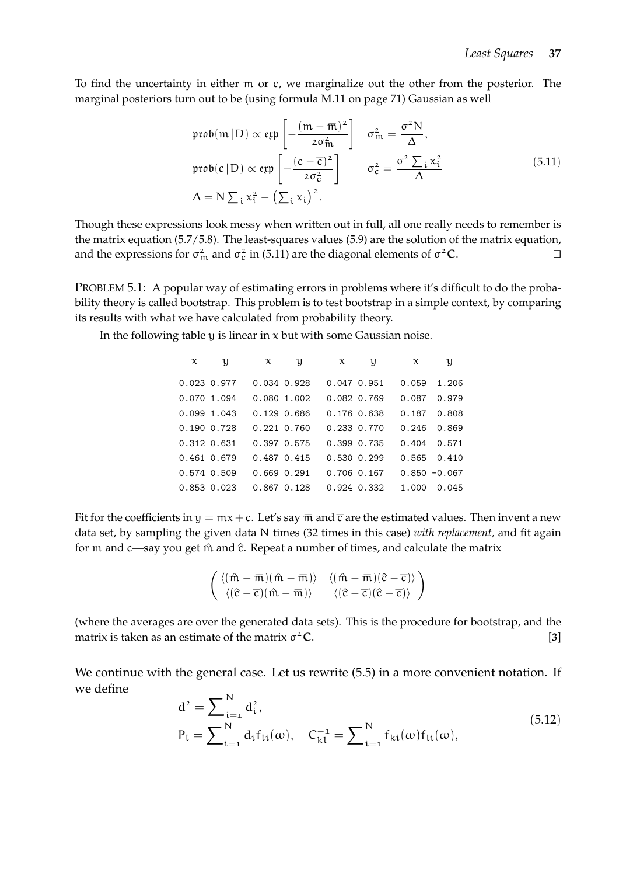To find the uncertainty in either m or c, we marginalize out the other from the posterior. The marginal posteriors turn out to be (using formula M.11 on page 71) Gaussian as well

$$
\text{prob}(m|D) \propto \text{exp}\left[-\frac{(m-\overline{m})^2}{2\sigma_m^2}\right] \quad \sigma_m^2 = \frac{\sigma^2 N}{\Delta},
$$
\n
$$
\text{prob}(c|D) \propto \text{exp}\left[-\frac{(c-\overline{c})^2}{2\sigma_c^2}\right] \quad \sigma_c^2 = \frac{\sigma^2 \sum_i x_i^2}{\Delta}
$$
\n
$$
\Delta = N \sum_i x_i^2 - \left(\sum_i x_i\right)^2.
$$
\n(5.11)

Though these expressions look messy when written out in full, all one really needs to remember is the matrix equation (5.7/5.8). The least-squares values (5.9) are the solution of the matrix equation, and the expressions for  $\sigma_{\rm m}^2$  and  $\sigma_{\rm c}^2$  in (5.11) are the diagonal elements of  $\sigma^2$ **C**.

PROBLEM 5.1: A popular way of estimating errors in problems where it's difficult to do the probability theory is called bootstrap. This problem is to test bootstrap in a simple context, by comparing its results with what we have calculated from probability theory.

In the following table  $y$  is linear in  $x$  but with some Gaussian noise.

|                  | $x \quad y$ | $x \quad y$     |                 | $\chi$          | - y | $\chi$ | $\mathfrak{y}$  |
|------------------|-------------|-----------------|-----------------|-----------------|-----|--------|-----------------|
| 0.023 0.977      |             |                 | $0.034$ 0.928   | 0.047 0.951     |     |        | $0.059$ 1.206   |
| 0.070 1.094      |             |                 | 0.080 1.002     | 0.082 0.769     |     |        | 0.087 0.979     |
| 0.099 1.043      |             | $0.129$ $0.686$ |                 | $0.176$ $0.638$ |     |        | $0.187$ 0.808   |
| $0.190 \t 0.728$ |             | 0.221 0.760     |                 | 0.233 0.770     |     |        | $0.246$ 0.869   |
| $0.312$ $0.631$  |             | 0.397 0.575     |                 | 0.399 0.735     |     |        | $0.404$ 0.571   |
| 0.461 0.679      |             | $0.487$ $0.415$ |                 | $0.530$ $0.299$ |     |        | $0.565$ $0.410$ |
| 0.574 0.509      |             | $0.669$ $0.291$ |                 | $0.706$ $0.167$ |     |        | $0.850 - 0.067$ |
| 0.853 0.023      |             |                 | $0.867$ $0.128$ | $0.924$ 0.332   |     | 1.000  | 0.045           |

Fit for the coefficients in  $y = mx + c$ . Let's say  $\overline{m}$  and  $\overline{c}$  are the estimated values. Then invent a new data set, by sampling the given data N times (32 times in this case) *with replacement,* and fit again for  $m$  and  $c$ —say you get  $\hat{m}$  and  $\hat{c}$ . Repeat a number of times, and calculate the matrix

$$
\left(\begin{array}{cc} \langle (\hat m-\overline m)(\hat m-\overline m)\rangle & \langle (\hat m-\overline m)(\hat c-\overline c)\rangle \\ \langle (\hat c-\overline c)(\hat m-\overline m)\rangle & \langle (\hat c-\overline c)(\hat c-\overline c)\rangle\end{array}\right)
$$

(where the averages are over the generated data sets). This is the procedure for bootstrap, and the matrix is taken as an estimate of the matrix  $\sigma^2 C$ .  $2^2C$ . [3]

We continue with the general case. Let us rewrite  $(5.5)$  in a more convenient notation. If we define

$$
d^{2} = \sum_{i=1}^{N} d_{i}^{2},
$$
  
\n
$$
P_{l} = \sum_{i=1}^{N} d_{i} f_{li}(\omega), \quad C_{kl}^{-1} = \sum_{i=1}^{N} f_{ki}(\omega) f_{li}(\omega),
$$
\n(5.12)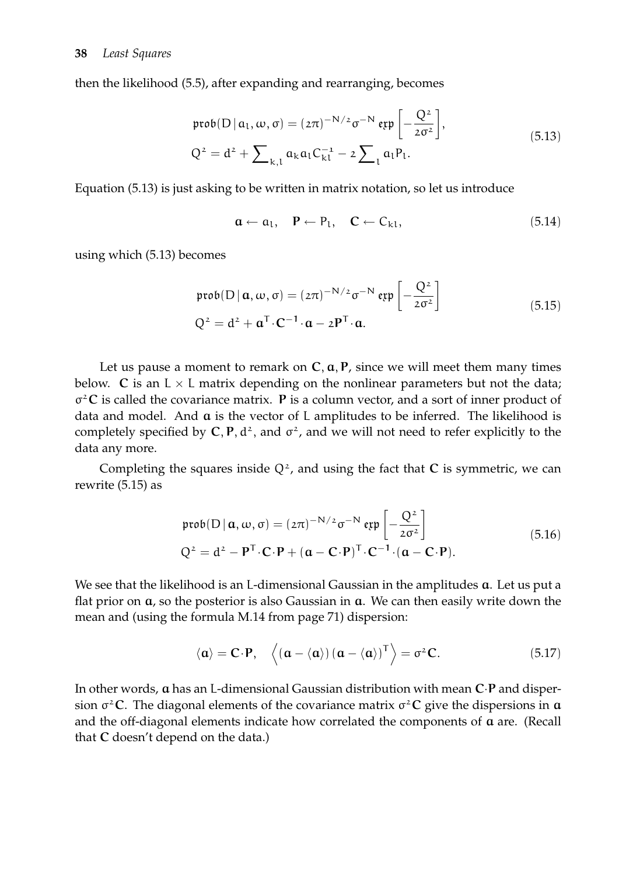then the likelihood (5.5), after expanding and rearranging, becomes

$$
\text{prob}(D | a_1, \omega, \sigma) = (2\pi)^{-N/2} \sigma^{-N} \exp \left[ -\frac{Q^2}{2\sigma^2} \right],
$$
  
\n
$$
Q^2 = d^2 + \sum_{k,l} a_k a_l C_{kl}^{-1} - 2 \sum_{l} a_l P_l.
$$
\n(5.13)

Equation (5.13) is just asking to be written in matrix notation, so let us introduce

$$
\mathbf{a} \leftarrow \mathbf{a}_1, \quad \mathbf{P} \leftarrow \mathbf{P}_1, \quad \mathbf{C} \leftarrow \mathbf{C}_{k1}, \tag{5.14}
$$

using which (5.13) becomes

$$
\mathfrak{prob}(D \mid \mathbf{a}, \omega, \sigma) = (2\pi)^{-N/2} \sigma^{-N} \exp\left[-\frac{Q^2}{2\sigma^2}\right]
$$
  
\n
$$
Q^2 = d^2 + \mathbf{a}^T \cdot \mathbf{C}^{-1} \cdot \mathbf{a} - 2\mathbf{P}^T \cdot \mathbf{a}.
$$
\n(5.15)

Let us pause a moment to remark on  $C$ ,  $\alpha$ ,  $P$ , since we will meet them many times below. C is an  $L \times L$  matrix depending on the nonlinear parameters but not the data;  $\sigma^2$ C is called the covariance matrix. P is a column vector, and a sort of inner product of data and model. And  $\alpha$  is the vector of L amplitudes to be inferred. The likelihood is completely specified by  $C, P, d^2$ , and  $\sigma^2$ , and we will not need to refer explicitly to the data any more.

Completing the squares inside  $Q^2$ , and using the fact that C is symmetric, we can rewrite (5.15) as

$$
\text{prob}(D \mid \mathbf{a}, \omega, \sigma) = (2\pi)^{-N/2} \sigma^{-N} \exp\left[-\frac{Q^2}{2\sigma^2}\right]
$$
  
\n
$$
Q^2 = d^2 - P^T \cdot C \cdot P + (\mathbf{a} - C \cdot P)^T \cdot C^{-1} \cdot (\mathbf{a} - C \cdot P).
$$
\n(5.16)

We see that the likelihood is an L-dimensional Gaussian in the amplitudes  $a$ . Let us put a flat prior on  $\alpha$ , so the posterior is also Gaussian in  $\alpha$ . We can then easily write down the mean and (using the formula M.14 from page 71) dispersion:

$$
\langle \mathbf{a} \rangle = \mathbf{C} \cdot \mathbf{P}, \quad \left\langle (\mathbf{a} - \langle \mathbf{a} \rangle) (\mathbf{a} - \langle \mathbf{a} \rangle)^{\mathsf{T}} \right\rangle = \sigma^2 \mathbf{C}.
$$
 (5.17)

In other words, a has an L-dimensional Gaussian distribution with mean C·P and dispersion  $\sigma^2$ C. The diagonal elements of the covariance matrix  $\sigma^2$ C give the dispersions in a and the off-diagonal elements indicate how correlated the components of  $a$  are. (Recall that C doesn't depend on the data.)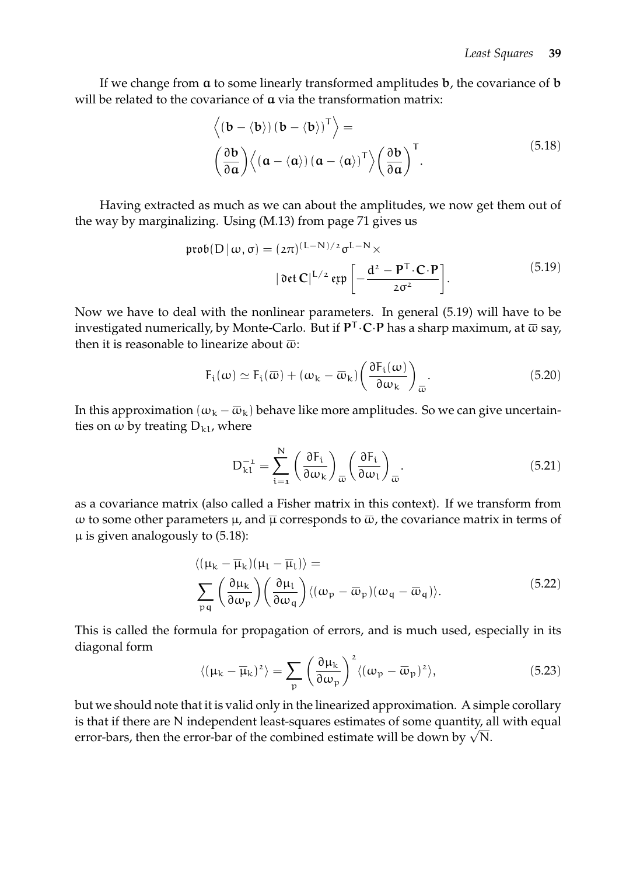If we change from  $\alpha$  to some linearly transformed amplitudes  $\mathbf{b}$ , the covariance of  $\mathbf{b}$ will be related to the covariance of  $\alpha$  via the transformation matrix:

$$
\left\langle (\mathbf{b} - \langle \mathbf{b} \rangle) (\mathbf{b} - \langle \mathbf{b} \rangle)^{\mathsf{T}} \right\rangle =
$$
\n
$$
\left( \frac{\partial \mathbf{b}}{\partial \mathbf{a}} \right) \left\langle (\mathbf{a} - \langle \mathbf{a} \rangle) (\mathbf{a} - \langle \mathbf{a} \rangle)^{\mathsf{T}} \right\rangle \left( \frac{\partial \mathbf{b}}{\partial \mathbf{a}} \right)^{\mathsf{T}}.
$$
\n(5.18)

Having extracted as much as we can about the amplitudes, we now get them out of the way by marginalizing. Using (M.13) from page 71 gives us

$$
\text{prob}(D \mid \omega, \sigma) = (2\pi)^{(L-N)/2} \sigma^{L-N} \times
$$
\n
$$
|\det C|^{L/2} \exp \left[ -\frac{d^2 - P^T \cdot C \cdot P}{2\sigma^2} \right].
$$
\n(5.19)

Now we have to deal with the nonlinear parameters. In general (5.19) will have to be investigated numerically, by Monte-Carlo. But if  $P^{\top} \cdot C \cdot P$  has a sharp maximum, at  $\overline{\omega}$  say, then it is reasonable to linearize about  $\overline{\omega}$ :

$$
F_{i}(\omega) \simeq F_{i}(\overline{\omega}) + (\omega_{k} - \overline{\omega}_{k}) \left( \frac{\partial F_{i}(\omega)}{\partial \omega_{k}} \right)_{\overline{\omega}}.
$$
 (5.20)

In this approximation ( $\omega_k - \overline{\omega}_k$ ) behave like more amplitudes. So we can give uncertainties on  $\omega$  by treating  $D_{kl}$ , where

$$
D_{kl}^{-1} = \sum_{i=1}^{N} \left(\frac{\partial F_i}{\partial \omega_k}\right)_{\overline{\omega}} \left(\frac{\partial F_i}{\partial \omega_l}\right)_{\overline{\omega}}.
$$
 (5.21)

as a covariance matrix (also called a Fisher matrix in this context). If we transform from  $ω$  to some other parameters  $μ$ , and  $\overline{μ}$  corresponds to  $\overline{ω}$ , the covariance matrix in terms of  $\mu$  is given analogously to (5.18):

$$
\langle (\mu_{k} - \overline{\mu}_{k})(\mu_{l} - \overline{\mu}_{l}) \rangle =
$$
  

$$
\sum_{pq} \left( \frac{\partial \mu_{k}}{\partial \omega_{p}} \right) \left( \frac{\partial \mu_{l}}{\partial \omega_{q}} \right) \langle (\omega_{p} - \overline{\omega}_{p})(\omega_{q} - \overline{\omega}_{q}) \rangle.
$$
 (5.22)

This is called the formula for propagation of errors, and is much used, especially in its diagonal form

$$
\langle (\mu_{k} - \overline{\mu}_{k})^{2} \rangle = \sum_{p} \left( \frac{\partial \mu_{k}}{\partial \omega_{p}} \right)^{2} \langle (\omega_{p} - \overline{\omega}_{p})^{2} \rangle, \tag{5.23}
$$

but we should note that it is valid only in the linearized approximation. A simple corollary is that if there are N independent least-squares estimates of some quantity, all with equal is that if there are ivideo-periodic reast-squares estimates of some quantity, a<br>error-bars, then the error-bar of the combined estimate will be down by  $\sqrt{N}$ .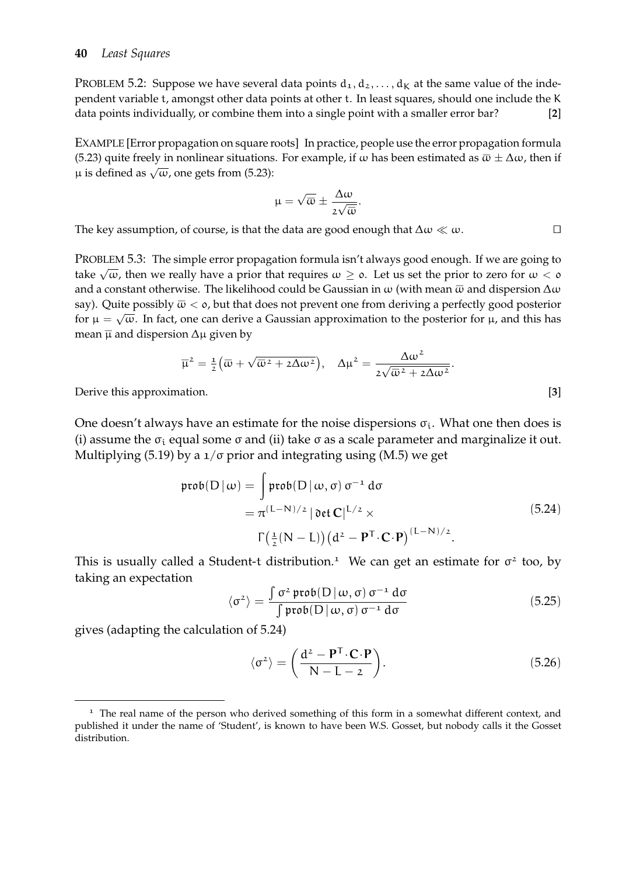PROBLEM 5.2: Suppose we have several data points  $d_1, d_2, \ldots, d_k$  at the same value of the independent variable t, amongst other data points at other t. In least squares, should one include the K data points individually, or combine them into a single point with a smaller error bar? [**2**]

EXAMPLE [Error propagation on square roots] In practice, people use the error propagation formula (5.23) quite freely in nonlinear situations. For example, if  $\omega$  has been estimated as  $\overline{\omega} \pm \Delta \omega$ , then if  $\mu$  is defined as  $\sqrt{\omega}$ , one gets from (5.23):

$$
\mu=\sqrt{\overline{\omega}}\pm\frac{\Delta\omega}{2\sqrt{\overline{\omega}}}.
$$

The key assumption, of course, is that the data are good enough that  $\Delta \omega \ll \omega$ .

PROBLEM 5.3: The simple error propagation formula isn't always good enough. If we are going to take  $\sqrt{\omega}$ , then we really have a prior that requires  $\omega \geq 0$ . Let us set the prior to zero for  $\omega < \infty$ and a constant otherwise. The likelihood could be Gaussian in  $\omega$  (with mean  $\overline{\omega}$  and dispersion  $\Delta \omega$ say). Quite possibly  $\overline{\omega} < \circ$ , but that does not prevent one from deriving a perfectly good posterior for  $\mu=\sqrt{\omega}.$  In fact, one can derive a Gaussian approximation to the posterior for  $\mu$ , and this has mean  $\overline{\mu}$  and dispersion  $\Delta \mu$  given by

$$
\overline{\mu}^2 = \frac{1}{2} \left( \overline{\omega} + \sqrt{\overline{\omega}^2 + 2\Delta\omega^2} \right), \quad \Delta\mu^2 = \frac{\Delta\omega^2}{2\sqrt{\overline{\omega}^2 + 2\Delta\omega^2}}.
$$
\nrelation.

\n
$$
\tag{3}
$$

Derive this approxim

One doesn't always have an estimate for the noise dispersions  $\sigma_i$ . What one then does is (i) assume the  $\sigma_i$  equal some  $\sigma$  and (ii) take  $\sigma$  as a scale parameter and marginalize it out. Multiplying (5.19) by a  $1/\sigma$  prior and integrating using (M.5) we get

$$
\begin{aligned} \mathfrak{prob}(D \mid \omega) &= \int \mathfrak{prob}(D \mid \omega, \sigma) \, \sigma^{-1} \, d\sigma \\ &= \pi^{(L-N)/2} \mid \det C \mid^{L/2} \times \\ \Gamma \left( \frac{1}{2} (N - L) \right) \left( d^2 - P^{\mathsf{T}} \cdot C \cdot P \right)^{(L-N)/2} . \end{aligned} \tag{5.24}
$$

This is usually called a Student-t distribution.<sup>1</sup> We can get an estimate for  $\sigma^2$  too, by taking an expectation

$$
\langle \sigma^2 \rangle = \frac{\int \sigma^2 \operatorname{prob}(D \mid \omega, \sigma) \sigma^{-1} d\sigma}{\int \operatorname{prob}(D \mid \omega, \sigma) \sigma^{-1} d\sigma}
$$
(5.25)

gives (adapting the calculation of 5.24)

$$
\langle \sigma^2 \rangle = \left( \frac{d^2 - P^T \cdot C \cdot P}{N - L - z} \right). \tag{5.26}
$$

 $<sup>1</sup>$  The real name of the person who derived something of this form in a somewhat different context, and</sup> published it under the name of 'Student', is known to have been W.S. Gosset, but nobody calls it the Gosset distribution.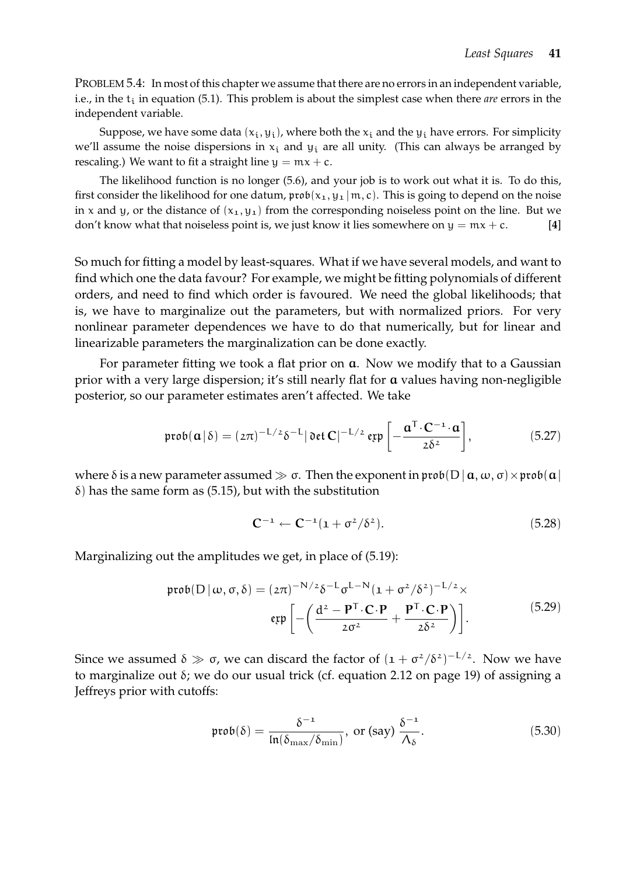PROBLEM 5.4: In most of this chapter we assume that there are no errors in an independent variable, i.e., in the t<sub>i</sub> in equation (5.1). This problem is about the simplest case when there *are* errors in the independent variable.

Suppose, we have some data  $(x_i, y_i)$ , where both the  $x_i$  and the  $y_i$  have errors. For simplicity we'll assume the noise dispersions in  $x_i$  and  $y_i$  are all unity. (This can always be arranged by rescaling.) We want to fit a straight line  $y = mx + c$ .

The likelihood function is no longer (5.6), and your job is to work out what it is. To do this, first consider the likelihood for one datum,  $prob(x_1, y_1 | m, c)$ . This is going to depend on the noise in x and y, or the distance of  $(x_1, y_1)$  from the corresponding noiseless point on the line. But we don't know what that noiseless point is, we just know it lies somewhere on  $y = mx + c$ . [4]

So much for fitting a model by least-squares. What if we have several models, and want to find which one the data favour? For example, we might be fitting polynomials of different orders, and need to find which order is favoured. We need the global likelihoods; that is, we have to marginalize out the parameters, but with normalized priors. For very nonlinear parameter dependences we have to do that numerically, but for linear and linearizable parameters the marginalization can be done exactly.

For parameter fitting we took a flat prior on  $a$ . Now we modify that to a Gaussian prior with a very large dispersion; it's still nearly flat for a values having non-negligible posterior, so our parameter estimates aren't affected. We take

$$
\mathfrak{prob}(\mathbf{a}|\delta) = (2\pi)^{-L/2} \delta^{-L} |\det \mathbf{C}|^{-L/2} \exp \left[ -\frac{\mathbf{a}^{\mathrm{T}} \cdot \mathbf{C}^{-1} \cdot \mathbf{a}}{2\delta^2} \right],\tag{5.27}
$$

where  $\delta$  is a new parameter assumed  $\gg \sigma$ . Then the exponent in  $\mathfrak{prob}(D|\mathfrak{a}, \omega, \sigma) \times \mathfrak{prob}(\mathfrak{a}|\mathfrak{b})$  $\delta$ ) has the same form as (5.15), but with the substitution

$$
C^{-1} \leftarrow C^{-1}(1 + \sigma^2/\delta^2). \tag{5.28}
$$

Marginalizing out the amplitudes we get, in place of (5.19):

$$
\text{prob}(D \mid \omega, \sigma, \delta) = (2\pi)^{-N/2} \delta^{-L} \sigma^{L-N} (1 + \sigma^2/\delta^2)^{-L/2} \times
$$

$$
\text{exp}\left[ -\left( \frac{d^2 - P^T \cdot C \cdot P}{2\sigma^2} + \frac{P^T \cdot C \cdot P}{2\delta^2} \right) \right]. \tag{5.29}
$$

Since we assumed  $\delta \gg \sigma$ , we can discard the factor of  $(1 + \sigma^2/\delta^2)^{-L/2}$ . Now we have to marginalize out δ; we do our usual trick (cf. equation 2.12 on page 19) of assigning a Jeffreys prior with cutoffs:

$$
\mathfrak{prob}(\delta) = \frac{\delta^{-1}}{\ln(\delta_{\max}/\delta_{\min})}, \text{ or (say)} \frac{\delta^{-1}}{\Lambda_{\delta}}.
$$
 (5.30)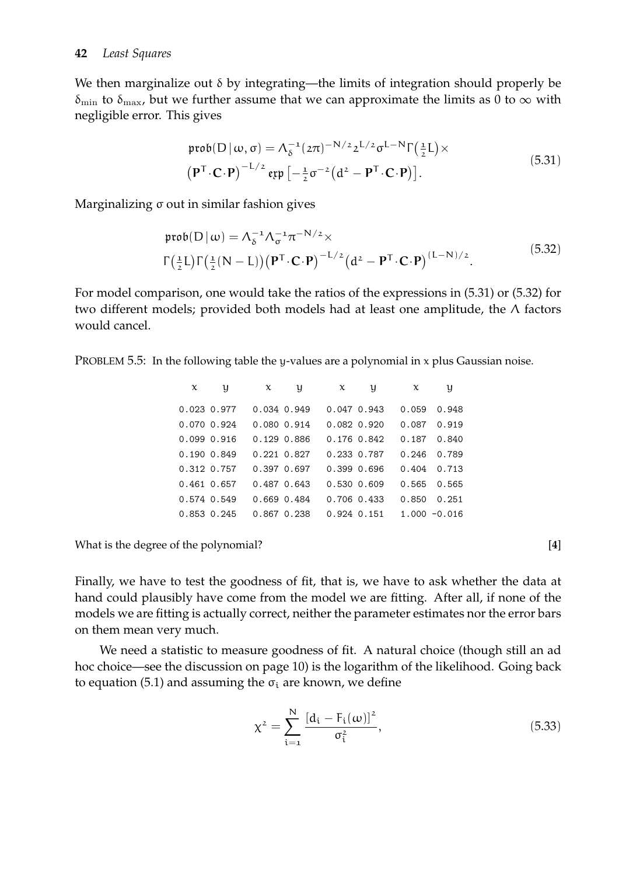We then marginalize out  $\delta$  by integrating—the limits of integration should properly be  $\delta_{\text{min}}$  to  $\delta_{\text{max}}$ , but we further assume that we can approximate the limits as 0 to  $\infty$  with negligible error. This gives

$$
\text{prob}(D \mid \omega, \sigma) = \Lambda_{\delta}^{-1} (2\pi)^{-N/2} 2^{L/2} \sigma^{L-N} \Gamma(\frac{1}{2}L) \times
$$
\n
$$
\left(\mathbf{P}^{\mathsf{T}} \cdot \mathbf{C} \cdot \mathbf{P}\right)^{-L/2} \exp\left[-\frac{1}{2}\sigma^{-2} \left(d^2 - \mathbf{P}^{\mathsf{T}} \cdot \mathbf{C} \cdot \mathbf{P}\right)\right].
$$
\n(5.31)

Marginalizing σ out in similar fashion gives

$$
\text{prob}(D|\omega) = \Lambda_{\delta}^{-1} \Lambda_{\sigma}^{-1} \pi^{-N/2} \times
$$
  

$$
\Gamma(\frac{1}{2}L) \Gamma(\frac{1}{2}(N-L)) (\mathbf{P}^{T} \cdot \mathbf{C} \cdot \mathbf{P})^{-L/2} (d^{2} - \mathbf{P}^{T} \cdot \mathbf{C} \cdot \mathbf{P})^{(L-N)/2}.
$$
 (5.32)

For model comparison, one would take the ratios of the expressions in (5.31) or (5.32) for two different models; provided both models had at least one amplitude, the Λ factors would cancel.

PROBLEM 5.5: In the following table the y-values are a polynomial in  $x$  plus Gaussian noise.

| $\chi$ and $\chi$ | y           | $\chi$          | $\mathbf{u}$ |                 | $x \quad y$ | $\chi$ | y                   |
|-------------------|-------------|-----------------|--------------|-----------------|-------------|--------|---------------------|
|                   | 0.023 0.977 | $0.034$ 0.949   |              | $0.047$ 0.943   |             |        | $0.059$ 0.948       |
|                   | 0.070 0.924 | 0.080 0.914     |              | $0.082$ $0.920$ |             |        | $0.087$ 0.919       |
|                   | 0.099 0.916 | 0.129 0.886     |              | 0.176 0.842     |             |        | $0.187$ $0.840$     |
|                   | 0.190 0.849 | $0.221$ $0.827$ |              | 0.233 0.787     |             |        | $0.246$ 0.789       |
|                   | 0.312 0.757 | 0.397 0.697     |              | $0.399$ $0.696$ |             |        | $0.404$ 0.713       |
|                   | 0.461 0.657 | $0.487$ 0.643   |              | 0.530 0.609     |             |        | $0.565$ $0.565$     |
|                   | 0.574 0.549 | $0.669$ $0.484$ |              | $0.706$ $0.433$ |             |        | $0.850 \quad 0.251$ |
|                   | 0.853 0.245 | 0.867 0.238     |              | $0.924$ 0.151   |             |        | $1.000 - 0.016$     |
|                   |             |                 |              |                 |             |        |                     |

What is the degree of the polynomial? [**4**]

Finally, we have to test the goodness of fit, that is, we have to ask whether the data at hand could plausibly have come from the model we are fitting. After all, if none of the models we are fitting is actually correct, neither the parameter estimates nor the error bars on them mean very much.

We need a statistic to measure goodness of fit. A natural choice (though still an ad hoc choice—see the discussion on page 10) is the logarithm of the likelihood. Going back to equation (5.1) and assuming the  $\sigma_i$  are known, we define

$$
\chi^{2} = \sum_{i=1}^{N} \frac{[d_{i} - F_{i}(\omega)]^{2}}{\sigma_{i}^{2}},
$$
\n(5.33)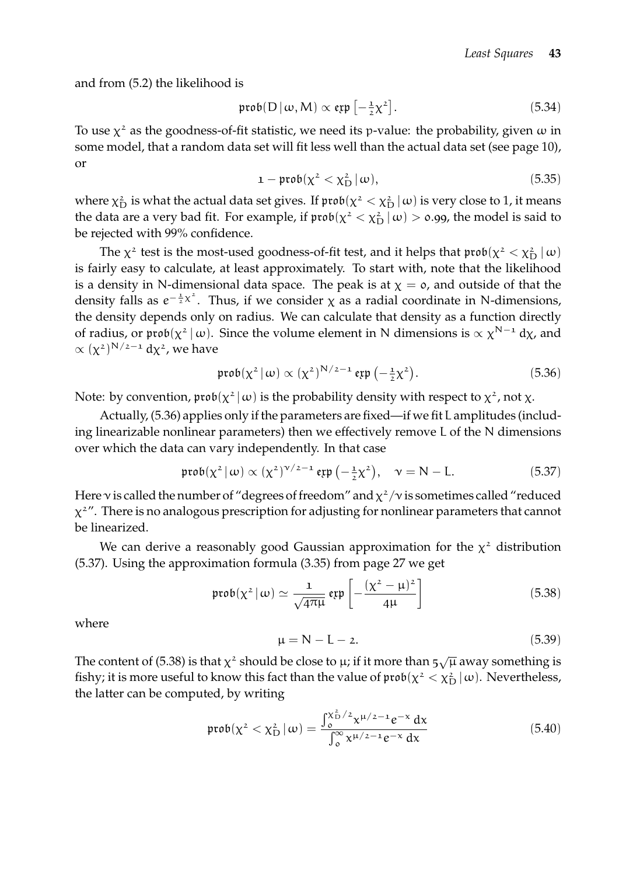and from (5.2) the likelihood is

$$
\mathfrak{prob}(D \mid \omega, M) \propto \exp \left[ -\frac{1}{2} \chi^2 \right]. \tag{5.34}
$$

To use  $\chi^2$  as the goodness-of-fit statistic, we need its p-value: the probability, given  $\omega$  in some model, that a random data set will fit less well than the actual data set (see page 10), or

$$
1 - \text{prob}(\chi^2 < \chi^2_D \,|\, \omega),\tag{5.35}
$$

where  $\chi^2_D$  is what the actual data set gives. If  $\mathfrak{prob}(\chi^2<\chi^2_D\,|\,\omega)$  is very close to 1, it means the data are a very bad fit. For example, if  $\mathfrak{prob}(\chi^2 < \chi^2_D \,|\, \omega) >$  0.99, the model is said to be rejected with 99% confidence.

The  $\chi^2$  test is the most-used goodness-of-fit test, and it helps that  $\mathfrak{prob}(\chi^2 < \chi_D^2 \mid \omega)$ is fairly easy to calculate, at least approximately. To start with, note that the likelihood is a density in N-dimensional data space. The peak is at  $\chi = o$ , and outside of that the density falls as  $e^{-\frac{1}{2}x^2}$ . Thus, if we consider  $\chi$  as a radial coordinate in N-dimensions, the density depends only on radius. We can calculate that density as a function directly of radius, or  $\mathfrak{prob}(\chi^2 | \omega)$ . Since the volume element in N dimensions is  $\propto \chi^{N-1} d\chi$ , and  $\propto (\chi^2)^{N/2-1} d\chi^2$ , we have

$$
\mathfrak{prob}(\chi^2 \,|\, \omega) \propto (\chi^2)^{N/2 - 1} \exp\left(-\frac{1}{2}\chi^2\right). \tag{5.36}
$$

Note: by convention,  $prob(\chi^2 | \omega)$  is the probability density with respect to  $\chi^2$ , not  $\chi$ .

Actually, (5.36) applies only if the parameters are fixed—if we fit L amplitudes (including linearizable nonlinear parameters) then we effectively remove L of the N dimensions over which the data can vary independently. In that case

$$
\mathfrak{prob}(\chi^2 \mid \omega) \propto (\chi^2)^{\gamma/2 - 1} \exp\left(-\frac{1}{2}\chi^2\right), \quad \gamma = \mathsf{N} - \mathsf{L}.\tag{5.37}
$$

Here  $\nu$  is called the number of "degrees of freedom" and  $\chi^2/\nu$  is sometimes called "reduced  $\chi^{2}$ ". There is no analogous prescription for adjusting for nonlinear parameters that cannot be linearized.

We can derive a reasonably good Gaussian approximation for the  $\chi^2$  distribution (5.37). Using the approximation formula (3.35) from page 27 we get

$$
\text{prob}(\chi^2 \mid \omega) \simeq \frac{1}{\sqrt{4\pi\mu}} \exp\left[-\frac{(\chi^2 - \mu)^2}{4\mu}\right] \tag{5.38}
$$

where

$$
\mu = N - L - 2. \tag{5.39}
$$

The content of (5.38) is that  $\chi^2$  should be close to  $\mu$ ; if it more than 5 $\sqrt{\mu}$  away something is fishy; it is more useful to know this fact than the value of  $\mathfrak{prob}(\chi^2 < \chi^2_{\mathrm{D}} \,|\, \omega)$ . Nevertheless, the latter can be computed, by writing

$$
\mathfrak{prob}(\chi^2 < \chi^2_D \,|\, \omega) = \frac{\int_0^{\chi_D^2 / 2} x^{\mu/2 - 1} e^{-x} \, \mathrm{d}x}{\int_0^\infty x^{\mu/2 - 1} e^{-x} \, \mathrm{d}x} \tag{5.40}
$$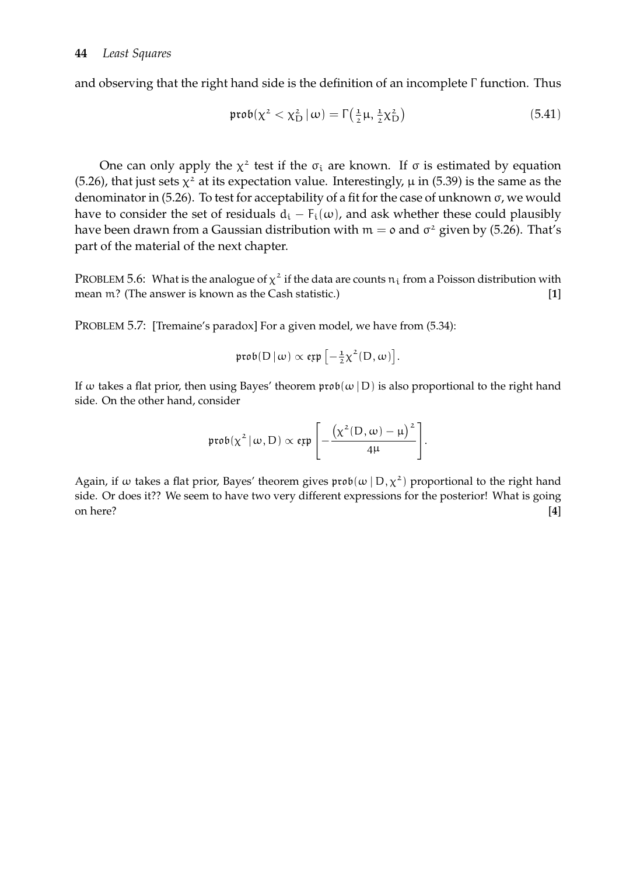and observing that the right hand side is the definition of an incomplete Γ function. Thus

$$
\mathfrak{prob}(\chi^2 < \chi_D^2 \,|\, \omega) = \Gamma\left(\frac{1}{2}\mu, \frac{1}{2}\chi_D^2\right) \tag{5.41}
$$

One can only apply the  $\chi^2$  test if the  $\sigma_i$  are known. If  $\sigma$  is estimated by equation (5.26), that just sets  $\chi^2$  at its expectation value. Interestingly,  $\mu$  in (5.39) is the same as the denominator in (5.26). To test for acceptability of a fit for the case of unknown σ, we would have to consider the set of residuals  $d_i - F_i(\omega)$ , and ask whether these could plausibly have been drawn from a Gaussian distribution with  $m = o$  and  $\sigma^2$  given by (5.26). That's part of the material of the next chapter.

PROBLEM 5.6: What is the analogue of  $\chi^2$  if the data are counts  $\mathfrak{n}_i$  from a Poisson distribution with mean m? (The answer is known as the Cash statistic.) [**1**]

PROBLEM 5.7: [Tremaine's paradox] For a given model, we have from (5.34):

$$
\mathfrak{prob}(D \,|\, \omega) \propto \mathfrak{exp}\,\bigl[-\tfrac{1}{2}\chi^2(D,\omega)\bigr].
$$

If  $\omega$  takes a flat prior, then using Bayes' theorem  $\mathfrak{prob}(\omega|D)$  is also proportional to the right hand side. On the other hand, consider

$$
\mathfrak{prob}(\chi^2 | \omega, D) \propto \exp \left[-\frac{\left(\chi^2(D, \omega) - \mu\right)^2}{4\mu}\right].
$$

Again, if w takes a flat prior, Bayes' theorem gives  $\mathfrak{prob}(\omega | D, \chi^2)$  proportional to the right hand side. Or does it?? We seem to have two very different expressions for the posterior! What is going on here? [**4**]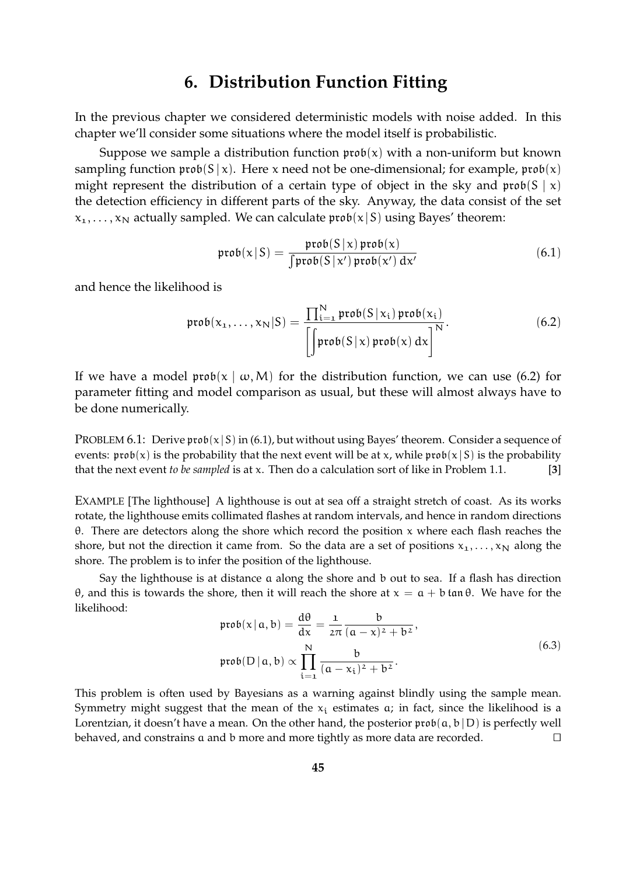# **6. Distribution Function Fitting**

In the previous chapter we considered deterministic models with noise added. In this chapter we'll consider some situations where the model itself is probabilistic.

Suppose we sample a distribution function  $\mathfrak{prob}(x)$  with a non-uniform but known sampling function  $\mathfrak{prob}(S | x)$ . Here x need not be one-dimensional; for example,  $\mathfrak{prob}(x)$ might represent the distribution of a certain type of object in the sky and  $\mathfrak{prob}(S \mid x)$ the detection efficiency in different parts of the sky. Anyway, the data consist of the set  $x_1, \ldots, x_N$  actually sampled. We can calculate  $\mathfrak{prob}(x|S)$  using Bayes' theorem:

$$
\text{prob}(\mathbf{x} | \mathbf{S}) = \frac{\text{prob}(\mathbf{S} | \mathbf{x}) \,\text{prob}(\mathbf{x})}{\int \text{prob}(\mathbf{S} | \mathbf{x}') \,\text{prob}(\mathbf{x}') \,\text{d}\mathbf{x}'}\tag{6.1}
$$

and hence the likelihood is

$$
\mathfrak{prob}(x_1, \dots, x_N | S) = \frac{\prod_{i=1}^N \mathfrak{prob}(S | x_i) \mathfrak{prob}(x_i)}{\left[ \left| \mathfrak{prob}(S | x) \mathfrak{prob}(x) \, dx \right| \right]^N}.
$$
\n(6.2)

If we have a model  $prob(x | \omega, M)$  for the distribution function, we can use (6.2) for parameter fitting and model comparison as usual, but these will almost always have to be done numerically.

PROBLEM 6.1: Derive  $\text{prob}(x|S)$  in (6.1), but without using Bayes' theorem. Consider a sequence of events:  $\mathfrak{prob}(x)$  is the probability that the next event will be at x, while  $\mathfrak{prob}(x|S)$  is the probability that the next event *to be sampled* is at x. Then do a calculation sort of like in Problem 1.1. [**3**]

EXAMPLE [The lighthouse] A lighthouse is out at sea off a straight stretch of coast. As its works rotate, the lighthouse emits collimated flashes at random intervals, and hence in random directions θ. There are detectors along the shore which record the position x where each flash reaches the shore, but not the direction it came from. So the data are a set of positions  $x_1, \ldots, x_N$  along the shore. The problem is to infer the position of the lighthouse.

Say the lighthouse is at distance a along the shore and b out to sea. If a flash has direction θ, and this is towards the shore, then it will reach the shore at  $x = a + b$  tan θ. We have for the likelihood:

$$
\text{prob}(x | a, b) = \frac{d\theta}{dx} = \frac{1}{2\pi} \frac{b}{(a - x)^2 + b^2},
$$
  
\n
$$
\text{prob}(D | a, b) \propto \prod_{i=1}^{N} \frac{b}{(a - x_i)^2 + b^2}.
$$
 (6.3)

This problem is often used by Bayesians as a warning against blindly using the sample mean. Symmetry might suggest that the mean of the  $x_i$  estimates  $a_i$ ; in fact, since the likelihood is a Lorentzian, it doesn't have a mean. On the other hand, the posterior  $prob(a, b|D)$  is perfectly well behaved, and constrains  $\alpha$  and  $\beta$  more and more tightly as more data are recorded.  $\Box$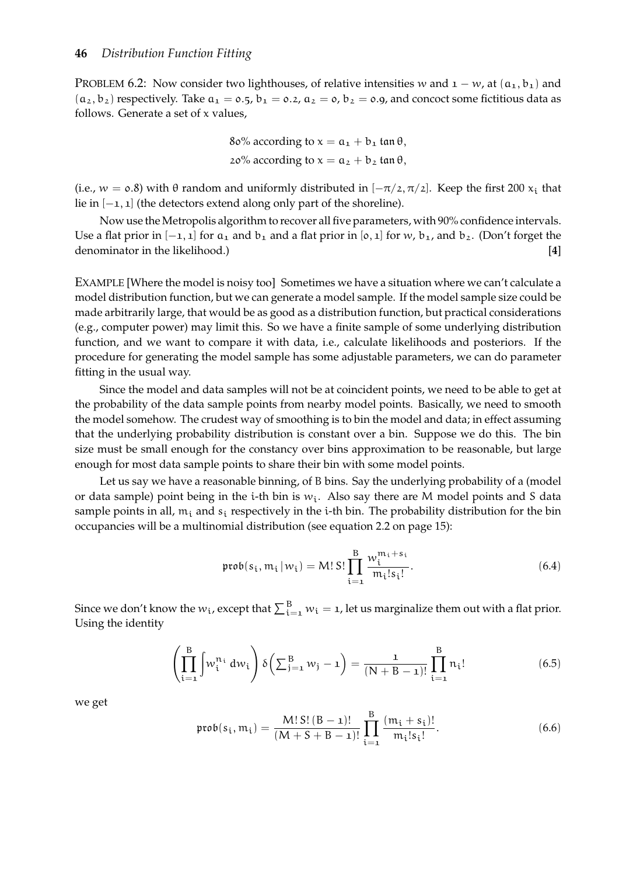PROBLEM 6.2: Now consider two lighthouses, of relative intensities w and  $1 - w$ , at  $(a_1, b_1)$  and  $(a_2, b_2)$  respectively. Take  $a_1 = 0.5$ ,  $b_1 = 0.2$ ,  $a_2 = 0$ ,  $b_2 = 0.9$ , and concoct some fictitious data as follows. Generate a set of x values,

80% according to 
$$
x = a_1 + b_1 \tan \theta
$$
,  
20% according to  $x = a_2 + b_2 \tan \theta$ ,

(i.e.,  $w = o.8$ ) with  $\theta$  random and uniformly distributed in  $[-\pi/2, \pi/2]$ . Keep the first 200  $x_i$  that lie in [−1, 1] (the detectors extend along only part of the shoreline).

Now use the Metropolis algorithm to recover all five parameters, with 90% confidence intervals. Use a flat prior in  $[-1, 1]$  for  $a_1$  and  $b_1$  and a flat prior in  $[a, 1]$  for w,  $b_1$ , and  $b_2$ . (Don't forget the denominator in the likelihood.) [**4**]

EXAMPLE [Where the model is noisy too] Sometimes we have a situation where we can't calculate a model distribution function, but we can generate a model sample. If the model sample size could be made arbitrarily large, that would be as good as a distribution function, but practical considerations (e.g., computer power) may limit this. So we have a finite sample of some underlying distribution function, and we want to compare it with data, i.e., calculate likelihoods and posteriors. If the procedure for generating the model sample has some adjustable parameters, we can do parameter fitting in the usual way.

Since the model and data samples will not be at coincident points, we need to be able to get at the probability of the data sample points from nearby model points. Basically, we need to smooth the model somehow. The crudest way of smoothing is to bin the model and data; in effect assuming that the underlying probability distribution is constant over a bin. Suppose we do this. The bin size must be small enough for the constancy over bins approximation to be reasonable, but large enough for most data sample points to share their bin with some model points.

Let us say we have a reasonable binning, of B bins. Say the underlying probability of a (model or data sample) point being in the *i*-th bin is  $w_i$ . Also say there are M model points and S data sample points in all,  $m_i$  and  $s_i$  respectively in the i-th bin. The probability distribution for the bin occupancies will be a multinomial distribution (see equation 2.2 on page 15):

$$
\text{prob}(s_i, m_i | w_i) = M! S! \prod_{i=1}^{B} \frac{w_i^{m_i + s_i}}{m_i! s_i!}.
$$
 (6.4)

Since we don't know the  $w_i$ , except that  $\sum_{i=1}^B w_i =$  1, let us marginalize them out with a flat prior. Using the identity

$$
\left(\prod_{i=1}^{B} \int w_i^{n_i} dw_i\right) \delta\left(\sum_{j=1}^{B} w_j - 1\right) = \frac{1}{(N + B - 1)!} \prod_{i=1}^{B} n_i!
$$
 (6.5)

we get

$$
\text{prob}(s_i, m_i) = \frac{M! S! (B - 1)!}{(M + S + B - 1)!} \prod_{i=1}^{B} \frac{(m_i + s_i)!}{m_i! s_i!}.
$$
\n(6.6)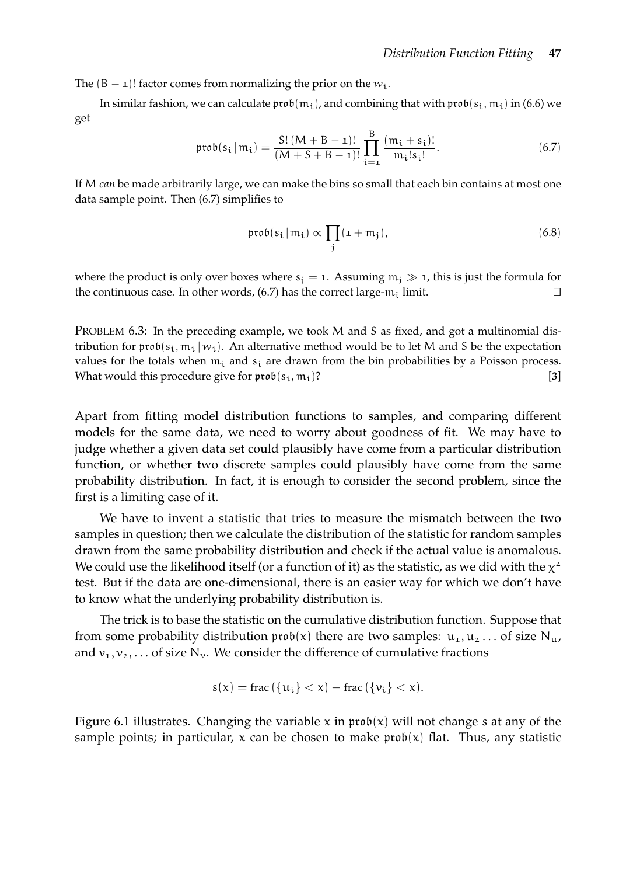The  $(B - i)!$  factor comes from normalizing the prior on the  $w_i$ .

In similar fashion, we can calculate  $\mathfrak{prob}(\mathfrak{m_i})$ , and combining that with  $\mathfrak{prob}(s_i, \mathfrak{m_i})$  in (6.6) we get

$$
\text{prob}(s_i \mid m_i) = \frac{S! \left(M + B - 1\right)!}{\left(M + S + B - 1\right)!} \prod_{i=1}^{B} \frac{\left(m_i + s_i\right)!}{m_i! s_i!}.
$$
\n(6.7)

If M *can* be made arbitrarily large, we can make the bins so small that each bin contains at most one data sample point. Then (6.7) simplifies to

$$
\mathfrak{prob}(s_i \,|\, m_i) \propto \prod_j (1 + m_j),\tag{6.8}
$$

where the product is only over boxes where  $s_i = 1$ . Assuming  $m_i \gg 1$ , this is just the formula for the continuous case. In other words,  $(6.7)$  has the correct large- $m_i$  limit.

PROBLEM 6.3: In the preceding example, we took M and S as fixed, and got a multinomial distribution for  $\mathfrak{prob}(s_i, m_i \mid w_i)$ . An alternative method would be to let M and S be the expectation values for the totals when  $m_i$  and  $s_i$  are drawn from the bin probabilities by a Poisson process. What would this procedure give for  $\mathfrak{prob}(s_i, \mathfrak{m}_i)$ )? [**3**]

Apart from fitting model distribution functions to samples, and comparing different models for the same data, we need to worry about goodness of fit. We may have to judge whether a given data set could plausibly have come from a particular distribution function, or whether two discrete samples could plausibly have come from the same probability distribution. In fact, it is enough to consider the second problem, since the first is a limiting case of it.

We have to invent a statistic that tries to measure the mismatch between the two samples in question; then we calculate the distribution of the statistic for random samples drawn from the same probability distribution and check if the actual value is anomalous. We could use the likelihood itself (or a function of it) as the statistic, as we did with the  $\chi^2$ test. But if the data are one-dimensional, there is an easier way for which we don't have to know what the underlying probability distribution is.

The trick is to base the statistic on the cumulative distribution function. Suppose that from some probability distribution  $prob(x)$  there are two samples:  $u_1, u_2 \dots$  of size  $N_u$ , and  $v_1, v_2, \ldots$  of size N<sub>v</sub>. We consider the difference of cumulative fractions

$$
s(x) = \text{frac}(\{u_i\} < x) - \text{frac}(\{v_i\} < x).
$$

Figure 6.1 illustrates. Changing the variable x in  $prob(x)$  will not change s at any of the sample points; in particular, x can be chosen to make  $\mathfrak{prob}(x)$  flat. Thus, any statistic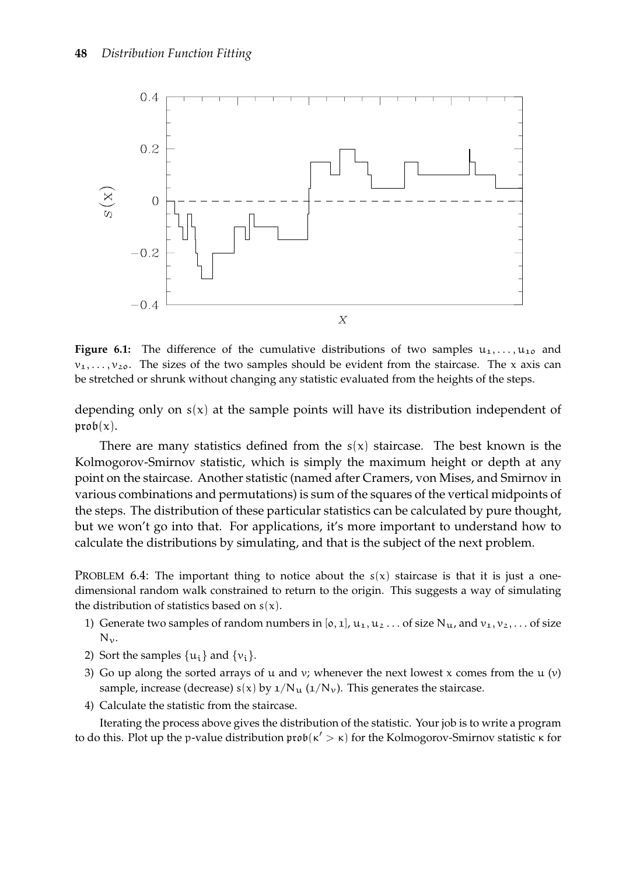

**Figure 6.1:** The difference of the cumulative distributions of two samples  $u_1, \ldots, u_{10}$  and  $v_1, \ldots, v_{20}$ . The sizes of the two samples should be evident from the staircase. The x axis can be stretched or shrunk without changing any statistic evaluated from the heights of the steps.

depending only on  $s(x)$  at the sample points will have its distribution independent of  $prob(x)$ .

There are many statistics defined from the  $s(x)$  staircase. The best known is the Kolmogorov-Smirnov statistic, which is simply the maximum height or depth at any point on the staircase. Another statistic (named after Cramers, von Mises, and Smirnov in various combinations and permutations) is sum of the squares of the vertical midpoints of the steps. The distribution of these particular statistics can be calculated by pure thought, but we won't go into that. For applications, it's more important to understand how to calculate the distributions by simulating, and that is the subject of the next problem.

PROBLEM 6.4: The important thing to notice about the  $s(x)$  staircase is that it is just a onedimensional random walk constrained to return to the origin. This suggests a way of simulating the distribution of statistics based on  $s(x)$ .

- 1) Generate two samples of random numbers in  $[0, 1]$ ,  $u_1, u_2, \ldots$  of size N<sub>u</sub>, and  $v_1, v_2, \ldots$  of size  $N_{\nu}$ .
- 2) Sort the samples  $\{u_i\}$  and  $\{v_i\}$ .
- 3) Go up along the sorted arrays of u and v; whenever the next lowest x comes from the u  $(v)$ sample, increase (decrease) s(x) by  $1/N_u$  ( $1/N_v$ ). This generates the staircase.
- 4) Calculate the statistic from the staircase.

Iterating the process above gives the distribution of the statistic. Your job is to write a program to do this. Plot up the p-value distribution  $\mathfrak{prob}(\kappa' > \kappa)$  for the Kolmogorov-Smirnov statistic κ for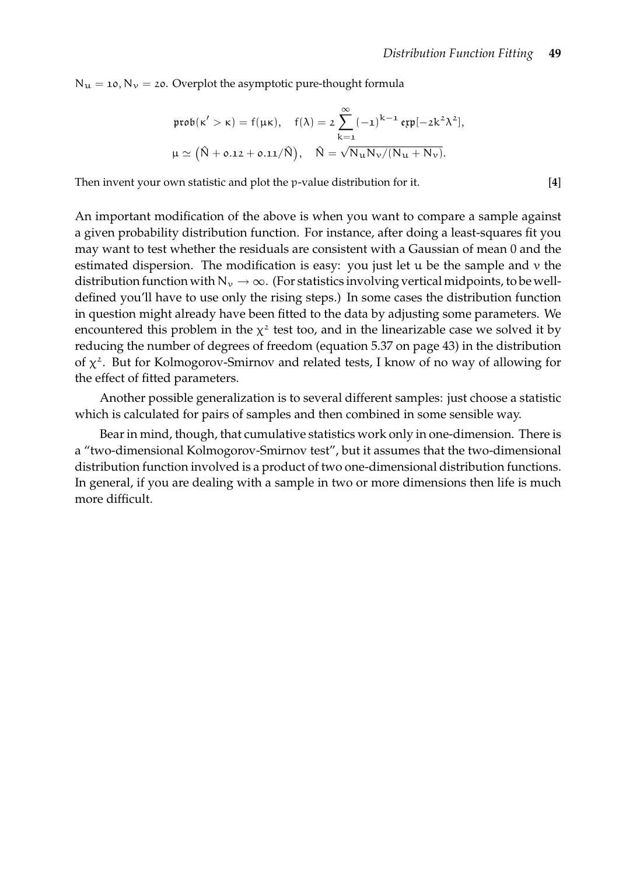$N_u = 10$ ,  $N_v = 20$ . Overplot the asymptotic pure-thought formula

$$
\mathfrak{prob}(\kappa' > \kappa) = f(\mu \kappa), \quad f(\lambda) = 2 \sum_{k=1}^{\infty} (-1)^{k-1} \exp[-2k^2 \lambda^2],
$$
  

$$
\mu \simeq (\hat{N} + o.12 + o.11/\hat{N}), \quad \hat{N} = \sqrt{N_u N_v / (N_u + N_v)}.
$$

Then invent your own statistic and plot the p-value distribution for it. [**4**]

An important modification of the above is when you want to compare a sample against a given probability distribution function. For instance, after doing a least-squares fit you may want to test whether the residuals are consistent with a Gaussian of mean 0 and the estimated dispersion. The modification is easy: you just let u be the sample and v the distribution function with  $N_v \to \infty$ . (For statistics involving vertical midpoints, to be welldefined you'll have to use only the rising steps.) In some cases the distribution function in question might already have been fitted to the data by adjusting some parameters. We encountered this problem in the  $\chi^2$  test too, and in the linearizable case we solved it by reducing the number of degrees of freedom (equation 5.37 on page 43) in the distribution of  $\chi^2$ . But for Kolmogorov-Smirnov and related tests, I know of no way of allowing for the effect of fitted parameters.

Another possible generalization is to several different samples: just choose a statistic which is calculated for pairs of samples and then combined in some sensible way.

Bear in mind, though, that cumulative statistics work only in one-dimension. There is a "two-dimensional Kolmogorov-Smirnov test", but it assumes that the two-dimensional distribution function involved is a product of two one-dimensional distribution functions. In general, if you are dealing with a sample in two or more dimensions then life is much more difficult.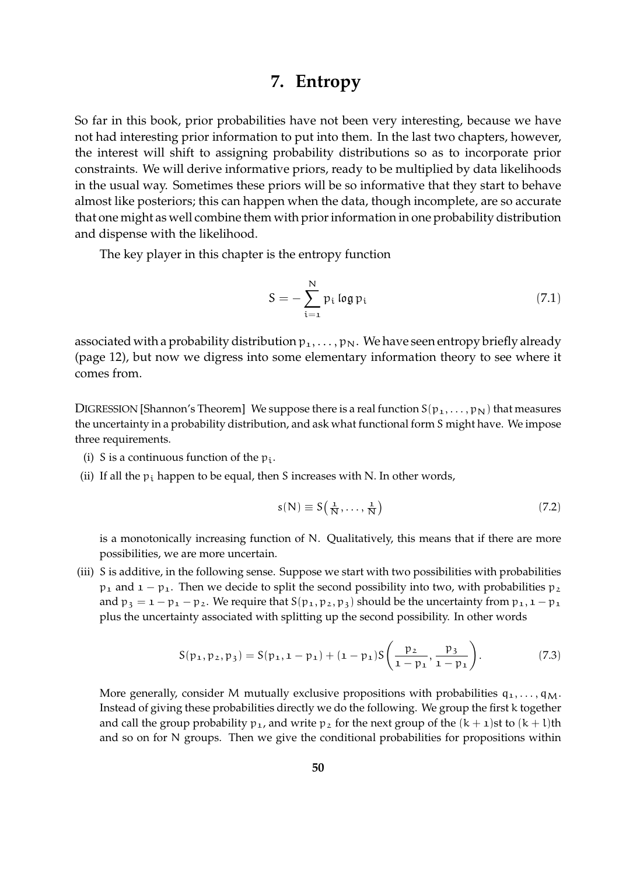# **7. Entropy**

So far in this book, prior probabilities have not been very interesting, because we have not had interesting prior information to put into them. In the last two chapters, however, the interest will shift to assigning probability distributions so as to incorporate prior constraints. We will derive informative priors, ready to be multiplied by data likelihoods in the usual way. Sometimes these priors will be so informative that they start to behave almost like posteriors; this can happen when the data, though incomplete, are so accurate that one might as well combine them with prior information in one probability distribution and dispense with the likelihood.

The key player in this chapter is the entropy function

$$
S = -\sum_{i=1}^{N} p_i \log p_i \tag{7.1}
$$

associated with a probability distribution  $p_1, \ldots, p_N$ . We have seen entropy briefly already (page 12), but now we digress into some elementary information theory to see where it comes from.

DIGRESSION [Shannon's Theorem] We suppose there is a real function  $S(p_1, \ldots, p_N)$  that measures the uncertainty in a probability distribution, and ask what functional form S might have. We impose three requirements.

- (i) S is a continuous function of the  $p_i$ .
- (ii) If all the  $p_i$  happen to be equal, then S increases with N. In other words,

$$
s(N) \equiv S\left(\frac{1}{N}, \dots, \frac{1}{N}\right) \tag{7.2}
$$

is a monotonically increasing function of N. Qualitatively, this means that if there are more possibilities, we are more uncertain.

(iii) S is additive, in the following sense. Suppose we start with two possibilities with probabilities  $p_1$  and  $1 - p_1$ . Then we decide to split the second possibility into two, with probabilities  $p_2$ and  $p_3 = 1 - p_1 - p_2$ . We require that  $S(p_1, p_2, p_3)$  should be the uncertainty from  $p_1, 1 - p_1$ plus the uncertainty associated with splitting up the second possibility. In other words

$$
S(p_1, p_2, p_3) = S(p_1, 1 - p_1) + (1 - p_1)S\left(\frac{p_2}{1 - p_1}, \frac{p_3}{1 - p_1}\right).
$$
 (7.3)

More generally, consider M mutually exclusive propositions with probabilities  $q_1, \ldots, q_M$ . Instead of giving these probabilities directly we do the following. We group the first k together and call the group probability  $p_1$ , and write  $p_2$  for the next group of the  $(k + 1)$ st to  $(k + 1)$ th and so on for N groups. Then we give the conditional probabilities for propositions within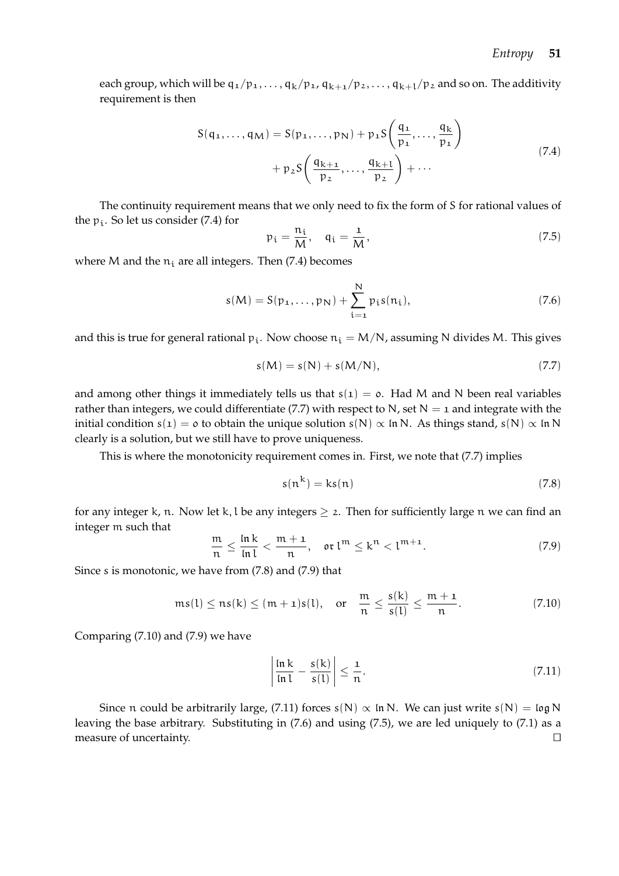each group, which will be  $q_1/p_1, \ldots, q_k/p_1, q_{k+1}/p_2, \ldots, q_{k+1}/p_2$  and so on. The additivity requirement is then

$$
S(q_1,..., q_M) = S(p_1,..., p_N) + p_1 S\left(\frac{q_1}{p_1},..., \frac{q_k}{p_1}\right) + p_2 S\left(\frac{q_{k+1}}{p_2},..., \frac{q_{k+1}}{p_2}\right) + \cdots
$$
\n(7.4)

The continuity requirement means that we only need to fix the form of S for rational values of the  $p_i$ . So let us consider (7.4) for

$$
p_i = \frac{n_i}{M}, \quad q_i = \frac{1}{M}, \tag{7.5}
$$

where M and the  $n_i$  are all integers. Then (7.4) becomes

$$
s(M) = S(p_1, ..., p_N) + \sum_{i=1}^{N} p_i s(n_i),
$$
 (7.6)

and this is true for general rational  $p_i$ . Now choose  $n_i = M/N$ , assuming N divides M. This gives

$$
s(M) = s(N) + s(M/N), \qquad (7.7)
$$

and among other things it immediately tells us that  $s(1) = o$ . Had M and N been real variables rather than integers, we could differentiate (7.7) with respect to N, set  $N = 1$  and integrate with the initial condition s(1) = 0 to obtain the unique solution s(N)  $\propto$  In N. As things stand, s(N)  $\propto$  In N clearly is a solution, but we still have to prove uniqueness.

This is where the monotonicity requirement comes in. First, we note that (7.7) implies

$$
s(n^k) = ks(n) \tag{7.8}
$$

for any integer k, n. Now let k, l be any integers  $>$  2. Then for sufficiently large n we can find an integer m such that

$$
\frac{m}{n} \le \frac{\ln k}{\ln l} < \frac{m+1}{n}, \quad \text{or } l^m \le k^n < l^{m+1}.\tag{7.9}
$$

Since s is monotonic, we have from (7.8) and (7.9) that

$$
ms(l) \le ns(k) \le (m+1)s(l)
$$
, or  $\frac{m}{n} \le \frac{s(k)}{s(l)} \le \frac{m+1}{n}$ . (7.10)

Comparing (7.10) and (7.9) we have

$$
\left|\frac{\ln k}{\ln l} - \frac{s(k)}{s(l)}\right| \le \frac{1}{n}.\tag{7.11}
$$

Since n could be arbitrarily large, (7.11) forces s(N)  $\propto$  ln N. We can just write s(N) = log N leaving the base arbitrary. Substituting in (7.6) and using (7.5), we are led uniquely to (7.1) as a measure of uncertainty.  $\Box$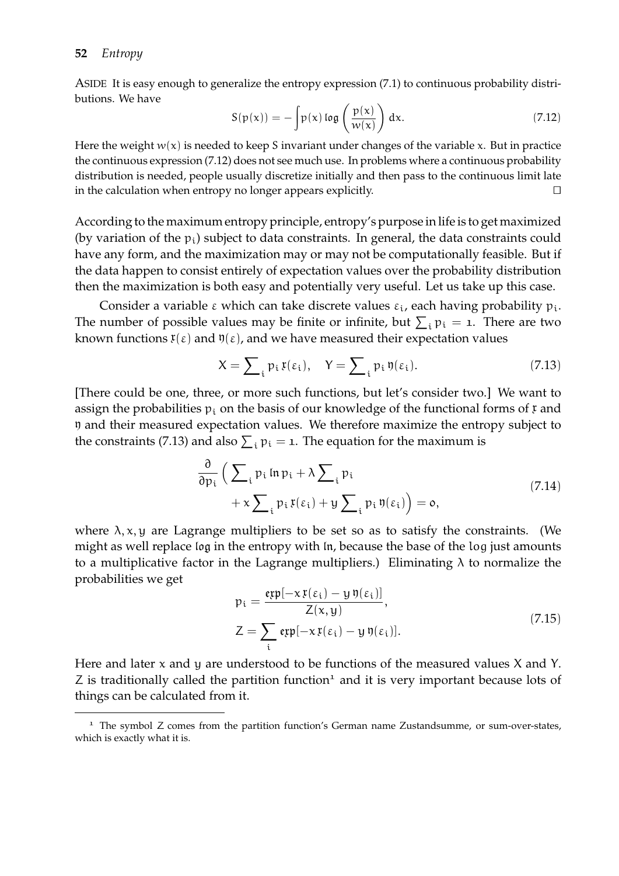ASIDE It is easy enough to generalize the entropy expression (7.1) to continuous probability distributions. We have

$$
S(p(x)) = -\int p(x) \log \left(\frac{p(x)}{w(x)}\right) dx.
$$
 (7.12)

Here the weight  $w(x)$  is needed to keep S invariant under changes of the variable x. But in practice the continuous expression (7.12) does not see much use. In problems where a continuous probability distribution is needed, people usually discretize initially and then pass to the continuous limit late in the calculation when entropy no longer appears explicitly.  $\Box$ 

According to the maximum entropy principle, entropy's purpose in life is to get maximized (by variation of the  $p_i$ ) subject to data constraints. In general, the data constraints could have any form, and the maximization may or may not be computationally feasible. But if the data happen to consist entirely of expectation values over the probability distribution then the maximization is both easy and potentially very useful. Let us take up this case.

Consider a variable  $\varepsilon$  which can take discrete values  $\varepsilon_i$ , each having probability  $p_i$ . The number of possible values may be finite or infinite, but  $\sum_i p_i = 1$ . There are two known functions  $\mathfrak{x}(\varepsilon)$  and  $\mathfrak{y}(\varepsilon)$ , and we have measured their expectation values

$$
X = \sum_{i} p_i \mathfrak{x}(\varepsilon_i), \quad Y = \sum_{i} p_i \mathfrak{y}(\varepsilon_i). \tag{7.13}
$$

[There could be one, three, or more such functions, but let's consider two.] We want to assign the probabilities  $p_i$  on the basis of our knowledge of the functional forms of  $\mathfrak x$  and y and their measured expectation values. We therefore maximize the entropy subject to the constraints (7.13) and also  $\sum_i p_i = 1$ . The equation for the maximum is

$$
\frac{\partial}{\partial p_i} \left( \sum_i p_i \ln p_i + \lambda \sum_i p_i \right. \\ + \left. \times \sum_i p_i \, \mathfrak{x}(\varepsilon_i) + \mathfrak{y} \sum_i p_i \, \mathfrak{y}(\varepsilon_i) \right) = o,
$$
\n(7.14)

where  $\lambda$ , x, y are Lagrange multipliers to be set so as to satisfy the constraints. (We might as well replace log in the entropy with ln, because the base of the log just amounts to a multiplicative factor in the Lagrange multipliers.) Eliminating  $\lambda$  to normalize the probabilities we get

$$
p_{i} = \frac{\exp[-\chi \mathfrak{x}(\varepsilon_{i}) - y \mathfrak{y}(\varepsilon_{i})]}{Z(\chi, y)},
$$
  
\n
$$
Z = \sum_{i} \exp[-\chi \mathfrak{x}(\varepsilon_{i}) - y \mathfrak{y}(\varepsilon_{i})].
$$
\n(7.15)

Here and later  $x$  and  $y$  are understood to be functions of the measured values  $X$  and  $Y$ . Z is traditionally called the partition function<sup>1</sup> and it is very important because lots of things can be calculated from it.

<sup>&</sup>lt;sup>1</sup> The symbol Z comes from the partition function's German name Zustandsumme, or sum-over-states, which is exactly what it is.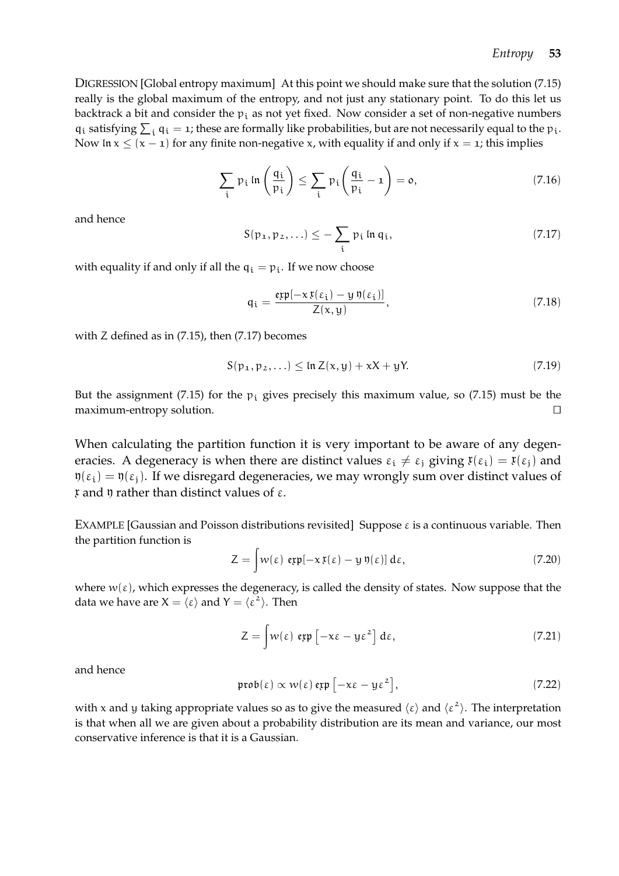DIGRESSION [Global entropy maximum] At this point we should make sure that the solution (7.15) really is the global maximum of the entropy, and not just any stationary point. To do this let us backtrack a bit and consider the  $p_i$  as not yet fixed. Now consider a set of non-negative numbers  $q_i$  satisfying  $\sum_i q_i = 1$ ; these are formally like probabilities, but are not necessarily equal to the  $p_i$ . Now  $\ln x \le (x - 1)$  for any finite non-negative x, with equality if and only if  $x = 1$ ; this implies

$$
\sum_{i} p_{i} \ln \left( \frac{q_{i}}{p_{i}} \right) \leq \sum_{i} p_{i} \left( \frac{q_{i}}{p_{i}} - 1 \right) = o, \qquad (7.16)
$$

and hence

$$
S(p_1, p_2, \ldots) \leq -\sum_{i} p_i \ln q_i, \qquad (7.17)
$$

with equality if and only if all the  $q_i = p_i$ . If we now choose

$$
q_{i} = \frac{\exp[-x \, \mathfrak{x}(\varepsilon_{i}) - y \, \mathfrak{y}(\varepsilon_{i})]}{Z(x, y)},
$$
\n(7.18)

with Z defined as in (7.15), then (7.17) becomes

$$
S(p_1, p_2, \ldots) \leq \ln Z(x, y) + xX + yY. \tag{7.19}
$$

But the assignment (7.15) for the  $p_i$  gives precisely this maximum value, so (7.15) must be the maximum-entropy solution.  $\Box$ 

When calculating the partition function it is very important to be aware of any degeneracies. A degeneracy is when there are distinct values  $\varepsilon_i \neq \varepsilon_j$  giving  $\mathfrak{x}(\varepsilon_i) = \mathfrak{x}(\varepsilon_j)$  and  $\mathfrak{y}(\varepsilon_i) = \mathfrak{y}(\varepsilon_i)$ . If we disregard degeneracies, we may wrongly sum over distinct values of  $\mathfrak x$  and  $\mathfrak y$  rather than distinct values of ε.

EXAMPLE [Gaussian and Poisson distributions revisited] Suppose  $\varepsilon$  is a continuous variable. Then the partition function is

$$
Z = \int w(\varepsilon) \exp[-x \, \mathfrak{x}(\varepsilon) - y \, \mathfrak{y}(\varepsilon)] \, d\varepsilon, \tag{7.20}
$$

where  $w(\varepsilon)$ , which expresses the degeneracy, is called the density of states. Now suppose that the data we have are  $X = \langle \varepsilon \rangle$  and  $Y = \langle \varepsilon^2 \rangle$ . Then

$$
Z = \int w(\varepsilon) \exp \left[ -x\varepsilon - y\varepsilon^2 \right] d\varepsilon, \qquad (7.21)
$$

and hence

$$
\mathfrak{prob}(\varepsilon) \propto w(\varepsilon) \exp \left[ -x\varepsilon - y\varepsilon^2 \right],\tag{7.22}
$$

with x and y taking appropriate values so as to give the measured  $\langle \varepsilon \rangle$  and  $\langle \varepsilon^2 \rangle$ . The interpretation is that when all we are given about a probability distribution are its mean and variance, our most conservative inference is that it is a Gaussian.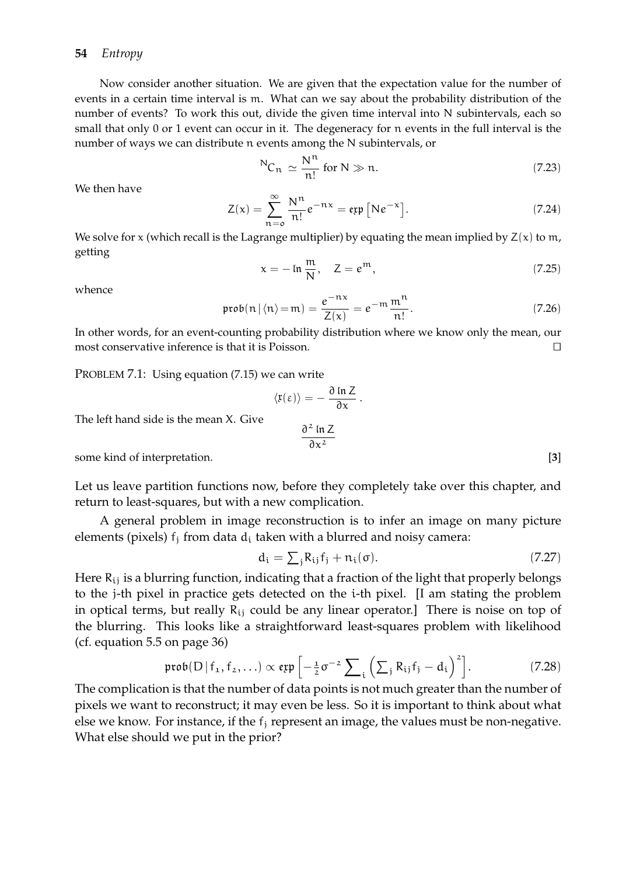Now consider another situation. We are given that the expectation value for the number of events in a certain time interval is m. What can we say about the probability distribution of the number of events? To work this out, divide the given time interval into N subintervals, each so small that only 0 or 1 event can occur in it. The degeneracy for n events in the full interval is the number of ways we can distribute n events among the N subintervals, or

$$
{}^{N}C_{n} \simeq \frac{N^{n}}{n!} \text{ for } N \gg n. \tag{7.23}
$$

We then have

$$
Z(x) = \sum_{n=0}^{\infty} \frac{N^n}{n!} e^{-nx} = \exp [Ne^{-x}].
$$
 (7.24)

We solve for x (which recall is the Lagrange multiplier) by equating the mean implied by  $Z(x)$  to m, getting

$$
x = -\ln\frac{m}{N}, \quad Z = e^m,
$$
\n(7.25)

whence

$$
\operatorname{prob}(n \mid \langle n \rangle = m) = \frac{e^{-nx}}{Z(x)} = e^{-m} \frac{m^n}{n!}.
$$
 (7.26)

In other words, for an event-counting probability distribution where we know only the mean, our most conservative inference is that it is Poisson.  $\Box$ 

PROBLEM 7.1: Using equation (7.15) we can write

$$
\langle \mathfrak{x}(\varepsilon) \rangle = -\frac{\partial \ln Z}{\partial x}.
$$

$$
\frac{\partial^2 \ln Z}{\partial x^2}
$$

 $\partial x^2$ 

The left hand side is the mean X. Give

some kind of interpretation.

Let us leave partition functions now, before they completely take over this chapter, and return to least-squares, but with a new complication.

A general problem in image reconstruction is to infer an image on many picture elements (pixels)  $f_j$  from data  $d_i$  taken with a blurred and noisy camera:

$$
d_i = \sum_j R_{ij} f_j + n_i(\sigma). \tag{7.27}
$$

Here  $R_{ij}$  is a blurring function, indicating that a fraction of the light that properly belongs to the j-th pixel in practice gets detected on the i-th pixel. [I am stating the problem in optical terms, but really  $R_{i,j}$  could be any linear operator.] There is noise on top of the blurring. This looks like a straightforward least-squares problem with likelihood (cf. equation 5.5 on page 36)

$$
\mathfrak{prob}(D | f_1, f_2, \ldots) \propto \mathfrak{exp}\left[-\frac{1}{2}\sigma^{-2}\sum_i\left(\sum_j R_{ij}f_j - d_i\right)^2\right].
$$
 (7.28)

The complication is that the number of data points is not much greater than the number of pixels we want to reconstruct; it may even be less. So it is important to think about what else we know. For instance, if the  $f_i$  represent an image, the values must be non-negative. What else should we put in the prior?

$$
[3]
$$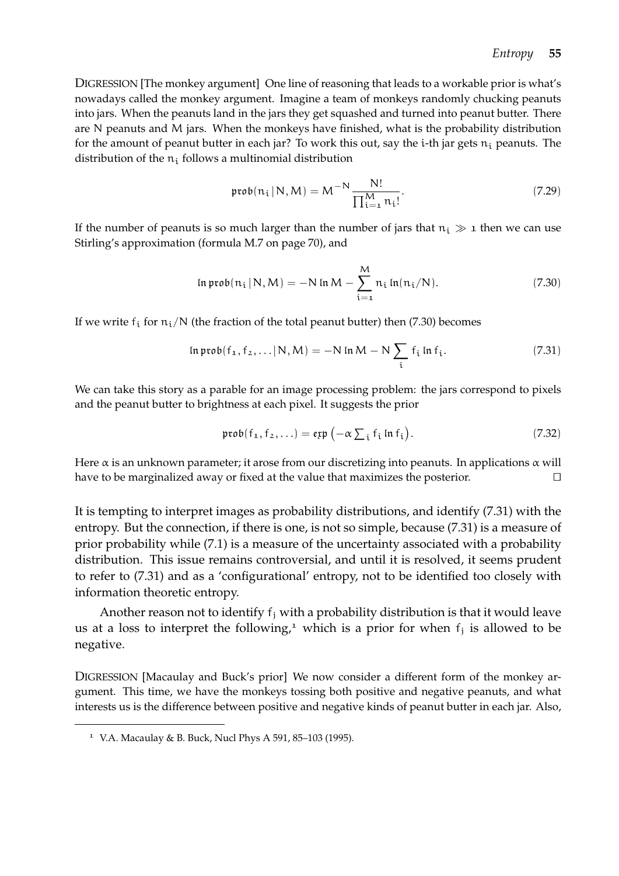DIGRESSION [The monkey argument] One line of reasoning that leads to a workable prior is what's nowadays called the monkey argument. Imagine a team of monkeys randomly chucking peanuts into jars. When the peanuts land in the jars they get squashed and turned into peanut butter. There are N peanuts and M jars. When the monkeys have finished, what is the probability distribution for the amount of peanut butter in each jar? To work this out, say the *i*-th jar gets  $n_i$  peanuts. The distribution of the  $n_i$  follows a multinomial distribution

$$
\text{prob}(n_i \mid N, M) = M^{-N} \frac{N!}{\prod_{i=1}^{M} n_i!}.
$$
 (7.29)

If the number of peanuts is so much larger than the number of jars that  $n_i \gg 1$  then we can use Stirling's approximation (formula M.7 on page 70), and

$$
\ln \text{prob}(n_i \,|\, N, M) = -N \ln M - \sum_{i=1}^{M} n_i \ln(n_i/N). \tag{7.30}
$$

If we write  $f_i$  for  $n_i/N$  (the fraction of the total peanut butter) then (7.30) becomes

$$
\ln \text{prob}(f_1, f_2, \dots | N, M) = -N \ln M - N \sum_{i} f_i \ln f_i. \tag{7.31}
$$

We can take this story as a parable for an image processing problem: the jars correspond to pixels and the peanut butter to brightness at each pixel. It suggests the prior

$$
\mathfrak{prob}(f_1, f_2, \ldots) = \exp\left(-\alpha \sum_i f_i \ln f_i\right). \tag{7.32}
$$

Here  $\alpha$  is an unknown parameter; it arose from our discretizing into peanuts. In applications  $\alpha$  will have to be marginalized away or fixed at the value that maximizes the posterior.  $\Box$ 

It is tempting to interpret images as probability distributions, and identify (7.31) with the entropy. But the connection, if there is one, is not so simple, because (7.31) is a measure of prior probability while (7.1) is a measure of the uncertainty associated with a probability distribution. This issue remains controversial, and until it is resolved, it seems prudent to refer to (7.31) and as a 'configurational' entropy, not to be identified too closely with information theoretic entropy.

Another reason not to identify  $f_i$  with a probability distribution is that it would leave us at a loss to interpret the following,<sup>1</sup> which is a prior for when  $f_i$  is allowed to be negative.

DIGRESSION [Macaulay and Buck's prior] We now consider a different form of the monkey argument. This time, we have the monkeys tossing both positive and negative peanuts, and what interests us is the difference between positive and negative kinds of peanut butter in each jar. Also,

<sup>&</sup>lt;sup>1</sup> V.A. Macaulay & B. Buck, Nucl Phys A 591, 85-103 (1995).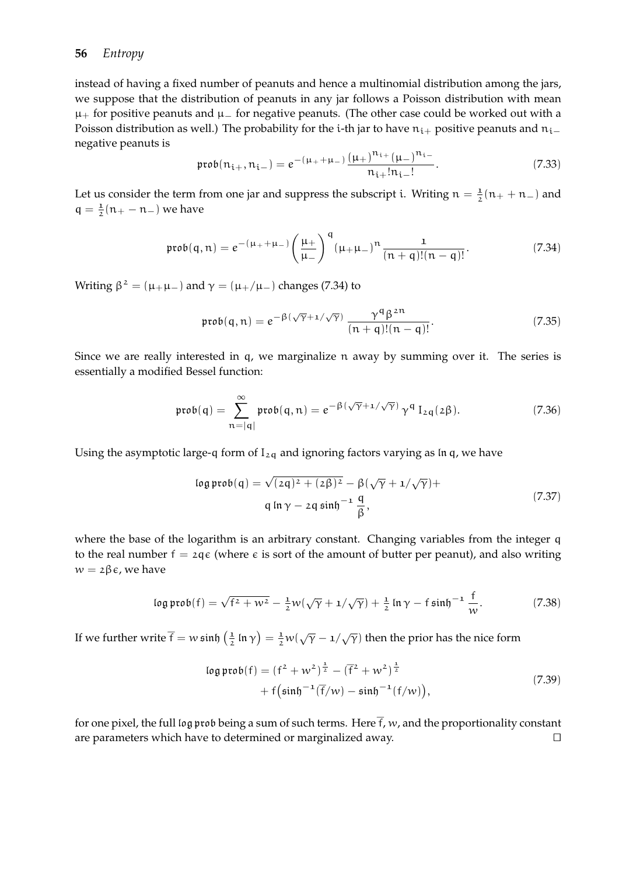instead of having a fixed number of peanuts and hence a multinomial distribution among the jars, we suppose that the distribution of peanuts in any jar follows a Poisson distribution with mean  $\mu$ + for positive peanuts and  $\mu$  – for negative peanuts. (The other case could be worked out with a Poisson distribution as well.) The probability for the i-th jar to have  $n_{i+}$  positive peanuts and  $n_{i-}$ negative peanuts is

$$
\text{prob}(n_{i+}, n_{i-}) = e^{-(\mu_{+} + \mu_{-})} \frac{(\mu_{+})^{n_{i+}}(\mu_{-})^{n_{i-}}}{n_{i+}! n_{i-}!}.
$$
\n(7.33)

Let us consider the term from one jar and suppress the subscript i. Writing  $n = \frac{1}{2}$  $\frac{1}{2}(n_+ + n_-)$  and  $q = \frac{1}{2}$  $\frac{1}{2}$  $(n_{+} - n_{-})$  we have

$$
\mathfrak{prob}(q,n) = e^{-(\mu_{+} + \mu_{-})} \left(\frac{\mu_{+}}{\mu_{-}}\right)^{q} (\mu_{+} \mu_{-})^{n} \frac{1}{(n+q)!(n-q)!}.
$$
 (7.34)

Writing  $\beta^2 = (\mu_+\mu_-)$  and  $\gamma = (\mu_+/\mu_-)$  changes (7.34) to

$$
\mathfrak{prob}(q,n) = e^{-\beta(\sqrt{\gamma}+1/\sqrt{\gamma})} \frac{\gamma^q \beta^{2n}}{(n+q)!(n-q)!}.
$$
 (7.35)

Since we are really interested in q, we marginalize n away by summing over it. The series is essentially a modified Bessel function:

$$
\mathfrak{prob}(q) = \sum_{n=|q|}^{\infty} \mathfrak{prob}(q,n) = e^{-\beta(\sqrt{\gamma}+1/\sqrt{\gamma})} \gamma^q I_{2q}(2\beta).
$$
 (7.36)

Using the asymptotic large-q form of  $I_{2q}$  and ignoring factors varying as In q, we have

$$
\log \text{prob}(q) = \sqrt{(2q)^2 + (2\beta)^2} - \beta(\sqrt{\gamma} + 1/\sqrt{\gamma}) +
$$
  
q  $\ln \gamma - 2q \sinh^{-1} \frac{q}{\beta},$  (7.37)

where the base of the logarithm is an arbitrary constant. Changing variables from the integer q to the real number  $f = 2q \epsilon$  (where  $\epsilon$  is sort of the amount of butter per peanut), and also writing  $w = 2β ε$ , we have

$$
\log \mathfrak{prob}(f) = \sqrt{f^2 + w^2} - \frac{1}{2}w(\sqrt{\gamma} + 1/\sqrt{\gamma}) + \frac{1}{2}\ln \gamma - f\sinh^{-1}\frac{f}{w}.
$$
 (7.38)

If we further write  $\overline{f} = w \sinh\left(\frac{1}{2}\right)$  $\frac{1}{2}$   $\ln \gamma$  =  $\frac{1}{2}w(\sqrt{\gamma} - 1/\sqrt{\gamma})$  then the prior has the nice form

$$
\log \text{prob}(f) = (f^2 + w^2)^{\frac{1}{2}} - (\overline{f}^2 + w^2)^{\frac{1}{2}} + f\left(\sinh^{-1}(\overline{f}/w) - \sinh^{-1}(f/w)\right),\tag{7.39}
$$

for one pixel, the full log prob being a sum of such terms. Here  $\overline{f}$ , w, and the proportionality constant are parameters which have to determined or marginalized away.  $\square$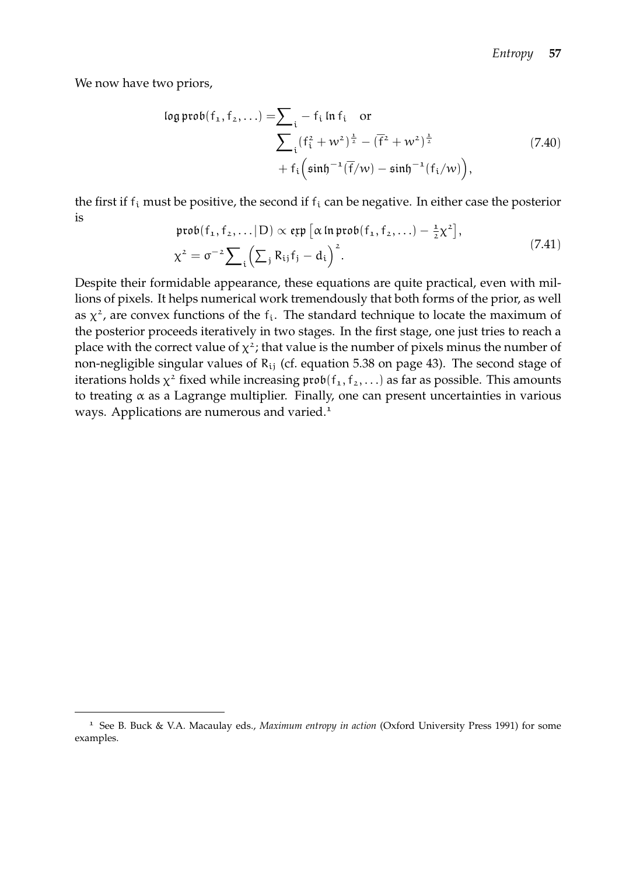We now have two priors,

$$
\log \text{prob}(f_1, f_2, \ldots) = \sum_{i} -f_i \ln f_i \quad \text{or}
$$
\n
$$
\sum_{i} (f_i^2 + w^2)^{\frac{1}{2}} - (\overline{f}^2 + w^2)^{\frac{1}{2}} + f_i \left(\sinh^{-1}(\overline{f}/w) - \sinh^{-1}(f_i/w)\right),
$$
\n(7.40)

the first if  $f_i$  must be positive, the second if  $f_i$  can be negative. In either case the posterior is prob(f1, f2, . . .|D) ∝ exp - $\Gamma$  $\alpha$  is  $\alpha$  .

$$
\text{prob}(f_1, f_2, \dots | D) \propto \text{exp} \left[ \alpha \ln \text{prob}(f_1, f_2, \dots) - \frac{1}{2} \chi^2 \right],
$$
\n
$$
\chi^2 = \sigma^{-2} \sum_{i} \left( \sum_{j} R_{ij} f_j - d_i \right)^2.
$$
\n(7.41)

Despite their formidable appearance, these equations are quite practical, even with millions of pixels. It helps numerical work tremendously that both forms of the prior, as well as  $\chi^2$ , are convex functions of the  $f_i$ . The standard technique to locate the maximum of the posterior proceeds iteratively in two stages. In the first stage, one just tries to reach a place with the correct value of  $\chi^2$ ; that value is the number of pixels minus the number of non-negligible singular values of  $R_{ij}$  (cf. equation 5.38 on page 43). The second stage of iterations holds  $\chi^2$  fixed while increasing  $\mathfrak{prob}(f_1, f_2, \ldots)$  as far as possible. This amounts to treating  $\alpha$  as a Lagrange multiplier. Finally, one can present uncertainties in various ways. Applications are numerous and varied.<sup>1</sup>

<sup>&</sup>lt;sup>1</sup> See B. Buck & V.A. Macaulay eds., Maximum entropy in action (Oxford University Press 1991) for some examples.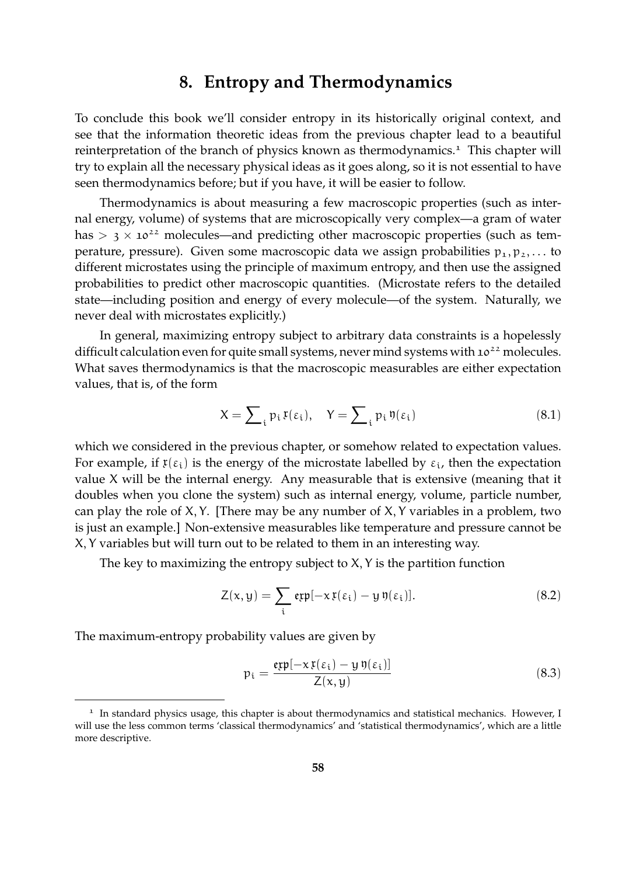# **8. Entropy and Thermodynamics**

To conclude this book we'll consider entropy in its historically original context, and see that the information theoretic ideas from the previous chapter lead to a beautiful reinterpretation of the branch of physics known as thermodynamics.<sup>1</sup> This chapter will try to explain all the necessary physical ideas as it goes along, so it is not essential to have seen thermodynamics before; but if you have, it will be easier to follow.

Thermodynamics is about measuring a few macroscopic properties (such as internal energy, volume) of systems that are microscopically very complex—a gram of water has  $> 3 \times 10^{22}$  molecules—and predicting other macroscopic properties (such as temperature, pressure). Given some macroscopic data we assign probabilities  $p_1, p_2, \ldots$  to different microstates using the principle of maximum entropy, and then use the assigned probabilities to predict other macroscopic quantities. (Microstate refers to the detailed state—including position and energy of every molecule—of the system. Naturally, we never deal with microstates explicitly.)

In general, maximizing entropy subject to arbitrary data constraints is a hopelessly difficult calculation even for quite small systems, never mind systems with  $10^{22}$  molecules. What saves thermodynamics is that the macroscopic measurables are either expectation values, that is, of the form

$$
X = \sum_{i} p_i \mathfrak{x}(\varepsilon_i), \quad Y = \sum_{i} p_i \mathfrak{y}(\varepsilon_i)
$$
 (8.1)

which we considered in the previous chapter, or somehow related to expectation values. For example, if  $\mathfrak{r}(\varepsilon_i)$  is the energy of the microstate labelled by  $\varepsilon_i$ , then the expectation value X will be the internal energy. Any measurable that is extensive (meaning that it doubles when you clone the system) such as internal energy, volume, particle number, can play the role of  $X, Y$ . [There may be any number of  $X, Y$  variables in a problem, two is just an example.] Non-extensive measurables like temperature and pressure cannot be X, Y variables but will turn out to be related to them in an interesting way.

The key to maximizing the entropy subject to  $X, Y$  is the partition function

$$
Z(x, y) = \sum_{i} \exp[-x \, \mathfrak{x}(\varepsilon_{i}) - y \, \mathfrak{y}(\varepsilon_{i})]. \tag{8.2}
$$

The maximum-entropy probability values are given by

$$
p_i = \frac{\exp[-x \, \mathfrak{x}(\varepsilon_i) - y \, \mathfrak{y}(\varepsilon_i)]}{Z(x, y)}
$$
(8.3)

<sup>&</sup>lt;sup>1</sup> In standard physics usage, this chapter is about thermodynamics and statistical mechanics. However, I will use the less common terms 'classical thermodynamics' and 'statistical thermodynamics', which are a little more descriptive.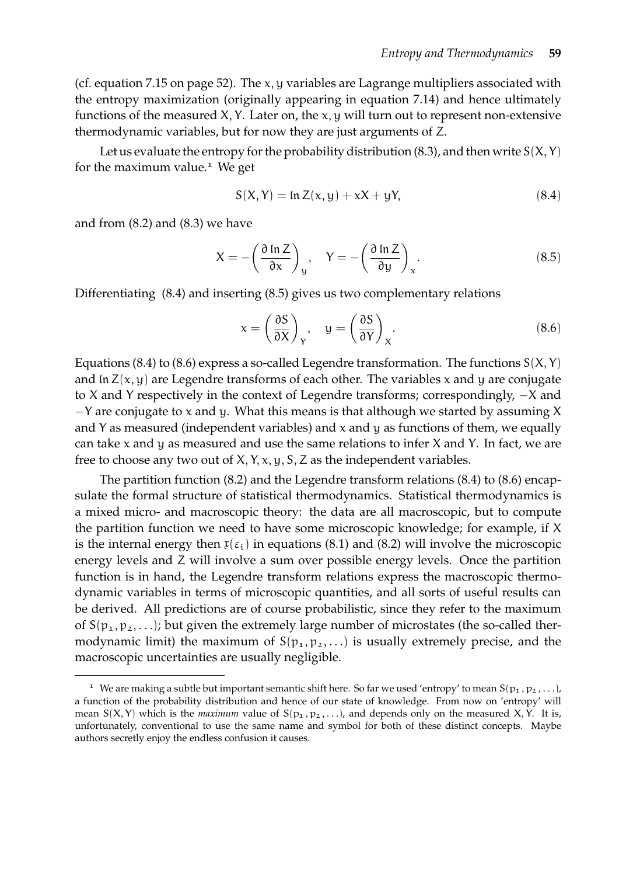(cf. equation 7.15 on page 52). The x, y variables are Lagrange multipliers associated with the entropy maximization (originally appearing in equation 7.14) and hence ultimately functions of the measured  $X$ ,  $Y$ . Later on, the  $x$ ,  $y$  will turn out to represent non-extensive thermodynamic variables, but for now they are just arguments of Z.

Let us evaluate the entropy for the probability distribution  $(8.3)$ , and then write  $S(X, Y)$ for the maximum value. $<sup>1</sup>$  We get</sup>

$$
S(X,Y) = \ln Z(x,y) + xX + yY,
$$
\n(8.4)

and from (8.2) and (8.3) we have

$$
X = -\left(\frac{\partial \ln Z}{\partial x}\right)_y, \quad Y = -\left(\frac{\partial \ln Z}{\partial y}\right)_x.
$$
 (8.5)

Differentiating (8.4) and inserting (8.5) gives us two complementary relations

$$
x = \left(\frac{\partial S}{\partial X}\right)_Y, \quad y = \left(\frac{\partial S}{\partial Y}\right)_X.
$$
\n(8.6)

Equations (8.4) to (8.6) express a so-called Legendre transformation. The functions  $S(X, Y)$ and  $\ln Z(x, y)$  are Legendre transforms of each other. The variables x and y are conjugate to X and Y respectively in the context of Legendre transforms; correspondingly, −X and  $-V$  are conjugate to x and y. What this means is that although we started by assuming X and Y as measured (independent variables) and x and y as functions of them, we equally can take x and y as measured and use the same relations to infer X and Y. In fact, we are free to choose any two out of  $X, Y, x, y, S, Z$  as the independent variables.

The partition function (8.2) and the Legendre transform relations (8.4) to (8.6) encapsulate the formal structure of statistical thermodynamics. Statistical thermodynamics is a mixed micro- and macroscopic theory: the data are all macroscopic, but to compute the partition function we need to have some microscopic knowledge; for example, if X is the internal energy then  $\mathfrak{X}(\varepsilon_i)$  in equations (8.1) and (8.2) will involve the microscopic energy levels and Z will involve a sum over possible energy levels. Once the partition function is in hand, the Legendre transform relations express the macroscopic thermodynamic variables in terms of microscopic quantities, and all sorts of useful results can be derived. All predictions are of course probabilistic, since they refer to the maximum of  $S(p_1, p_2, \ldots)$ ; but given the extremely large number of microstates (the so-called thermodynamic limit) the maximum of  $S(p_1, p_2, ...)$  is usually extremely precise, and the macroscopic uncertainties are usually negligible.

<sup>&</sup>lt;sup>1</sup> We are making a subtle but important semantic shift here. So far we used 'entropy' to mean  $S(p_1, p_2, \ldots)$ , a function of the probability distribution and hence of our state of knowledge. From now on 'entropy' will mean  $S(X, Y)$  which is the *maximum* value of  $S(p_1, p_2, \ldots)$ , and depends only on the measured X, Y. It is, unfortunately, conventional to use the same name and symbol for both of these distinct concepts. Maybe authors secretly enjoy the endless confusion it causes.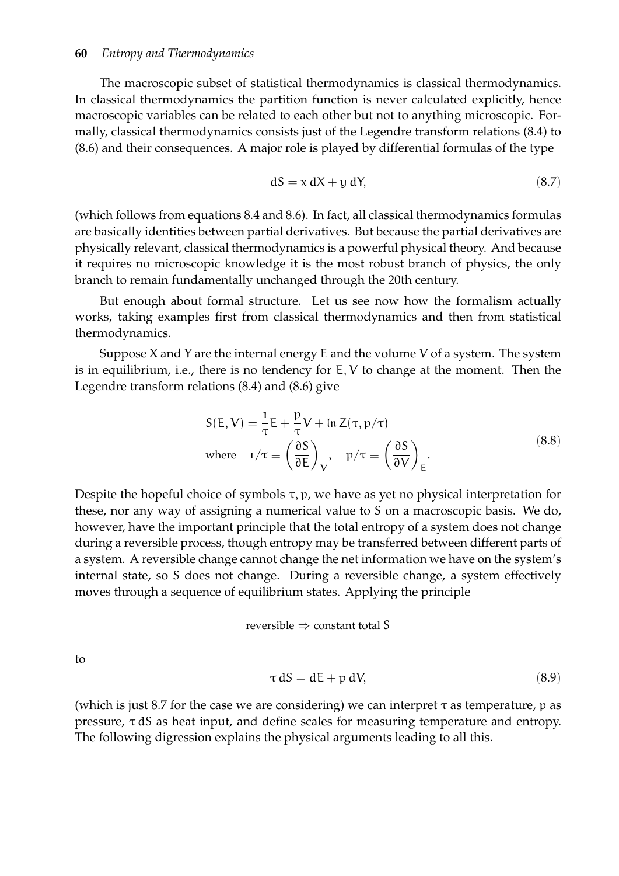#### **60** *Entropy and Thermodynamics*

The macroscopic subset of statistical thermodynamics is classical thermodynamics. In classical thermodynamics the partition function is never calculated explicitly, hence macroscopic variables can be related to each other but not to anything microscopic. Formally, classical thermodynamics consists just of the Legendre transform relations (8.4) to (8.6) and their consequences. A major role is played by differential formulas of the type

$$
dS = x dX + y dY, \tag{8.7}
$$

(which follows from equations 8.4 and 8.6). In fact, all classical thermodynamics formulas are basically identities between partial derivatives. But because the partial derivatives are physically relevant, classical thermodynamics is a powerful physical theory. And because it requires no microscopic knowledge it is the most robust branch of physics, the only branch to remain fundamentally unchanged through the 20th century.

But enough about formal structure. Let us see now how the formalism actually works, taking examples first from classical thermodynamics and then from statistical thermodynamics.

Suppose X and Y are the internal energy E and the volume V of a system. The system is in equilibrium, i.e., there is no tendency for E, V to change at the moment. Then the Legendre transform relations (8.4) and (8.6) give

$$
S(E, V) = \frac{1}{\tau} E + \frac{p}{\tau} V + \ln Z(\tau, p/\tau)
$$
  
where  $1/\tau \equiv \left(\frac{\partial S}{\partial E}\right)_V$ ,  $p/\tau \equiv \left(\frac{\partial S}{\partial V}\right)_E$ . (8.8)

Despite the hopeful choice of symbols  $τ, ρ$ , we have as yet no physical interpretation for these, nor any way of assigning a numerical value to S on a macroscopic basis. We do, however, have the important principle that the total entropy of a system does not change during a reversible process, though entropy may be transferred between different parts of a system. A reversible change cannot change the net information we have on the system's internal state, so S does not change. During a reversible change, a system effectively moves through a sequence of equilibrium states. Applying the principle

reversible 
$$
\Rightarrow
$$
 constant total S

to

$$
\tau dS = dE + p dV, \qquad (8.9)
$$

(which is just 8.7 for the case we are considering) we can interpret  $\tau$  as temperature, p as pressure, τ dS as heat input, and define scales for measuring temperature and entropy. The following digression explains the physical arguments leading to all this.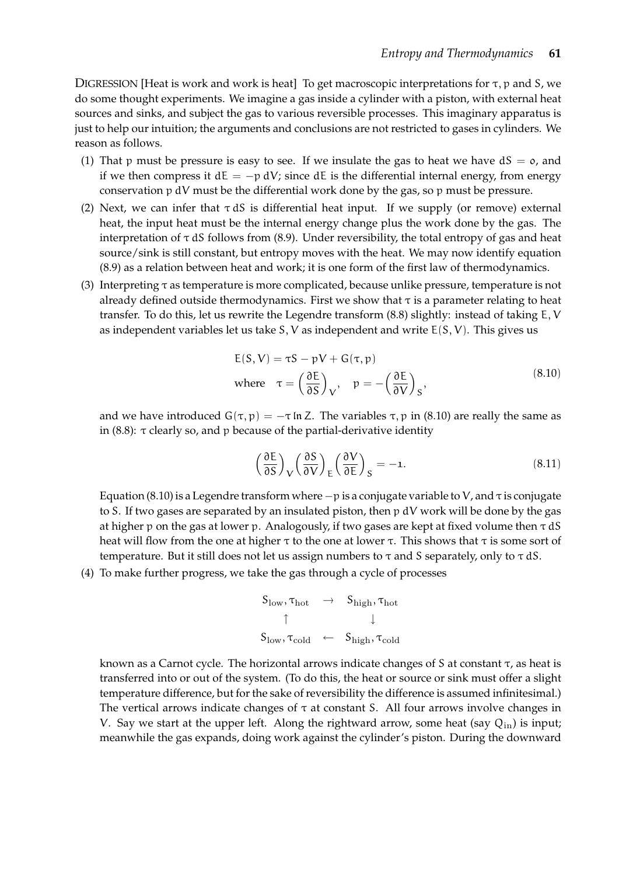DIGRESSION [Heat is work and work is heat] To get macroscopic interpretations for  $\tau$ , p and S, we do some thought experiments. We imagine a gas inside a cylinder with a piston, with external heat sources and sinks, and subject the gas to various reversible processes. This imaginary apparatus is just to help our intuition; the arguments and conclusions are not restricted to gases in cylinders. We reason as follows.

- (1) That p must be pressure is easy to see. If we insulate the gas to heat we have  $dS = o$ , and if we then compress it  $dE = -p dV$ ; since  $dE$  is the differential internal energy, from energy conservation p dV must be the differential work done by the gas, so p must be pressure.
- (2) Next, we can infer that  $\tau$  dS is differential heat input. If we supply (or remove) external heat, the input heat must be the internal energy change plus the work done by the gas. The interpretation of  $\tau$  dS follows from (8.9). Under reversibility, the total entropy of gas and heat source/sink is still constant, but entropy moves with the heat. We may now identify equation (8.9) as a relation between heat and work; it is one form of the first law of thermodynamics.
- (3) Interpreting τ as temperature is more complicated, because unlike pressure, temperature is not already defined outside thermodynamics. First we show that  $\tau$  is a parameter relating to heat transfer. To do this, let us rewrite the Legendre transform (8.8) slightly: instead of taking E, V as independent variables let us take  $S$ ,  $V$  as independent and write  $E(S, V)$ . This gives us

$$
E(S, V) = \tau S - pV + G(\tau, p)
$$
  
where  $\tau = \left(\frac{\partial E}{\partial S}\right)_V$ ,  $p = -\left(\frac{\partial E}{\partial V}\right)_S$ , (8.10)

and we have introduced  $G(\tau, p) = -\tau$  in Z. The variables  $\tau, p$  in (8.10) are really the same as in (8.8): τ clearly so, and p because of the partial-derivative identity

$$
\left(\frac{\partial E}{\partial S}\right)_V \left(\frac{\partial S}{\partial V}\right)_E \left(\frac{\partial V}{\partial E}\right)_S = -1.
$$
\n(8.11)

Equation (8.10) is a Legendre transform where  $-p$  is a conjugate variable to V, and  $\tau$  is conjugate to S. If two gases are separated by an insulated piston, then p dV work will be done by the gas at higher p on the gas at lower p. Analogously, if two gases are kept at fixed volume then  $\tau$  dS heat will flow from the one at higher  $\tau$  to the one at lower  $\tau$ . This shows that  $\tau$  is some sort of temperature. But it still does not let us assign numbers to  $\tau$  and S separately, only to  $\tau$  dS.

(4) To make further progress, we take the gas through a cycle of processes

$$
S_{\text{low}}, \tau_{\text{hot}} \rightarrow S_{\text{high}}, \tau_{\text{hot}}
$$
\n
$$
\uparrow \qquad \qquad \downarrow
$$
\n
$$
S_{\text{low}}, \tau_{\text{cold}} \leftarrow S_{\text{high}}, \tau_{\text{cold}}
$$

known as a Carnot cycle. The horizontal arrows indicate changes of S at constant  $\tau$ , as heat is transferred into or out of the system. (To do this, the heat or source or sink must offer a slight temperature difference, but for the sake of reversibility the difference is assumed infinitesimal.) The vertical arrows indicate changes of  $\tau$  at constant S. All four arrows involve changes in V. Say we start at the upper left. Along the rightward arrow, some heat (say  $Q_{in}$ ) is input; meanwhile the gas expands, doing work against the cylinder's piston. During the downward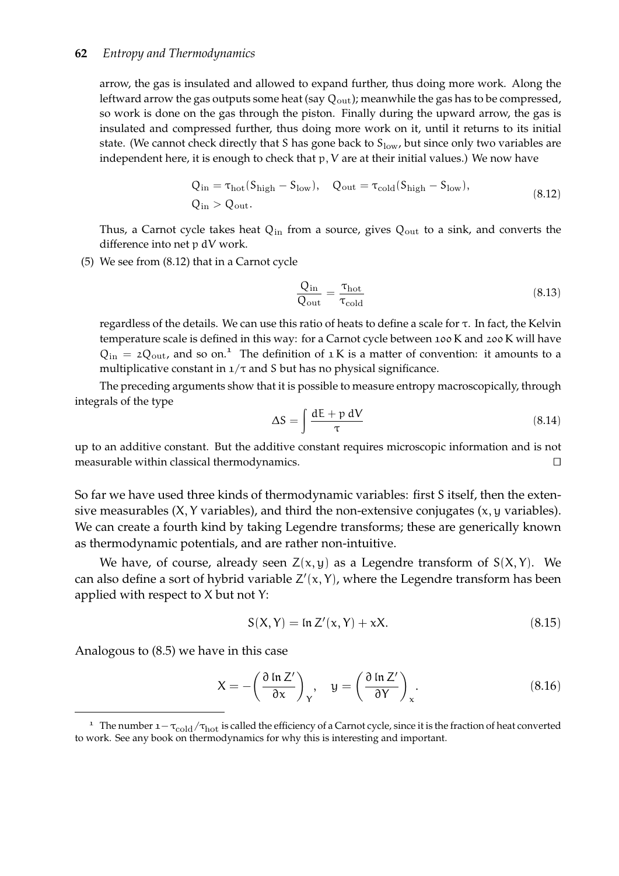arrow, the gas is insulated and allowed to expand further, thus doing more work. Along the leftward arrow the gas outputs some heat (say  $Q_{\text{out}}$ ); meanwhile the gas has to be compressed, so work is done on the gas through the piston. Finally during the upward arrow, the gas is insulated and compressed further, thus doing more work on it, until it returns to its initial state. (We cannot check directly that S has gone back to  $S_{low}$ , but since only two variables are independent here, it is enough to check that p, V are at their initial values.) We now have

$$
Q_{\rm in} = \tau_{\rm hot}(S_{\rm high} - S_{\rm low}), \quad Q_{\rm out} = \tau_{\rm cold}(S_{\rm high} - S_{\rm low}),
$$
  
\n
$$
Q_{\rm in} > Q_{\rm out}.
$$
\n(8.12)

Thus, a Carnot cycle takes heat  $Q_{in}$  from a source, gives  $Q_{out}$  to a sink, and converts the difference into net p dV work.

(5) We see from (8.12) that in a Carnot cycle

$$
\frac{Q_{\text{in}}}{Q_{\text{out}}} = \frac{\tau_{\text{hot}}}{\tau_{\text{cold}}}
$$
\n(8.13)

regardless of the details. We can use this ratio of heats to define a scale for τ. In fact, the Kelvin temperature scale is defined in this way: for a Carnot cycle between 100 K and 200 K will have  $Q_{\text{in}} = 2Q_{\text{out}}$ , and so on.<sup>1</sup> The definition of 1 K is a matter of convention: it amounts to a multiplicative constant in  $1/\tau$  and S but has no physical significance.

The preceding arguments show that it is possible to measure entropy macroscopically, through integrals of the type

$$
\Delta S = \int \frac{dE + p \, dV}{\tau} \tag{8.14}
$$

up to an additive constant. But the additive constant requires microscopic information and is not measurable within classical thermodynamics.  $\square$ 

So far we have used three kinds of thermodynamic variables: first S itself, then the extensive measurables  $(X, Y \text{ variables})$ , and third the non-extensive conjugates  $(x, y \text{ variables})$ . We can create a fourth kind by taking Legendre transforms; these are generically known as thermodynamic potentials, and are rather non-intuitive.

We have, of course, already seen  $Z(x, y)$  as a Legendre transform of  $S(X, Y)$ . We can also define a sort of hybrid variable  $Z'(x, Y)$ , where the Legendre transform has been applied with respect to X but not Y:

$$
S(X,Y) = \ln Z'(x,Y) + xX.
$$
 (8.15)

Analogous to (8.5) we have in this case

$$
X = -\left(\frac{\partial \ln Z'}{\partial x}\right)_Y, \quad y = \left(\frac{\partial \ln Z'}{\partial Y}\right)_x.
$$
 (8.16)

<sup>&</sup>lt;sup>1</sup> The number  $1-\tau_{\rm cold}/\tau_{\rm hot}$  is called the efficiency of a Carnot cycle, since it is the fraction of heat converted to work. See any book on thermodynamics for why this is interesting and important.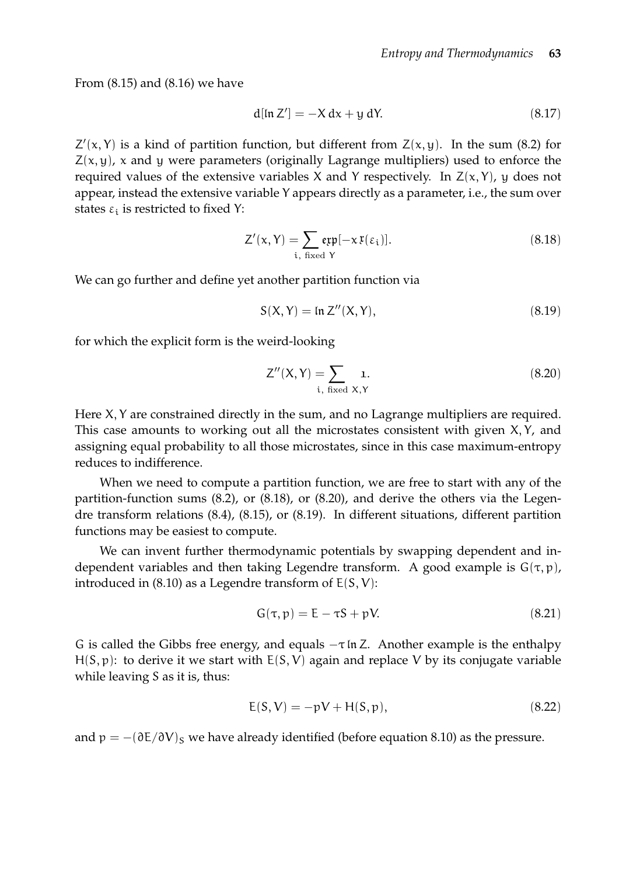From (8.15) and (8.16) we have

$$
d[\ln Z'] = -X dx + y dY. \qquad (8.17)
$$

 $Z'(x, Y)$  is a kind of partition function, but different from  $Z(x, y)$ . In the sum (8.2) for  $Z(x, y)$ , x and y were parameters (originally Lagrange multipliers) used to enforce the required values of the extensive variables X and Y respectively. In  $Z(x, Y)$ , y does not appear, instead the extensive variable Y appears directly as a parameter, i.e., the sum over states  $\varepsilon_i$  is restricted to fixed Y:

$$
Z'(\mathbf{x}, \mathbf{Y}) = \sum_{\mathbf{i}, \text{ fixed } \mathbf{Y}} \exp[-\mathbf{x} \, \mathbf{X}(\varepsilon_{\mathbf{i}})]. \tag{8.18}
$$

We can go further and define yet another partition function via

$$
S(X,Y) = \ln Z''(X,Y),\tag{8.19}
$$

for which the explicit form is the weird-looking

$$
Z''(X,Y) = \sum_{i, \text{ fixed } X,Y} 1.
$$
\n(8.20)

Here X, Y are constrained directly in the sum, and no Lagrange multipliers are required. This case amounts to working out all the microstates consistent with given X, Y, and assigning equal probability to all those microstates, since in this case maximum-entropy reduces to indifference.

When we need to compute a partition function, we are free to start with any of the partition-function sums (8.2), or (8.18), or (8.20), and derive the others via the Legendre transform relations (8.4), (8.15), or (8.19). In different situations, different partition functions may be easiest to compute.

We can invent further thermodynamic potentials by swapping dependent and independent variables and then taking Legendre transform. A good example is  $G(\tau, p)$ , introduced in  $(8.10)$  as a Legendre transform of  $E(S, V)$ :

$$
G(\tau, p) = E - \tau S + pV. \tag{8.21}
$$

G is called the Gibbs free energy, and equals  $-\tau$  in Z. Another example is the enthalpy  $H(S, p)$ : to derive it we start with  $E(S, V)$  again and replace V by its conjugate variable while leaving S as it is, thus:

$$
E(S, V) = -pV + H(S, p),
$$
\n(8.22)

and  $p = -(\partial E/\partial V)$ <sub>S</sub> we have already identified (before equation 8.10) as the pressure.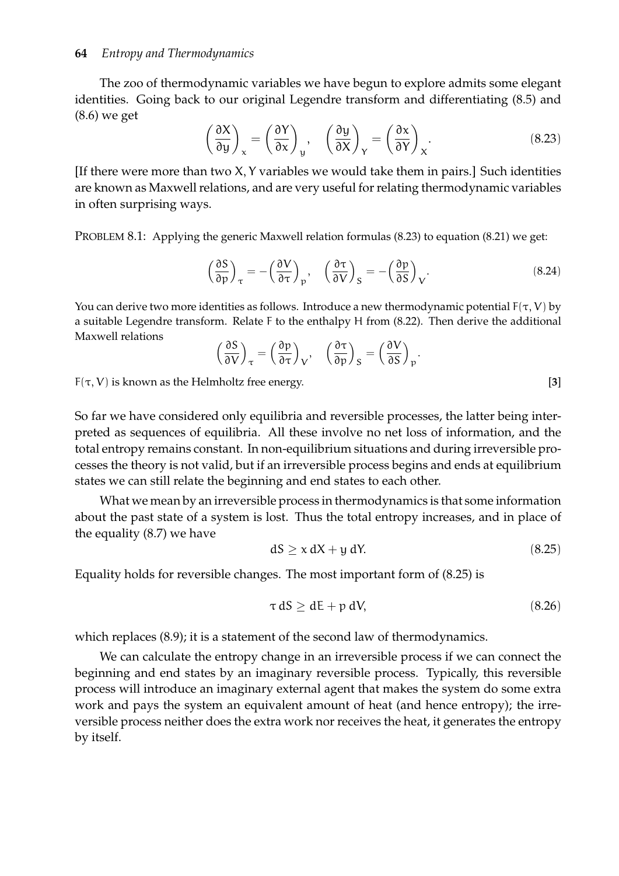The zoo of thermodynamic variables we have begun to explore admits some elegant identities. Going back to our original Legendre transform and differentiating (8.5) and (8.6) we get

$$
\left(\frac{\partial X}{\partial y}\right)_x = \left(\frac{\partial Y}{\partial x}\right)_y, \quad \left(\frac{\partial y}{\partial X}\right)_Y = \left(\frac{\partial x}{\partial Y}\right)_X.
$$
\n(8.23)

[If there were more than two X, Y variables we would take them in pairs.] Such identities are known as Maxwell relations, and are very useful for relating thermodynamic variables in often surprising ways.

PROBLEM 8.1: Applying the generic Maxwell relation formulas (8.23) to equation (8.21) we get:

$$
\left(\frac{\partial S}{\partial p}\right)_{\tau} = -\left(\frac{\partial V}{\partial \tau}\right)_{p}, \quad \left(\frac{\partial \tau}{\partial V}\right)_{S} = -\left(\frac{\partial p}{\partial S}\right)_{V}.
$$
\n(8.24)

You can derive two more identities as follows. Introduce a new thermodynamic potential  $F(\tau, V)$  by a suitable Legendre transform. Relate F to the enthalpy H from (8.22). Then derive the additional Maxwell relations

$$
\left(\frac{\partial S}{\partial V}\right)_{\tau} = \left(\frac{\partial p}{\partial \tau}\right)_{V}, \quad \left(\frac{\partial \tau}{\partial p}\right)_{S} = \left(\frac{\partial V}{\partial S}\right)_{p}.
$$

 $F(\tau, V)$  is known as the Helmholtz free energy.

So far we have considered only equilibria and reversible processes, the latter being interpreted as sequences of equilibria. All these involve no net loss of information, and the total entropy remains constant. In non-equilibrium situations and during irreversible processes the theory is not valid, but if an irreversible process begins and ends at equilibrium states we can still relate the beginning and end states to each other.

What we mean by an irreversible process in thermodynamics is that some information about the past state of a system is lost. Thus the total entropy increases, and in place of the equality (8.7) we have

$$
dS \ge x dX + y dY. \tag{8.25}
$$

Equality holds for reversible changes. The most important form of (8.25) is

$$
\tau \, dS \geq dE + p \, dV, \tag{8.26}
$$

which replaces  $(8.9)$ ; it is a statement of the second law of thermodynamics.

We can calculate the entropy change in an irreversible process if we can connect the beginning and end states by an imaginary reversible process. Typically, this reversible process will introduce an imaginary external agent that makes the system do some extra work and pays the system an equivalent amount of heat (and hence entropy); the irreversible process neither does the extra work nor receives the heat, it generates the entropy by itself.

$$
[3]
$$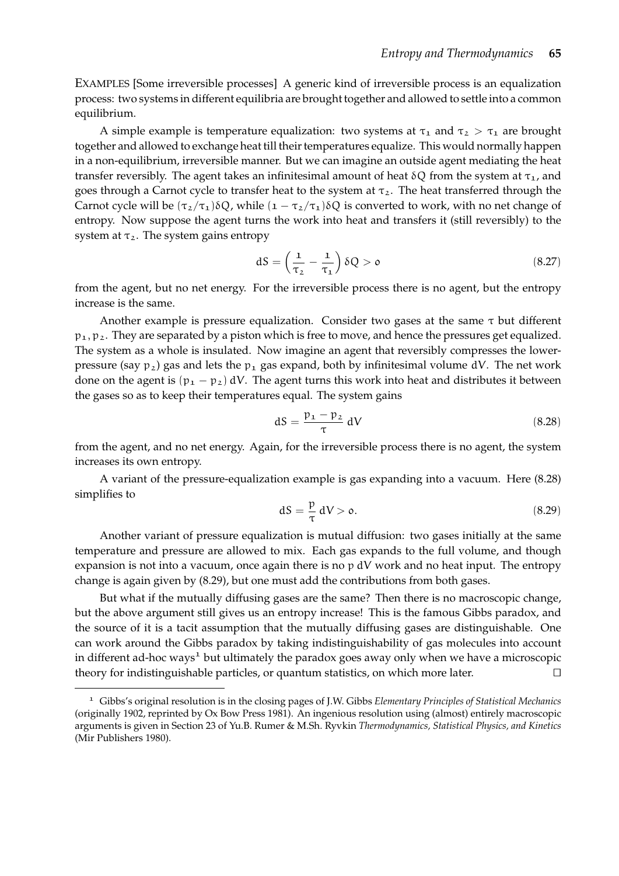EXAMPLES [Some irreversible processes] A generic kind of irreversible process is an equalization process: two systems in different equilibria are brought together and allowed to settle into a common equilibrium.

A simple example is temperature equalization: two systems at  $\tau_1$  and  $\tau_2 > \tau_1$  are brought together and allowed to exchange heat till their temperatures equalize. This would normally happen in a non-equilibrium, irreversible manner. But we can imagine an outside agent mediating the heat transfer reversibly. The agent takes an infinitesimal amount of heat δQ from the system at  $τ_1$ , and goes through a Carnot cycle to transfer heat to the system at  $\tau_2$ . The heat transferred through the Carnot cycle will be  $(\tau_2/\tau_1)\delta Q$ , while  $(1 - \tau_2/\tau_1)\delta Q$  is converted to work, with no net change of entropy. Now suppose the agent turns the work into heat and transfers it (still reversibly) to the system at  $\tau_2$ . The system gains entropy

$$
dS = \left(\frac{1}{\tau_2} - \frac{1}{\tau_1}\right) \delta Q > 0 \tag{8.27}
$$

from the agent, but no net energy. For the irreversible process there is no agent, but the entropy increase is the same.

Another example is pressure equalization. Consider two gases at the same  $\tau$  but different  $p_1, p_2$ . They are separated by a piston which is free to move, and hence the pressures get equalized. The system as a whole is insulated. Now imagine an agent that reversibly compresses the lowerpressure (say  $p_2$ ) gas and lets the  $p_1$  gas expand, both by infinitesimal volume dV. The net work done on the agent is  $(p_1 - p_2)$  dV. The agent turns this work into heat and distributes it between the gases so as to keep their temperatures equal. The system gains

$$
dS = \frac{p_1 - p_2}{\tau} dV \tag{8.28}
$$

from the agent, and no net energy. Again, for the irreversible process there is no agent, the system increases its own entropy.

A variant of the pressure-equalization example is gas expanding into a vacuum. Here (8.28) simplifies to

$$
dS = \frac{p}{\tau} dV > 0. \tag{8.29}
$$

Another variant of pressure equalization is mutual diffusion: two gases initially at the same temperature and pressure are allowed to mix. Each gas expands to the full volume, and though expansion is not into a vacuum, once again there is no  $p dV$  work and no heat input. The entropy change is again given by (8.29), but one must add the contributions from both gases.

But what if the mutually diffusing gases are the same? Then there is no macroscopic change, but the above argument still gives us an entropy increase! This is the famous Gibbs paradox, and the source of it is a tacit assumption that the mutually diffusing gases are distinguishable. One can work around the Gibbs paradox by taking indistinguishability of gas molecules into account in different ad-hoc ways<sup>1</sup> but ultimately the paradox goes away only when we have a microscopic theory for indistinguishable particles, or quantum statistics, on which more later.  $\Box$ 

<sup>1</sup> Gibbs's original resolution is in the closing pages of J.W. Gibbs *Elementary Principles of Statistical Mechanics* (originally 1902, reprinted by Ox Bow Press 1981). An ingenious resolution using (almost) entirely macroscopic arguments is given in Section 23 of Yu.B. Rumer & M.Sh. Ryvkin *Thermodynamics, Statistical Physics, and Kinetics* (Mir Publishers 1980).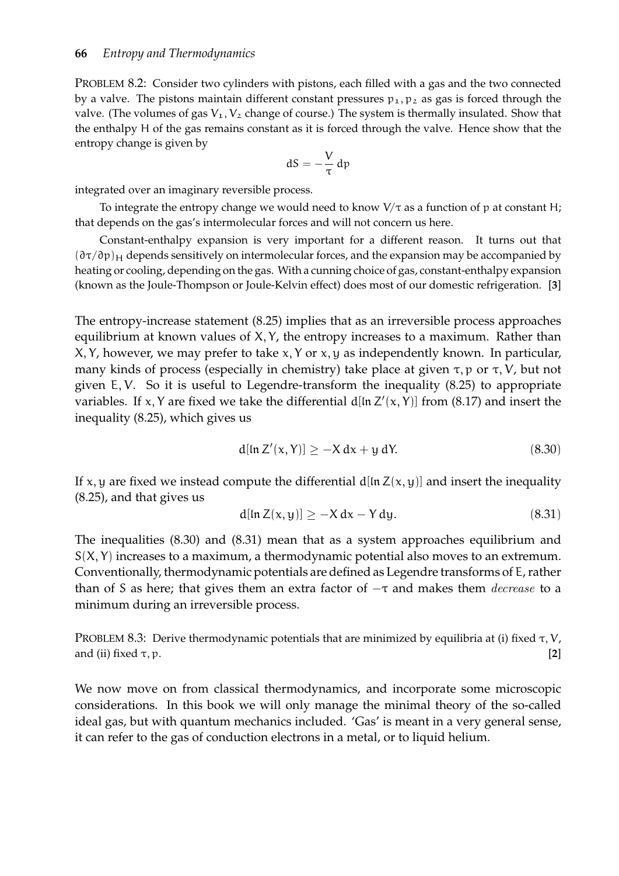PROBLEM 8.2: Consider two cylinders with pistons, each filled with a gas and the two connected by a valve. The pistons maintain different constant pressures  $p_1, p_2$  as gas is forced through the valve. (The volumes of gas  $V_1$ ,  $V_2$  change of course.) The system is thermally insulated. Show that the enthalpy H of the gas remains constant as it is forced through the valve. Hence show that the entropy change is given by

$$
dS=-\frac{V}{\tau}\,dp
$$

integrated over an imaginary reversible process.

To integrate the entropy change we would need to know  $V/\tau$  as a function of p at constant H; that depends on the gas's intermolecular forces and will not concern us here.

Constant-enthalpy expansion is very important for a different reason. It turns out that  $(\partial \tau / \partial p)$ <sub>H</sub> depends sensitively on intermolecular forces, and the expansion may be accompanied by heating or cooling, depending on the gas. With a cunning choice of gas, constant-enthalpy expansion (known as the Joule-Thompson or Joule-Kelvin effect) does most of our domestic refrigeration. [**3**]

The entropy-increase statement (8.25) implies that as an irreversible process approaches equilibrium at known values of X, Y, the entropy increases to a maximum. Rather than  $X, Y$ , however, we may prefer to take  $x, Y$  or  $x, y$  as independently known. In particular, many kinds of process (especially in chemistry) take place at given  $\tau$ , p or  $\tau$ , V, but not given E, V. So it is useful to Legendre-transform the inequality (8.25) to appropriate variables. If x, Y are fixed we take the differential  $d$ [In  $Z'(x, Y)$ ] from (8.17) and insert the inequality (8.25), which gives us

$$
d[\ln Z'(x,Y)] \ge -X dx + y dY. \tag{8.30}
$$

If x, y are fixed we instead compute the differential  $d$ [ln Z(x, y)] and insert the inequality (8.25), and that gives us

$$
d[\ln Z(x,y)] \ge -X dx - Y dy. \tag{8.31}
$$

The inequalities (8.30) and (8.31) mean that as a system approaches equilibrium and  $S(X, Y)$  increases to a maximum, a thermodynamic potential also moves to an extremum. Conventionally, thermodynamic potentials are defined as Legendre transforms of E, rather than of S as here; that gives them an extra factor of  $-\tau$  and makes them *decrease* to a minimum during an irreversible process.

PROBLEM 8.3: Derive thermodynamic potentials that are minimized by equilibria at (i) fixed  $\tau$ , V, and (ii) fixed  $\tau$ , p. [2]

We now move on from classical thermodynamics, and incorporate some microscopic considerations. In this book we will only manage the minimal theory of the so-called ideal gas, but with quantum mechanics included. 'Gas' is meant in a very general sense, it can refer to the gas of conduction electrons in a metal, or to liquid helium.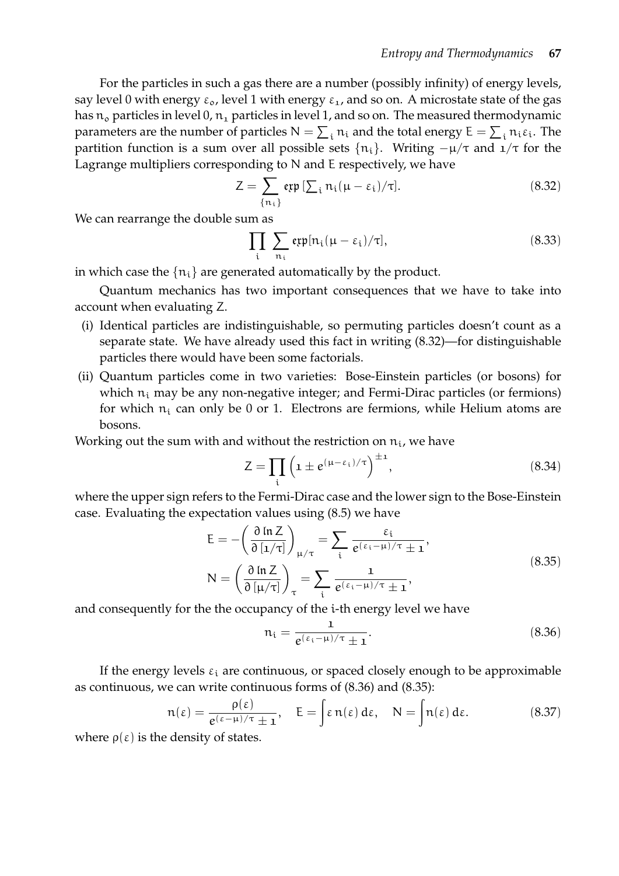For the particles in such a gas there are a number (possibly infinity) of energy levels, say level 0 with energy  $\varepsilon_{0}$ , level 1 with energy  $\varepsilon_{1}$ , and so on. A microstate state of the gas has  $n_0$  particles in level 0,  $n_1$  particles in level 1, and so on. The measured thermodynamic parameters are the number of particles  $N = \sum_i n_i$  and the total energy  $E = \sum_i n_i \epsilon_i$ . The partition function is a sum over all possible sets  $\{n_i\}$ . Writing  $-\mu/\tau$  and  $1/\tau$  for the Lagrange multipliers corresponding to N and E respectively, we have

$$
Z = \sum_{\{n_i\}} \exp\left[\sum_i n_i(\mu - \varepsilon_i)/\tau\right]. \tag{8.32}
$$

We can rearrange the double sum as

$$
\prod_{i} \sum_{n_i} \exp[n_i(\mu - \varepsilon_i)/\tau], \tag{8.33}
$$

in which case the  $\{n_i\}$  are generated automatically by the product.

Quantum mechanics has two important consequences that we have to take into account when evaluating Z.

- (i) Identical particles are indistinguishable, so permuting particles doesn't count as a separate state. We have already used this fact in writing (8.32)—for distinguishable particles there would have been some factorials.
- (ii) Quantum particles come in two varieties: Bose-Einstein particles (or bosons) for which  $n_i$  may be any non-negative integer; and Fermi-Dirac particles (or fermions) for which  $n_i$  can only be 0 or 1. Electrons are fermions, while Helium atoms are bosons.

Working out the sum with and without the restriction on  $n_i$ , we have

$$
Z = \prod_{i} \left( 1 \pm e^{(\mu - \varepsilon_i)/\tau} \right)^{\pm 1},\tag{8.34}
$$

where the upper sign refers to the Fermi-Dirac case and the lower sign to the Bose-Einstein case. Evaluating the expectation values using (8.5) we have

$$
E = -\left(\frac{\partial \ln Z}{\partial [1/\tau]}\right)_{\mu/\tau} = \sum_{i} \frac{\varepsilon_{i}}{e^{(\varepsilon_{i} - \mu)/\tau} \pm 1},
$$
  
\n
$$
N = \left(\frac{\partial \ln Z}{\partial [\mu/\tau]}\right)_{\tau} = \sum_{i} \frac{1}{e^{(\varepsilon_{i} - \mu)/\tau} \pm 1},
$$
\n(8.35)

and consequently for the the occupancy of the i-th energy level we have

$$
n_i = \frac{1}{e^{(\varepsilon_i - \mu)/\tau} \pm 1}.
$$
\n(8.36)

If the energy levels  $\varepsilon_i$  are continuous, or spaced closely enough to be approximable as continuous, we can write continuous forms of (8.36) and (8.35):

$$
n(\varepsilon) = \frac{\rho(\varepsilon)}{e^{(\varepsilon - \mu)/\tau} \pm 1}, \quad E = \int \varepsilon \, n(\varepsilon) \, d\varepsilon, \quad N = \int n(\varepsilon) \, d\varepsilon. \tag{8.37}
$$

where  $\rho(\varepsilon)$  is the density of states.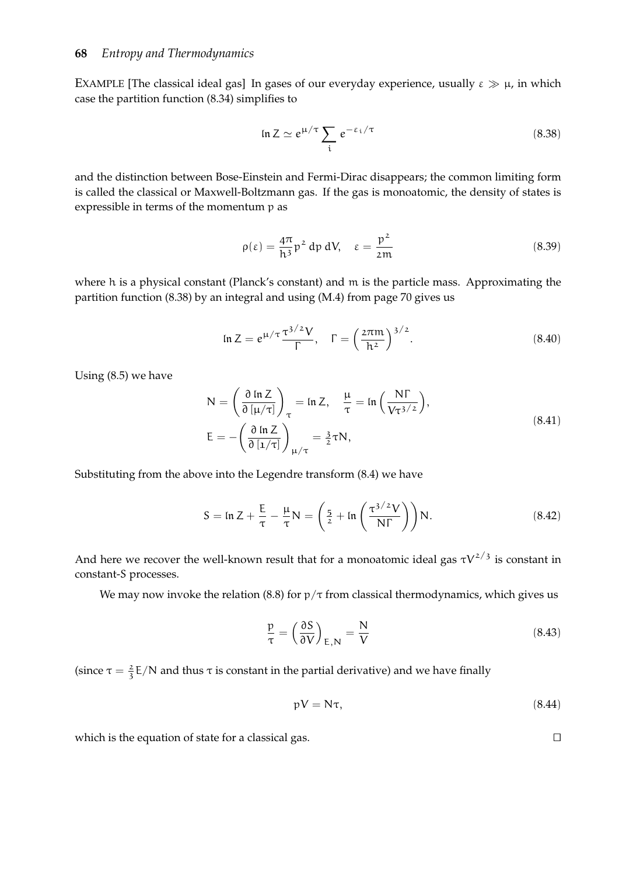EXAMPLE [The classical ideal gas] In gases of our everyday experience, usually  $\varepsilon \gg \mu$ , in which case the partition function (8.34) simplifies to

$$
\ln Z \simeq e^{\mu/\tau} \sum_{i} e^{-\varepsilon_{i}/\tau}
$$
 (8.38)

and the distinction between Bose-Einstein and Fermi-Dirac disappears; the common limiting form is called the classical or Maxwell-Boltzmann gas. If the gas is monoatomic, the density of states is expressible in terms of the momentum p as

$$
\rho(\varepsilon) = \frac{4\pi}{h^3} p^2 \, dp \, dV, \quad \varepsilon = \frac{p^2}{2m} \tag{8.39}
$$

where h is a physical constant (Planck's constant) and m is the particle mass. Approximating the partition function (8.38) by an integral and using (M.4) from page 70 gives us

$$
\ln Z = e^{\mu/\tau} \frac{\tau^{3/2} V}{\Gamma}, \quad \Gamma = \left(\frac{2\pi m}{h^2}\right)^{3/2}.
$$
 (8.40)

Using (8.5) we have

$$
N = \left(\frac{\partial \ln Z}{\partial [\mu/\tau]}\right)_{\tau} = \ln Z, \quad \frac{\mu}{\tau} = \ln \left(\frac{N\Gamma}{V\tau^{3/2}}\right),
$$
  
\n
$$
E = -\left(\frac{\partial \ln Z}{\partial [1/\tau]}\right)_{\mu/\tau} = \frac{3}{2}\tau N,
$$
\n(8.41)

Substituting from the above into the Legendre transform (8.4) we have

$$
S = \ln Z + \frac{E}{\tau} - \frac{\mu}{\tau} N = \left(\frac{5}{2} + \ln\left(\frac{\tau^{3/2}V}{N\Gamma}\right)\right)N.
$$
 (8.42)

And here we recover the well-known result that for a monoatomic ideal gas  $\tau V^{2/3}$  is constant in constant-S processes.

We may now invoke the relation (8.8) for  $p/\tau$  from classical thermodynamics, which gives us

$$
\frac{p}{\tau} = \left(\frac{\partial S}{\partial V}\right)_{E,N} = \frac{N}{V}
$$
\n(8.43)

(since  $\tau = \frac{2}{3}$  $\frac{2}{3}$ E/N and thus  $\tau$  is constant in the partial derivative) and we have finally

$$
pV = N\tau, \tag{8.44}
$$

which is the equation of state for a classical gas.  $\Box$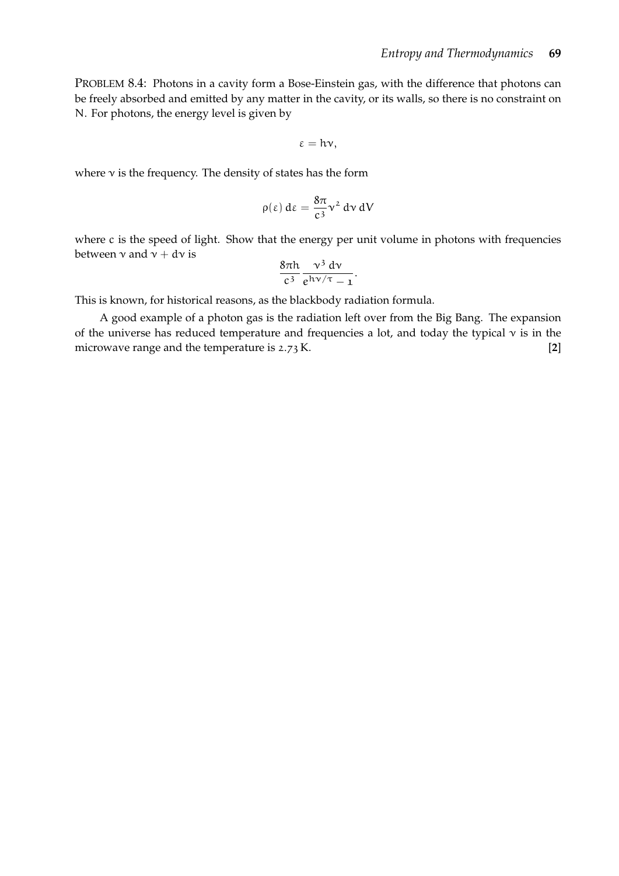PROBLEM 8.4: Photons in a cavity form a Bose-Einstein gas, with the difference that photons can be freely absorbed and emitted by any matter in the cavity, or its walls, so there is no constraint on N. For photons, the energy level is given by

<span id="page-72-0"></span>
$$
\epsilon = h \nu,
$$

where  $\nu$  is the frequency. The density of states has the form

$$
\rho(\epsilon) d\epsilon = \frac{8\pi}{c^3} \nu^2 d\nu dV
$$

where c is the speed of light. Show that the energy per unit volume in photons with frequencies between  $\nu$  and  $\nu$  + d $\nu$  is

$$
\frac{8\pi h}{c^3}\frac{\nu^3\,d\nu}{e^{h\nu/\tau}-1}.
$$

This is known, for historical reasons, as the blackbody radiation formula.

A good example of a photon gas is the radiation left over from the Big Bang. The expansion of the universe has reduced temperature and frequencies a lot, and today the typical  $\nu$  is in the microwave range and the temperature is 2.73 K. [**2**]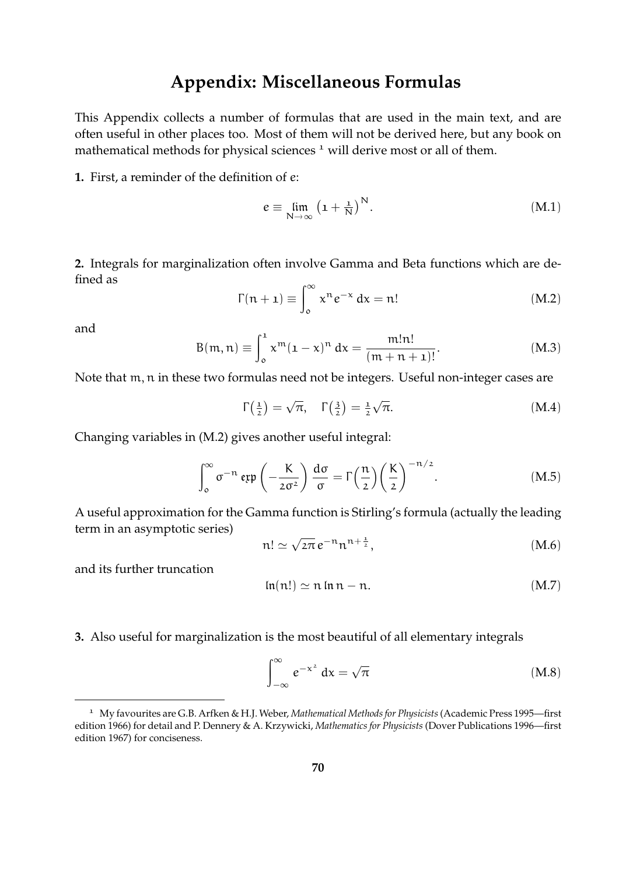### **Appendix: Miscellaneous Formulas**

This Appendix collects a number of formulas that are used in the main text, and are often useful in other places too. Most of them will not be derived here, but any book on mathematical methods for physical sciences<sup>1</sup> will derive most or all of them.

**1.** First, a reminder of the definition of e:

<span id="page-73-0"></span>
$$
e \equiv \lim_{N \to \infty} \left( 1 + \frac{1}{N} \right)^N. \tag{M.1}
$$

**2.** Integrals for marginalization often involve Gamma and Beta functions which are defined as

$$
\Gamma(n+1) \equiv \int_{0}^{\infty} x^{n} e^{-x} dx = n! \tag{M.2}
$$

and

$$
B(m, n) \equiv \int_0^1 x^m (1 - x)^n dx = \frac{m!n!}{(m+n+1)!}.
$$
 (M.3)

Note that m, n in these two formulas need not be integers. Useful non-integer cases are

$$
\Gamma\left(\frac{1}{2}\right) = \sqrt{\pi}, \quad \Gamma\left(\frac{3}{2}\right) = \frac{1}{2}\sqrt{\pi}.
$$
 (M.4)

Changing variables in (M.2) gives another useful integral:

$$
\int_0^\infty \sigma^{-n} \exp\left(-\frac{K}{2\sigma^2}\right) \frac{d\sigma}{\sigma} = \Gamma\left(\frac{n}{2}\right) \left(\frac{K}{2}\right)^{-n/2}.
$$
 (M.5)

A useful approximation for the Gamma function is Stirling's formula (actually the leading term in an asymptotic series) √

$$
n! \simeq \sqrt{2\pi} \, e^{-n} n^{n + \frac{1}{2}}, \tag{M.6}
$$

and its further truncation

$$
\ln(n!) \simeq n \ln n - n. \tag{M.7}
$$

### **3.** Also useful for marginalization is the most beautiful of all elementary integrals

$$
\int_{-\infty}^{\infty} e^{-x^2} dx = \sqrt{\pi}
$$
 (M.8)

<sup>1</sup> My favourites are G.B. Arfken & H.J. Weber, *Mathematical Methods for Physicists*(Academic Press 1995—first edition 1966) for detail and P. Dennery & A. Krzywicki, *Mathematics for Physicists* (Dover Publications 1996—first edition 1967) for conciseness.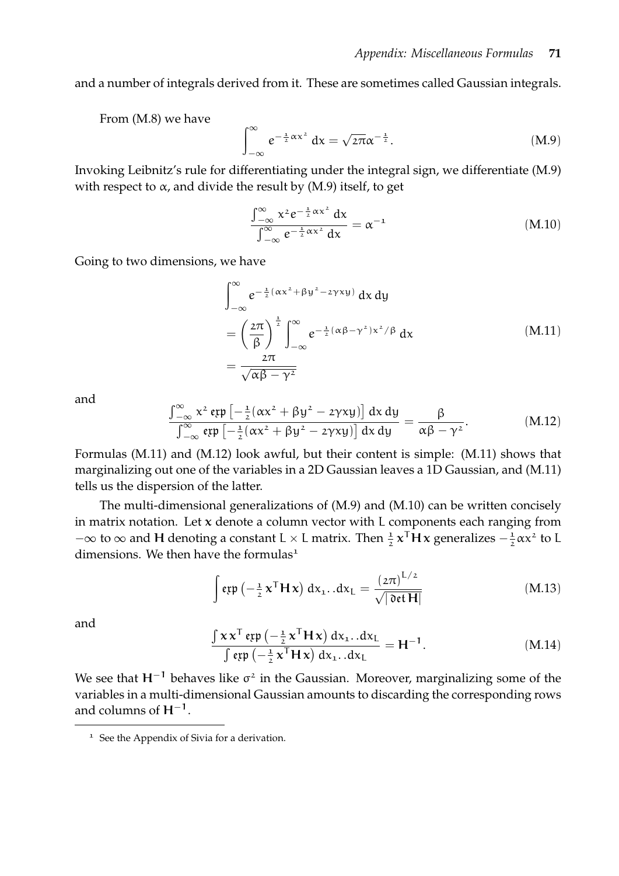and a number of integrals derived from it. These are sometimes called Gaussian integrals.

From (M.8) we have

<span id="page-74-0"></span>
$$
\int_{-\infty}^{\infty} e^{-\frac{1}{2}\alpha x^2} dx = \sqrt{2\pi} \alpha^{-\frac{1}{2}}.
$$
 (M.9)

Invoking Leibnitz's rule for differentiating under the integral sign, we differentiate (M.9) with respect to  $\alpha$ , and divide the result by (M.9) itself, to get

$$
\frac{\int_{-\infty}^{\infty} x^2 e^{-\frac{1}{2}\alpha x^2} dx}{\int_{-\infty}^{\infty} e^{-\frac{1}{2}\alpha x^2} dx} = \alpha^{-1}
$$
 (M.10)

Going to two dimensions, we have

$$
\int_{-\infty}^{\infty} e^{-\frac{1}{2}(\alpha x^2 + \beta y^2 - 2\gamma xy)} dx dy
$$
  
= 
$$
\left(\frac{2\pi}{\beta}\right)^{\frac{1}{2}} \int_{-\infty}^{\infty} e^{-\frac{1}{2}(\alpha \beta - \gamma^2) x^2/\beta} dx
$$
  
= 
$$
\frac{2\pi}{\sqrt{\alpha \beta - \gamma^2}}
$$
 (M.11)

and

$$
\frac{\int_{-\infty}^{\infty} x^2 \exp \left[-\frac{1}{2}(\alpha x^2 + \beta y^2 - 2\gamma xy)\right] dx dy}{\int_{-\infty}^{\infty} \exp \left[-\frac{1}{2}(\alpha x^2 + \beta y^2 - 2\gamma xy)\right] dx dy} = \frac{\beta}{\alpha \beta - \gamma^2}.
$$
 (M.12)

Formulas (M.11) and (M.12) look awful, but their content is simple: (M.11) shows that marginalizing out one of the variables in a 2D Gaussian leaves a 1D Gaussian, and (M.11) tells us the dispersion of the latter.

The multi-dimensional generalizations of (M.9) and (M.10) can be written concisely in matrix notation. Let  $x$  denote a column vector with L components each ranging from  $-\infty$  to  $\infty$  and H denoting a constant L  $\times$  L matrix. Then  $\frac{1}{2}x^{T}Hx$  generalizes  $-\frac{1}{2}$  $\frac{1}{2} \alpha x^2$  to L dimensions. We then have the formulas<sup>1</sup>

$$
\int \exp\left(-\frac{1}{2}\mathbf{x}^{\mathsf{T}}\mathbf{H}\mathbf{x}\right) \mathrm{d}x_1 \cdot \mathrm{d}x_L = \frac{\left(2\pi\right)^{L/2}}{\sqrt{|\det \mathbf{H}|}} \tag{M.13}
$$

and

$$
\frac{\int x x^{\mathsf{T}} \exp\left(-\frac{1}{2} x^{\mathsf{T}} H x\right) dx_1...dx_L}{\int \exp\left(-\frac{1}{2} x^{\mathsf{T}} H x\right) dx_1...dx_L} = H^{-1}.
$$
 (M.14)

We see that  $H^{-1}$  behaves like  $\sigma^2$  in the Gaussian. Moreover, marginalizing some of the variables in a multi-dimensional Gaussian amounts to discarding the corresponding rows and columns of  $H^{-1}$ .

<sup>&</sup>lt;sup>1</sup> See the Appendix of Sivia for a derivation.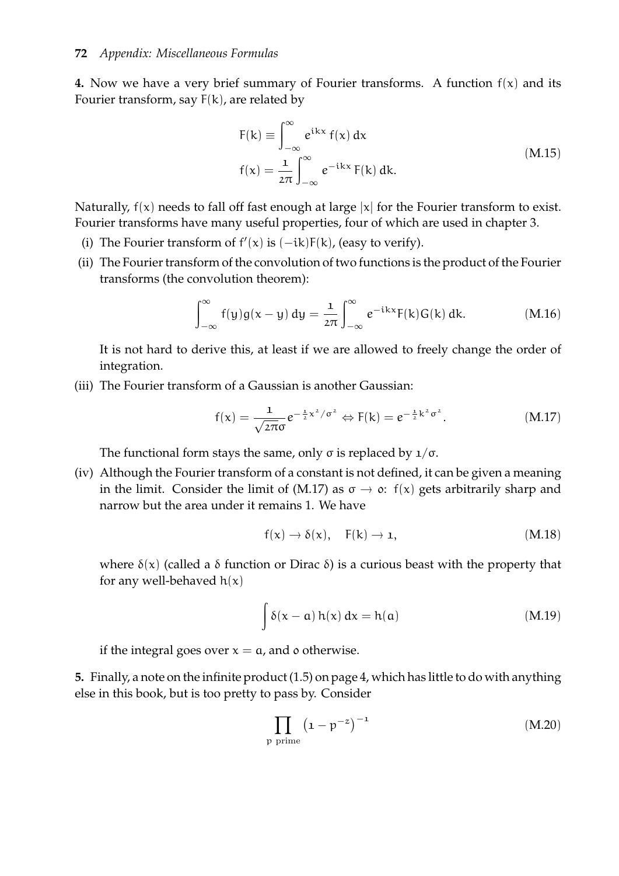**4.** Now we have a very brief summary of Fourier transforms. A function  $f(x)$  and its Fourier transform, say  $F(k)$ , are related by

<span id="page-75-0"></span>
$$
F(k) = \int_{-\infty}^{\infty} e^{ikx} f(x) dx
$$
  
\n
$$
f(x) = \frac{1}{2\pi} \int_{-\infty}^{\infty} e^{-ikx} F(k) dk.
$$
 (M.15)

Naturally,  $f(x)$  needs to fall off fast enough at large  $|x|$  for the Fourier transform to exist. Fourier transforms have many useful properties, four of which are used in chapter 3.

- (i) The Fourier transform of  $f'(x)$  is  $(-ik)F(k)$ , (easy to verify).
- (ii) The Fourier transform of the convolution of two functions is the product of the Fourier transforms (the convolution theorem):

$$
\int_{-\infty}^{\infty} f(y)g(x-y) dy = \frac{1}{2\pi} \int_{-\infty}^{\infty} e^{-ikx} F(k)G(k) dk.
$$
 (M.16)

It is not hard to derive this, at least if we are allowed to freely change the order of integration.

(iii) The Fourier transform of a Gaussian is another Gaussian:

$$
f(x) = \frac{1}{\sqrt{2\pi}\sigma} e^{-\frac{1}{2}x^2/\sigma^2} \Leftrightarrow F(k) = e^{-\frac{1}{2}k^2\sigma^2}.
$$
 (M.17)

The functional form stays the same, only  $\sigma$  is replaced by  $1/\sigma$ .

(iv) Although the Fourier transform of a constant is not defined, it can be given a meaning in the limit. Consider the limit of (M.17) as  $\sigma \to \infty$ :  $f(x)$  gets arbitrarily sharp and narrow but the area under it remains 1. We have

$$
f(x) \to \delta(x), \quad F(k) \to \mathbf{1},
$$
 (M.18)

where  $\delta(x)$  (called a  $\delta$  function or Dirac  $\delta$ ) is a curious beast with the property that for any well-behaved  $h(x)$ 

$$
\int \delta(x-a) h(x) dx = h(a)
$$
 (M.19)

if the integral goes over  $x = a$ , and o otherwise.

**5.** Finally, a note on the infinite product (1.5) on page 4, which has little to do with anything else in this book, but is too pretty to pass by. Consider

$$
\prod_{\text{p prime}} \left(1 - p^{-z}\right)^{-1} \tag{M.20}
$$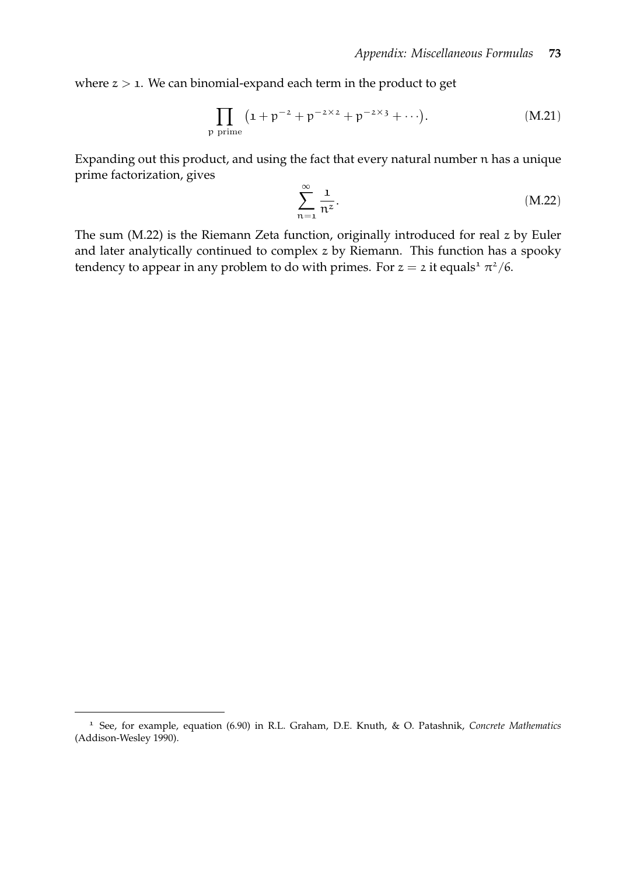where  $z > 1$ . We can binomial-expand each term in the product to get

$$
\prod_{\text{p prime}} \left( 1 + p^{-2} + p^{-2 \times 2} + p^{-2 \times 3} + \cdots \right). \tag{M.21}
$$

Expanding out this product, and using the fact that every natural number n has a unique prime factorization, gives

<span id="page-76-0"></span>
$$
\sum_{n=1}^{\infty} \frac{1}{n^z}.
$$
 (M.22)

The sum (M.22) is the Riemann Zeta function, originally introduced for real z by Euler and later analytically continued to complex z by Riemann. This function has a spooky tendency to appear in any problem to do with primes. For  $z = z$  it equals<sup>1</sup>  $\pi^2/6$ .

<sup>1</sup> See, for example, equation (6.90) in R.L. Graham, D.E. Knuth, & O. Patashnik, *Concrete Mathematics* (Addison-Wesley 1990).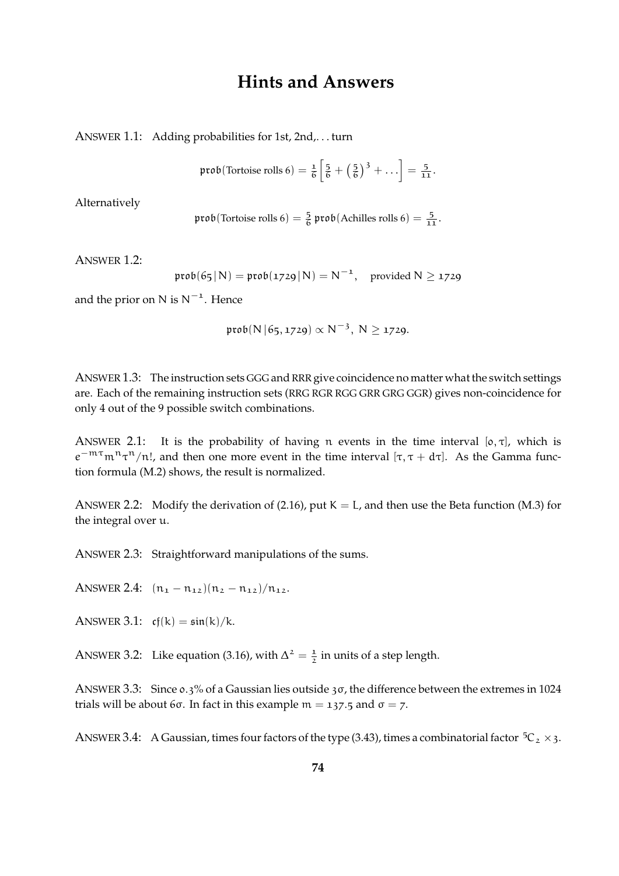## **Hints and Answers**

ANSWER 1.1: Adding probabilities for 1st, 2nd,. . . turn

$$
\mathfrak{prob}(\text{Tortoise rolls 6}) = \frac{1}{6} \left[ \frac{5}{6} + \left( \frac{5}{6} \right)^3 + \ldots \right] = \frac{5}{11}.
$$

Alternatively

$$
\mathfrak{prob}(\text{Tortoise rolls 6}) = \frac{5}{6} \mathfrak{prob}(\text{Achilles rolls 6}) = \frac{5}{11}.
$$

ANSWER 1.2:

$$
\mathfrak{prob}(65|N) = \mathfrak{prob}(1729|N) = N^{-1}, \quad \text{provided } N \ge 1729
$$

and the prior on N is  $N^{-1}$ . Hence

$$
\mathfrak{prob}(N | 65, 1729) \propto N^{-3}, N \ge 1729.
$$

ANSWER 1.3: The instruction sets GGG and RRR give coincidence no matter what the switch settings are. Each of the remaining instruction sets (RRG RGR RGG GRR GRG GGR) gives non-coincidence for only 4 out of the 9 possible switch combinations.

ANSWER 2.1: It is the probability of having n events in the time interval  $[0, \tau]$ , which is  $e^{-m\tau}m^{n}\tau^{n}/n!$ , and then one more event in the time interval  $[\tau, \tau + d\tau]$ . As the Gamma function formula (M.2) shows, the result is normalized.

ANSWER 2.2: Modify the derivation of (2.16), put  $K = L$ , and then use the Beta function (M.3) for the integral over u.

ANSWER 2.3: Straightforward manipulations of the sums.

ANSWER 2.4:  $(n_1 - n_{12})(n_2 - n_{12})/n_{12}$ .

ANSWER 3.1:  $cf(k) = \sin(k)/k$ .

ANSWER 3.2: Like equation (3.16), with  $\Delta^2 = \frac{1}{2}$  $\frac{1}{2}$  in units of a step length.

ANSWER 3.3: Since  $\circ$ .3% of a Gaussian lies outside 3 $\sigma$ , the difference between the extremes in 1024 trials will be about 6σ. In fact in this example  $m = 137.5$  and  $\sigma = 7$ .

ANSWER 3.4: A Gaussian, times four factors of the type (3.43), times a combinatorial factor  ${}^5C_2 \times 3$ .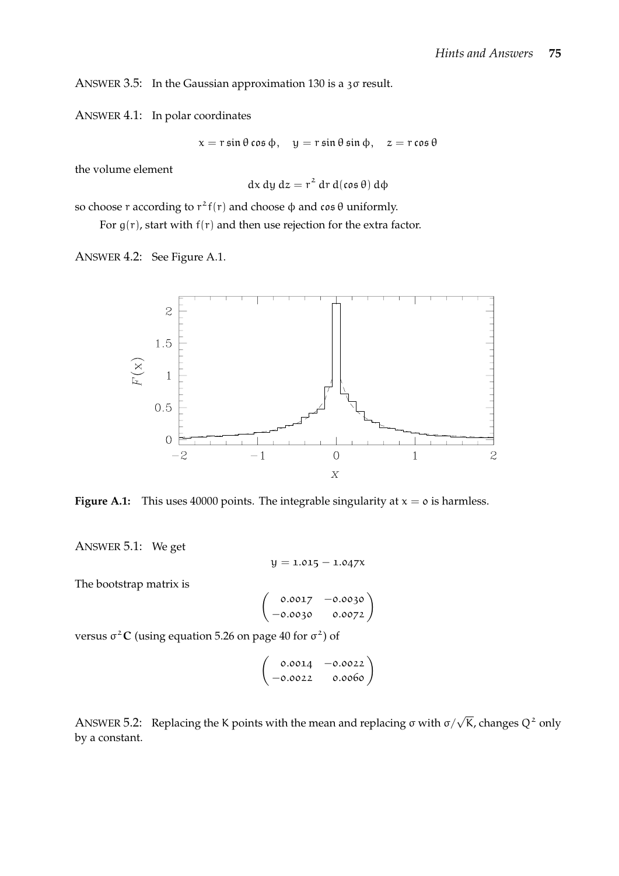ANSWER 3.5: In the Gaussian approximation 130 is a 3σ result.

ANSWER 4.1: In polar coordinates

 $x = r \sin \theta \cos \phi$ ,  $y = r \sin \theta \sin \phi$ ,  $z = r \cos \theta$ 

the volume element

$$
dx\,dy\,dz=r^2\,dr\,d(\cos\theta)\,d\varphi
$$

so choose r according to  $r^2f(r)$  and choose  $\phi$  and cos  $\theta$  uniformly.

For  $g(r)$ , start with  $f(r)$  and then use rejection for the extra factor.

ANSWER 4.2: See Figure A.1.



**Figure A.1:** This uses 40000 points. The integrable singularity at  $x = o$  is harmless.

ANSWER 5.1: We get

$$
y = 1.015 - 1.047x
$$

The bootstrap matrix is

$$
\left(\begin{array}{cc} 0.0017 & -0.0030 \\ -0.0030 & 0.0072 \end{array}\right)
$$

versus  $\sigma^2$ **C** (using equation 5.26 on page 40 for  $\sigma^2$ ) of

$$
\begin{pmatrix}\n0.0014 & -0.0022 \\
-0.0022 & 0.0060\n\end{pmatrix}
$$

ANSWER 5.2: Replacing the K points with the mean and replacing  $\sigma$  with  $\sigma/\sqrt{\rm K}$ , changes Q<sup>2</sup> only by a constant.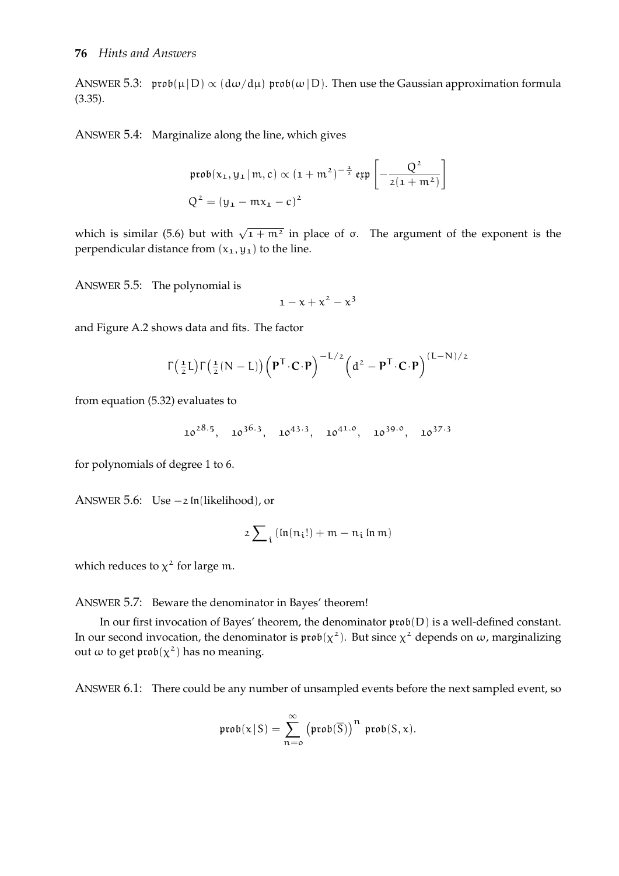ANSWER 5.3:  $\mathfrak{prob}(\mu|D) \propto (d\omega/d\mu) \mathfrak{prob}(\omega|D)$ . Then use the Gaussian approximation formula (3.35).

ANSWER 5.4: Marginalize along the line, which gives

$$
\text{prob}(x_1, y_1 \, | \, m, c) \propto (1 + m^2)^{-\frac{1}{2}} \exp\left[-\frac{Q^2}{2(1 + m^2)}\right]
$$

$$
Q^2 = (y_1 - mx_1 - c)^2
$$

which is similar (5.6) but with  $\sqrt{1+m^2}$  in place of  $\sigma$ . The argument of the exponent is the perpendicular distance from  $(x_1, y_1)$  to the line.

ANSWER 5.5: The polynomial is

$$
1-x+x^2-x^3
$$

and Figure A.2 shows data and fits. The factor

$$
\Gamma\left(\tfrac{1}{2}L\right)\Gamma\left(\tfrac{1}{2}(N-L)\right)\left(P^{\mathsf{T}}\cdot\mathbf{C}\cdot P\right)^{-L/2}\left(d^2-P^{\mathsf{T}}\cdot\mathbf{C}\cdot P\right)^{(L-N)/2}
$$

from equation (5.32) evaluates to

$$
10^{28.5}, \quad 10^{36.3}, \quad 10^{43.3}, \quad 10^{41.0}, \quad 10^{39.0}, \quad 10^{37.3}
$$

for polynomials of degree 1 to 6.

ANSWER 5.6: Use  $-2$  ln(likelihood), or

$$
2\sum\nolimits_{i}\left(\mathfrak{ln}(n_{i}!)+\mathfrak{m}-n_{i}\mathfrak{ln}\mathfrak{m}\right)
$$

which reduces to  $\chi^2$  for large m.

#### ANSWER 5.7: Beware the denominator in Bayes' theorem!

In our first invocation of Bayes' theorem, the denominator prob(D) is a well-defined constant. In our second invocation, the denominator is  $\mathfrak{prob}( \chi^2)$ . But since  $\chi^2$  depends on  $\omega$ , marginalizing out  $\omega$  to get  $\mathfrak{prob}(\chi^2)$  has no meaning.

ANSWER 6.1: There could be any number of unsampled events before the next sampled event, so

$$
\mathfrak{prob}(x \, | \, S) = \sum_{n = o}^{\infty} \left( \mathfrak{prob}(\overline{S}) \right)^n \, \mathfrak{prob}(S, x).
$$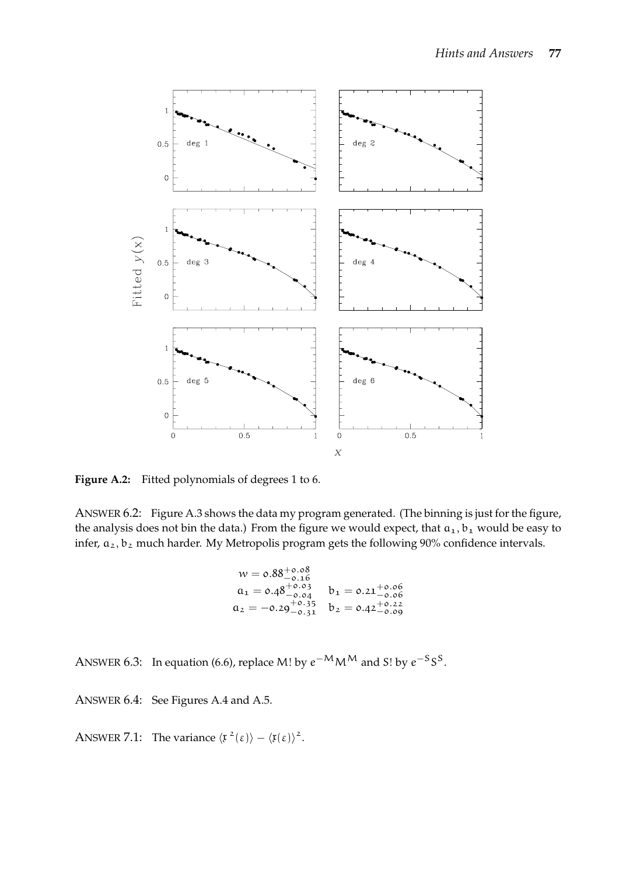

**Figure A.2:** Fitted polynomials of degrees 1 to 6.

ANSWER 6.2: Figure A.3 shows the data my program generated. (The binning is just for the figure, the analysis does not bin the data.) From the figure we would expect, that  $a_1$ ,  $b_1$  would be easy to infer,  $a_2$ ,  $b_2$  much harder. My Metropolis program gets the following 90% confidence intervals.

$$
w = 0.88^{+0.08}_{-0.16}
$$
  
\n
$$
a_1 = 0.48^{+0.03}_{-0.04}
$$
  
\n
$$
a_2 = -0.29^{+0.35}_{-0.31}
$$
  
\n
$$
b_1 = 0.21^{+0.06}_{-0.06}
$$
  
\n
$$
b_2 = 0.42^{+0.22}_{-0.09}
$$

ANSWER 6.3: In equation (6.6), replace M! by  $e^{-M}M^M$  and S! by  $e^{-S}S^S$ .

ANSWER 6.4: See Figures A.4 and A.5.

ANSWER 7.1: The variance  $\langle \mathfrak{x}^2(\varepsilon) \rangle - \langle \mathfrak{x}(\varepsilon) \rangle^2$ .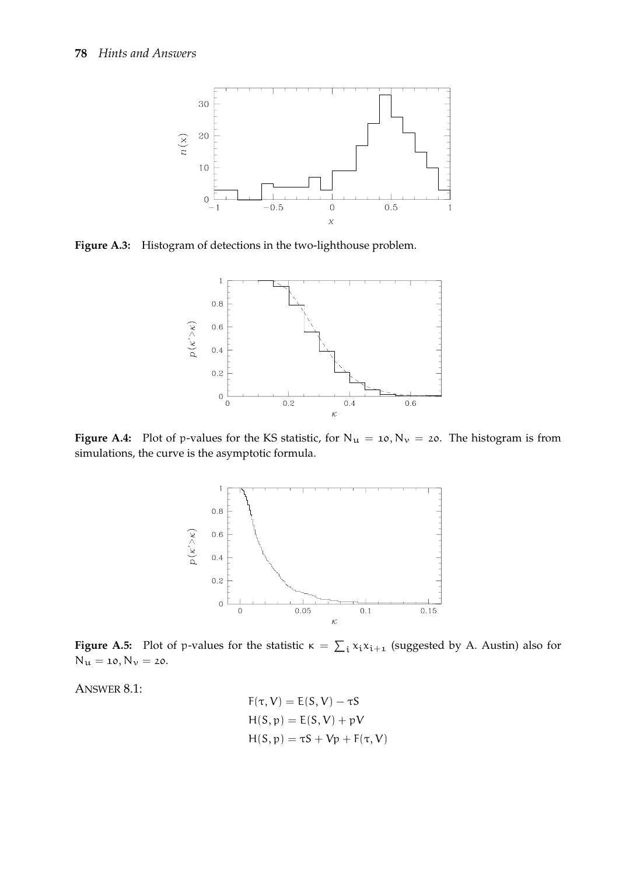

**Figure A.3:** Histogram of detections in the two-lighthouse problem.



**Figure A.4:** Plot of p-values for the KS statistic, for  $N_u = 10$ ,  $N_v = 20$ . The histogram is from simulations, the curve is the asymptotic formula.



**Figure A.5:** Plot of p-values for the statistic  $\kappa = \sum_i x_i x_{i+1}$  (suggested by A. Austin) also for  $N_\mathrm{u} =$  10,  $N_\mathrm{v} =$  20.

ANSWER 8.1:

$$
F(\tau, V) = E(S, V) - \tau S
$$
  
H(S, p) = E(S, V) + pV  
H(S, p) = \tau S + Vp + F(\tau, V)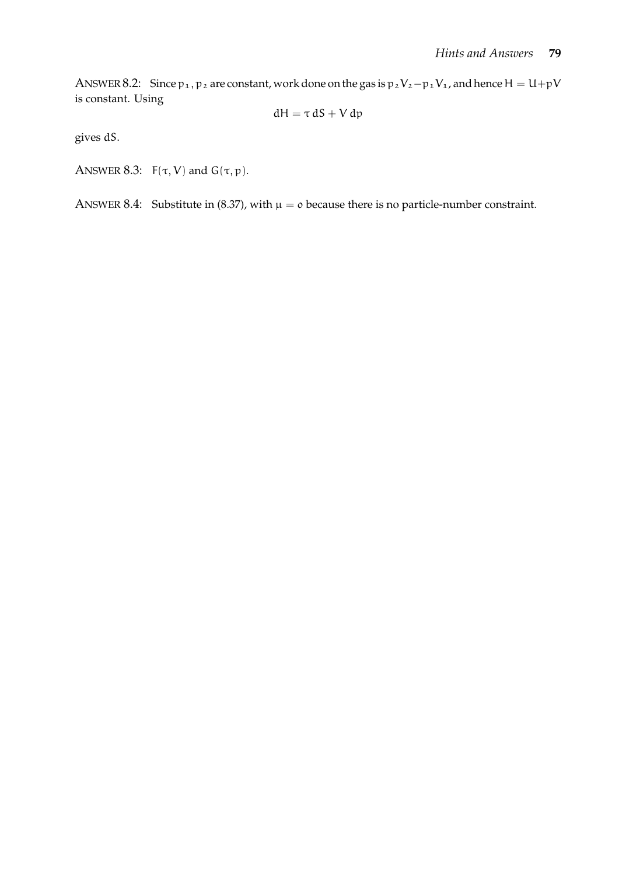ANSWER 8.2: Since  $p_1$ ,  $p_2$  are constant, work done on the gas is  $p_2V_2-p_1V_1$ , and hence H = U+pV is constant. Using

$$
dH = \tau \, dS + V \, dp
$$

gives dS.

ANSWER 8.3:  $F(\tau, V)$  and  $G(\tau, p)$ .

ANSWER 8.4: Substitute in (8.37), with  $\mu = o$  because there is no particle-number constraint.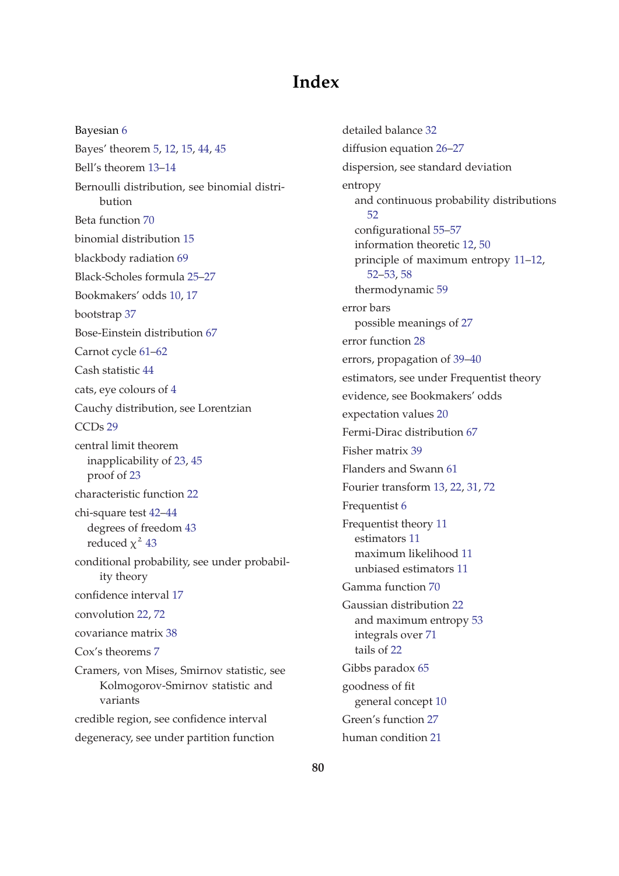# **Index**

Bayesian [6](#page-9-0) Bayes' theorem [5,](#page-8-0) [12](#page-15-0), [15](#page-18-0), [44](#page-47-0), [45](#page-48-0) Bell's theorem [13](#page-16-0)–[14](#page-17-0) Bernoulli distribution, see binomial distribution Beta function [70](#page-73-0) binomial distribution [15](#page-18-0) blackbody radiation [69](#page-72-0) Black-Scholes formula [25](#page-28-0)–[27](#page-30-0) Bookmakers' odds [10,](#page-13-0) [17](#page-20-0) bootstrap [37](#page-40-0) Bose-Einstein distribution [67](#page-70-0) Carnot cycle [61](#page-64-0)[–62](#page-65-0) Cash statistic [44](#page-47-0) cats, eye colours of [4](#page-7-0) Cauchy distribution, see Lorentzian CCD<sub>s</sub> [29](#page-32-0) central limit theorem inapplicability of [23,](#page-26-0) [45](#page-48-0) proof of [23](#page-26-0) characteristic function [22](#page-25-0) chi-square test [42](#page-45-0)–[44](#page-47-0) degrees of freedom [43](#page-46-0) reduced  $\chi^2$  [43](#page-46-0) conditional probability, see under probability theory confidence interval [17](#page-20-0) convolution [22,](#page-25-0) [72](#page-75-0) covariance matrix [38](#page-41-0) Cox's theorems [7](#page-10-0) Cramers, von Mises, Smirnov statistic, see Kolmogorov-Smirnov statistic and variants credible region, see confidence interval degeneracy, see under partition function

detailed balance [32](#page-35-0) diffusion equation [26](#page-29-0)–[27](#page-30-0) dispersion, see standard deviation entropy and continuous probability distributions [52](#page-55-0) configurational [55–](#page-58-0)[57](#page-60-0) information theoretic [12,](#page-15-0) [50](#page-53-0) principle of maximum entropy [11](#page-14-0)–[12,](#page-15-0) [52](#page-55-0)[–53](#page-56-0), [58](#page-61-0) thermodynamic [59](#page-62-0) error bars possible meanings of [27](#page-30-0) error function [28](#page-31-0) errors, propagation of [39](#page-42-0)[–40](#page-43-0) estimators, see under Frequentist theory evidence, see Bookmakers' odds expectation values [20](#page-23-0) Fermi-Dirac distribution [67](#page-70-0) Fisher matrix [39](#page-42-0) Flanders and Swann [61](#page-64-0) Fourier transform [13,](#page-16-0) [22,](#page-25-0) [31](#page-34-0), [72](#page-75-0) Frequentist [6](#page-9-0) Frequentist theory [11](#page-14-0) estimators [11](#page-14-0) maximum likelihood [11](#page-14-0) unbiased estimators [11](#page-14-0) Gamma function [70](#page-73-0) Gaussian distribution [22](#page-25-0) and maximum entropy [53](#page-56-0) integrals over [71](#page-74-0) tails of [22](#page-25-0) Gibbs paradox [65](#page-68-0) goodness of fit general concept [10](#page-13-0) Green's function [27](#page-30-0) human condition [21](#page-24-0)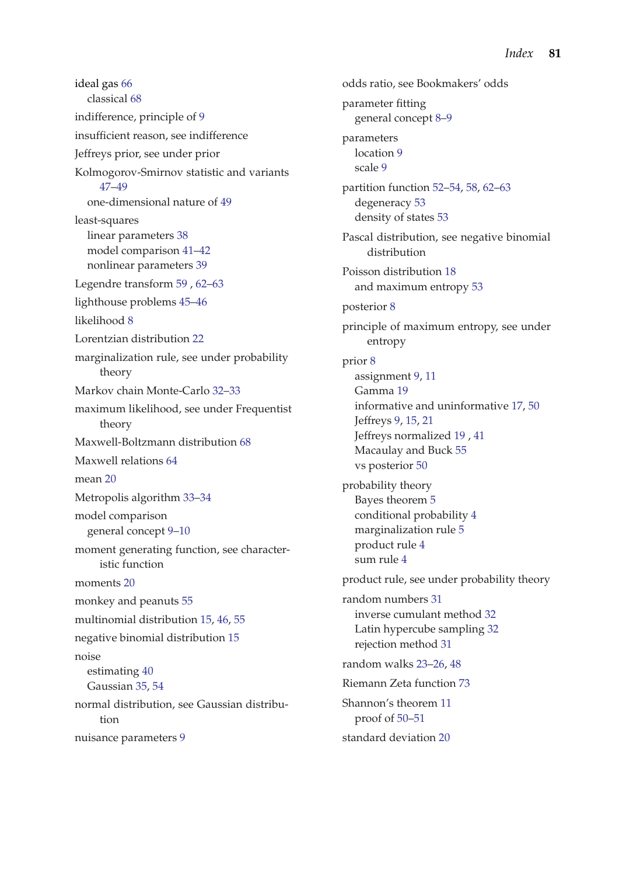ideal gas [66](#page-69-0) classical [68](#page-71-0) indifference, principle of [9](#page-12-0) insufficient reason, see indifference Jeffreys prior, see under prior Kolmogorov-Smirnov statistic and variants [47–](#page-50-0)[49](#page-52-0) one-dimensional nature of [49](#page-52-0) least-squares linear parameters [38](#page-41-0) model comparison [41](#page-44-0)–[42](#page-45-0) nonlinear parameters [39](#page-42-0) Legendre transform [59](#page-62-0) , [62](#page-65-0)[–63](#page-66-0) lighthouse problems [45](#page-48-0)–[46](#page-49-0) likelihood [8](#page-11-0) Lorentzian distribution [22](#page-25-0) marginalization rule, see under probability theory Markov chain Monte-Carlo [32](#page-35-0)–[33](#page-36-0) maximum likelihood, see under Frequentist theory Maxwell-Boltzmann distribution [68](#page-71-0) Maxwell relations [64](#page-67-0) mean [20](#page-23-0) Metropolis algorithm [33](#page-36-0)[–34](#page-37-0) model comparison general concept [9](#page-12-0)[–10](#page-13-0) moment generating function, see characteristic function moments [20](#page-23-0) monkey and peanuts [55](#page-58-0) multinomial distribution [15,](#page-18-0) [46,](#page-49-0) [55](#page-58-0) negative binomial distribution [15](#page-18-0) noise estimating [40](#page-43-0) Gaussian [35](#page-38-0), [54](#page-57-0) normal distribution, see Gaussian distribution nuisance parameters [9](#page-12-0)

odds ratio, see Bookmakers' odds parameter fitting general concept [8](#page-11-0)–[9](#page-12-0) parameters location [9](#page-12-0) scale [9](#page-12-0) partition function [52](#page-55-0)[–54](#page-57-0), [58](#page-61-0), [62](#page-65-0)–[63](#page-66-0) degeneracy [53](#page-56-0) density of states [53](#page-56-0) Pascal distribution, see negative binomial distribution Poisson distribution [18](#page-21-0) and maximum entropy [53](#page-56-0) posterior [8](#page-11-0) principle of maximum entropy, see under entropy prior [8](#page-11-0) assignment [9,](#page-12-0) [11](#page-14-0) Gamma [19](#page-22-0) informative and uninformative [17,](#page-20-0) [50](#page-53-0) Jeffreys [9,](#page-12-0) [15](#page-18-0), [21](#page-24-0) Jeffreys normalized [19](#page-22-0) , [41](#page-44-0) Macaulay and Buck [55](#page-58-0) vs posterior [50](#page-53-0) probability theory Bayes theorem [5](#page-8-0) conditional probability [4](#page-7-0) marginalization rule [5](#page-8-0) product rule [4](#page-7-0) sum rule [4](#page-7-0) product rule, see under probability theory random numbers [31](#page-34-0) inverse cumulant method [32](#page-35-0) Latin hypercube sampling [32](#page-35-0) rejection method [31](#page-34-0) random walks [23](#page-26-0)–[26,](#page-29-0) [48](#page-51-0) Riemann Zeta function [73](#page-76-0) Shannon's theorem [11](#page-14-0) proof of [50–](#page-53-0)[51](#page-54-0) standard deviation [20](#page-23-0)